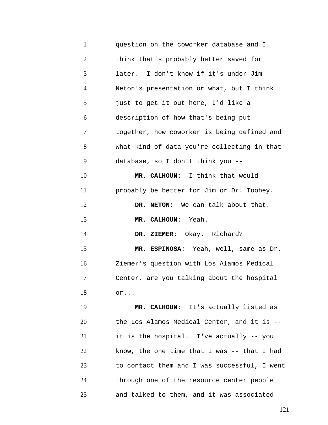1 2 3 4 5 6 7 8 9 10 11 12 13 14 15 16 17 18 19 20 21 22 23 24 25 question on the coworker database and I think that's probably better saved for later. I don't know if it's under Jim Neton's presentation or what, but I think just to get it out here, I'd like a description of how that's being put together, how coworker is being defined and what kind of data you're collecting in that database, so I don't think you -- **MR. CALHOUN:** I think that would probably be better for Jim or Dr. Toohey. **DR. NETON:** We can talk about that. **MR. CALHOUN:** Yeah. **DR. ZIEMER:** Okay. Richard? **MR. ESPINOSA:** Yeah, well, same as Dr. Ziemer's question with Los Alamos Medical Center, are you talking about the hospital or... **MR. CALHOUN:** It's actually listed as the Los Alamos Medical Center, and it is - it is the hospital. I've actually -- you know, the one time that I was -- that I had to contact them and I was successful, I went through one of the resource center people and talked to them, and it was associated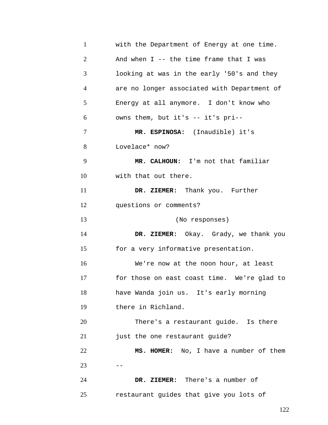| $\mathbf{1}$   | with the Department of Energy at one time.  |  |  |  |  |  |  |  |  |
|----------------|---------------------------------------------|--|--|--|--|--|--|--|--|
| $\overline{2}$ | And when $I$ -- the time frame that I was   |  |  |  |  |  |  |  |  |
| 3              | looking at was in the early '50's and they  |  |  |  |  |  |  |  |  |
| 4              | are no longer associated with Department of |  |  |  |  |  |  |  |  |
| 5              | Energy at all anymore. I don't know who     |  |  |  |  |  |  |  |  |
| 6              | owns them, but it's -- it's pri--           |  |  |  |  |  |  |  |  |
| 7              | MR. ESPINOSA: (Inaudible) it's              |  |  |  |  |  |  |  |  |
| 8              | Lovelace* now?                              |  |  |  |  |  |  |  |  |
| 9              | MR. CALHOUN: I'm not that familiar          |  |  |  |  |  |  |  |  |
| 10             | with that out there.                        |  |  |  |  |  |  |  |  |
| 11             | DR. ZIEMER: Thank you. Further              |  |  |  |  |  |  |  |  |
| 12             | questions or comments?                      |  |  |  |  |  |  |  |  |
| 13             | (No responses)                              |  |  |  |  |  |  |  |  |
| 14             | DR. ZIEMER: Okay. Grady, we thank you       |  |  |  |  |  |  |  |  |
| 15             | for a very informative presentation.        |  |  |  |  |  |  |  |  |
| 16             | We're now at the noon hour, at least        |  |  |  |  |  |  |  |  |
| 17             | for those on east coast time. We're glad to |  |  |  |  |  |  |  |  |
| 18             | have Wanda join us. It's early morning      |  |  |  |  |  |  |  |  |
| 19             | there in Richland.                          |  |  |  |  |  |  |  |  |
| 20             | There's a restaurant guide. Is there        |  |  |  |  |  |  |  |  |
| 21             | just the one restaurant guide?              |  |  |  |  |  |  |  |  |
| 22             | MS. HOMER: No, I have a number of them      |  |  |  |  |  |  |  |  |
| 23             |                                             |  |  |  |  |  |  |  |  |
| 24             | DR. ZIEMER: There's a number of             |  |  |  |  |  |  |  |  |
| 25             | restaurant guides that give you lots of     |  |  |  |  |  |  |  |  |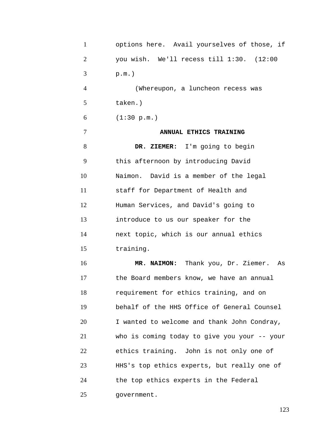| $\mathbf{1}$   | options here. Avail yourselves of those, if  |  |  |  |  |  |  |  |  |
|----------------|----------------------------------------------|--|--|--|--|--|--|--|--|
| $\overline{2}$ | you wish. We'll recess till 1:30. (12:00     |  |  |  |  |  |  |  |  |
| 3              | $p.m.$ )                                     |  |  |  |  |  |  |  |  |
| $\overline{4}$ | (Whereupon, a luncheon recess was            |  |  |  |  |  |  |  |  |
| 5              | taken.)                                      |  |  |  |  |  |  |  |  |
| 6              | (1:30 p.m.)                                  |  |  |  |  |  |  |  |  |
| 7              | ANNUAL ETHICS TRAINING                       |  |  |  |  |  |  |  |  |
| 8              | DR. ZIEMER: I'm going to begin               |  |  |  |  |  |  |  |  |
| 9              | this afternoon by introducing David          |  |  |  |  |  |  |  |  |
| 10             | Naimon. David is a member of the legal       |  |  |  |  |  |  |  |  |
| 11             | staff for Department of Health and           |  |  |  |  |  |  |  |  |
| 12             | Human Services, and David's going to         |  |  |  |  |  |  |  |  |
| 13             | introduce to us our speaker for the          |  |  |  |  |  |  |  |  |
| 14             | next topic, which is our annual ethics       |  |  |  |  |  |  |  |  |
| 15             | training.                                    |  |  |  |  |  |  |  |  |
| 16             | MR. NAIMON: Thank you, Dr. Ziemer. As        |  |  |  |  |  |  |  |  |
| 17             | the Board members know, we have an annual    |  |  |  |  |  |  |  |  |
| 18             | requirement for ethics training, and on      |  |  |  |  |  |  |  |  |
| 19             | behalf of the HHS Office of General Counsel  |  |  |  |  |  |  |  |  |
| 20             | I wanted to welcome and thank John Condray,  |  |  |  |  |  |  |  |  |
| 21             | who is coming today to give you your -- your |  |  |  |  |  |  |  |  |
| 22             | ethics training. John is not only one of     |  |  |  |  |  |  |  |  |
| 23             | HHS's top ethics experts, but really one of  |  |  |  |  |  |  |  |  |
| 24             | the top ethics experts in the Federal        |  |  |  |  |  |  |  |  |
| 25             | government.                                  |  |  |  |  |  |  |  |  |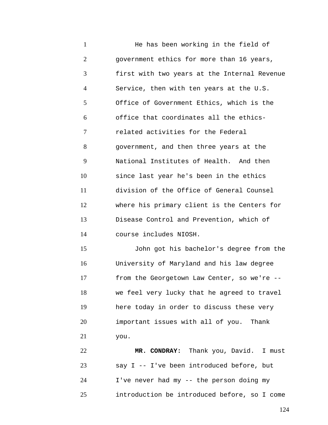1 2 3 4 5 6 7 8 9 10 11 12 13 14 He has been working in the field of government ethics for more than 16 years, first with two years at the Internal Revenue Service, then with ten years at the U.S. Office of Government Ethics, which is the office that coordinates all the ethicsrelated activities for the Federal government, and then three years at the National Institutes of Health. And then since last year he's been in the ethics division of the Office of General Counsel where his primary client is the Centers for Disease Control and Prevention, which of course includes NIOSH.

15 16 17 18 19 20 21 John got his bachelor's degree from the University of Maryland and his law degree from the Georgetown Law Center, so we're - we feel very lucky that he agreed to travel here today in order to discuss these very important issues with all of you. Thank you.

22 23 24 25 **MR. CONDRAY:** Thank you, David. I must say I -- I've been introduced before, but I've never had my -- the person doing my introduction be introduced before, so I come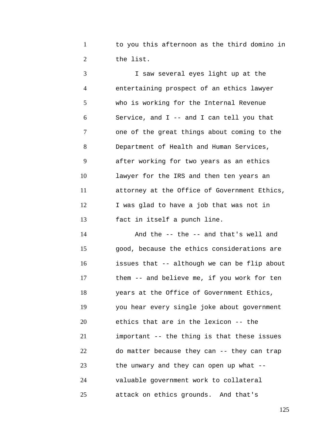1 2 to you this afternoon as the third domino in the list.

3 4 5 6 7 8 9 10 11 12 13 I saw several eyes light up at the entertaining prospect of an ethics lawyer who is working for the Internal Revenue Service, and I -- and I can tell you that one of the great things about coming to the Department of Health and Human Services, after working for two years as an ethics lawyer for the IRS and then ten years an attorney at the Office of Government Ethics, I was glad to have a job that was not in fact in itself a punch line.

14 15 16 17 18 19 20 21 22 23 24 25 And the -- the -- and that's well and good, because the ethics considerations are issues that -- although we can be flip about them -- and believe me, if you work for ten years at the Office of Government Ethics, you hear every single joke about government ethics that are in the lexicon -- the important -- the thing is that these issues do matter because they can -- they can trap the unwary and they can open up what - valuable government work to collateral attack on ethics grounds. And that's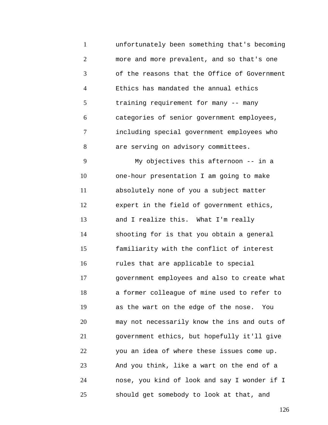1 2 3 4 5 6 7 8 unfortunately been something that's becoming more and more prevalent, and so that's one of the reasons that the Office of Government Ethics has mandated the annual ethics training requirement for many -- many categories of senior government employees, including special government employees who are serving on advisory committees.

9 10 11 12 13 14 15 16 17 18 19 20 21 22 23 24 25 My objectives this afternoon -- in a one-hour presentation I am going to make absolutely none of you a subject matter expert in the field of government ethics, and I realize this. What I'm really shooting for is that you obtain a general familiarity with the conflict of interest rules that are applicable to special government employees and also to create what a former colleague of mine used to refer to as the wart on the edge of the nose. You may not necessarily know the ins and outs of government ethics, but hopefully it'll give you an idea of where these issues come up. And you think, like a wart on the end of a nose, you kind of look and say I wonder if I should get somebody to look at that, and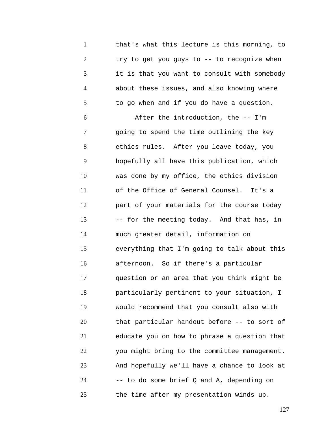1 2 3 4 5 6 7 8 9 10 11 12 13 14 15 16 17 18 19 20 21 22 23 24 25 that's what this lecture is this morning, to try to get you guys to -- to recognize when it is that you want to consult with somebody about these issues, and also knowing where to go when and if you do have a question. After the introduction, the -- I'm going to spend the time outlining the key ethics rules. After you leave today, you hopefully all have this publication, which was done by my office, the ethics division of the Office of General Counsel. It's a part of your materials for the course today -- for the meeting today. And that has, in much greater detail, information on everything that I'm going to talk about this afternoon. So if there's a particular question or an area that you think might be particularly pertinent to your situation, I would recommend that you consult also with that particular handout before -- to sort of educate you on how to phrase a question that you might bring to the committee management. And hopefully we'll have a chance to look at -- to do some brief Q and A, depending on the time after my presentation winds up.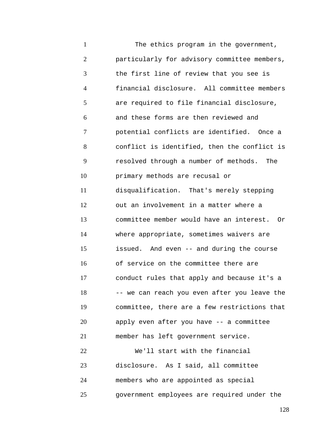1 2 3 4 5 6 7 8 9 10 11 12 13 14 15 16 17 18 19 20 21 22 23 24 25 The ethics program in the government, particularly for advisory committee members, the first line of review that you see is financial disclosure. All committee members are required to file financial disclosure, and these forms are then reviewed and potential conflicts are identified. Once a conflict is identified, then the conflict is resolved through a number of methods. The primary methods are recusal or disqualification. That's merely stepping out an involvement in a matter where a committee member would have an interest. Or where appropriate, sometimes waivers are issued. And even -- and during the course of service on the committee there are conduct rules that apply and because it's a -- we can reach you even after you leave the committee, there are a few restrictions that apply even after you have -- a committee member has left government service. We'll start with the financial disclosure. As I said, all committee members who are appointed as special government employees are required under the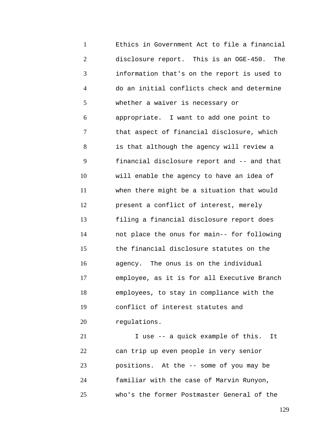1 2 3 4 5 6 7 8 9 10 11 12 13 14 15 16 17 18 19 20 Ethics in Government Act to file a financial disclosure report. This is an OGE-450. The information that's on the report is used to do an initial conflicts check and determine whether a waiver is necessary or appropriate. I want to add one point to that aspect of financial disclosure, which is that although the agency will review a financial disclosure report and -- and that will enable the agency to have an idea of when there might be a situation that would present a conflict of interest, merely filing a financial disclosure report does not place the onus for main-- for following the financial disclosure statutes on the agency. The onus is on the individual employee, as it is for all Executive Branch employees, to stay in compliance with the conflict of interest statutes and regulations.

21 22 23 24 25 I use -- a quick example of this. It can trip up even people in very senior positions. At the -- some of you may be familiar with the case of Marvin Runyon, who's the former Postmaster General of the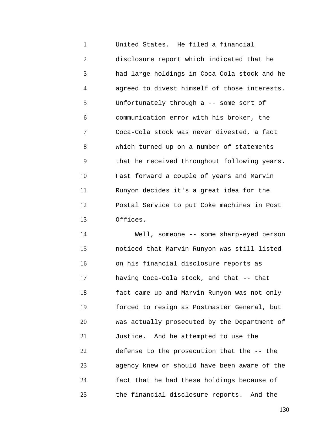1 2 3 4 5 6 7 8 9 10 11 12 13 United States. He filed a financial disclosure report which indicated that he had large holdings in Coca-Cola stock and he agreed to divest himself of those interests. Unfortunately through a -- some sort of communication error with his broker, the Coca-Cola stock was never divested, a fact which turned up on a number of statements that he received throughout following years. Fast forward a couple of years and Marvin Runyon decides it's a great idea for the Postal Service to put Coke machines in Post Offices.

14 15 16 17 18 19 20 21 22 23 24 25 Well, someone -- some sharp-eyed person noticed that Marvin Runyon was still listed on his financial disclosure reports as having Coca-Cola stock, and that -- that fact came up and Marvin Runyon was not only forced to resign as Postmaster General, but was actually prosecuted by the Department of Justice. And he attempted to use the defense to the prosecution that the -- the agency knew or should have been aware of the fact that he had these holdings because of the financial disclosure reports. And the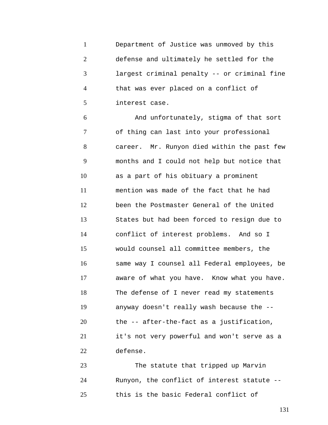|                             | Department of Justice was unmoved by this    |
|-----------------------------|----------------------------------------------|
| $\mathcal{D}_{\mathcal{L}}$ | defense and ultimately he settled for the    |
|                             | largest criminal penalty -- or criminal fine |
|                             | that was ever placed on a conflict of        |
|                             | interest case.                               |

6 7 8 9 10 11 12 13 14 15 16 17 18 19 20 21 22 And unfortunately, stigma of that sort of thing can last into your professional career. Mr. Runyon died within the past few months and I could not help but notice that as a part of his obituary a prominent mention was made of the fact that he had been the Postmaster General of the United States but had been forced to resign due to conflict of interest problems. And so I would counsel all committee members, the same way I counsel all Federal employees, be aware of what you have. Know what you have. The defense of I never read my statements anyway doesn't really wash because the - the -- after-the-fact as a justification, it's not very powerful and won't serve as a defense.

23 24 25 The statute that tripped up Marvin Runyon, the conflict of interest statute - this is the basic Federal conflict of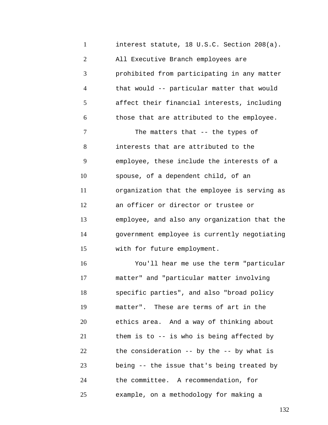1 2 3 4 5 6 7 8 9 10 11 12 13 14 15 16 17 18 19 20 21 22 23 24 25 interest statute, 18 U.S.C. Section 208(a). All Executive Branch employees are prohibited from participating in any matter that would -- particular matter that would affect their financial interests, including those that are attributed to the employee. The matters that -- the types of interests that are attributed to the employee, these include the interests of a spouse, of a dependent child, of an organization that the employee is serving as an officer or director or trustee or employee, and also any organization that the government employee is currently negotiating with for future employment. You'll hear me use the term "particular matter" and "particular matter involving specific parties", and also "broad policy matter". These are terms of art in the ethics area. And a way of thinking about them is to -- is who is being affected by the consideration -- by the -- by what is being -- the issue that's being treated by the committee. A recommendation, for example, on a methodology for making a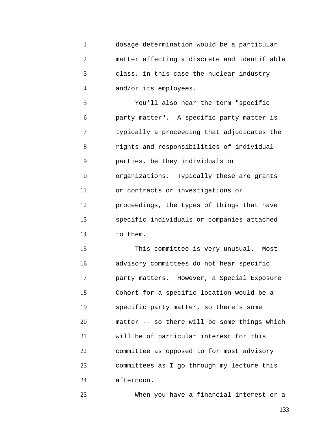1 2 3 4 dosage determination would be a particular matter affecting a discrete and identifiable class, in this case the nuclear industry and/or its employees.

5 6 7 8 9 10 11 12 13 14 You'll also hear the term "specific party matter". A specific party matter is typically a proceeding that adjudicates the rights and responsibilities of individual parties, be they individuals or organizations. Typically these are grants or contracts or investigations or proceedings, the types of things that have specific individuals or companies attached to them.

15 16 17 18 19 20 21 22 23 24 This committee is very unusual. Most advisory committees do not hear specific party matters. However, a Special Exposure Cohort for a specific location would be a specific party matter, so there's some matter -- so there will be some things which will be of particular interest for this committee as opposed to for most advisory committees as I go through my lecture this afternoon.

When you have a financial interest or a

25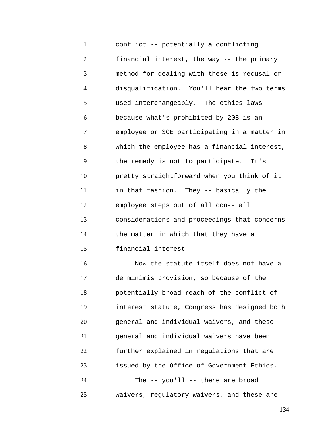1 2 3 4 5 6 7 8 9 10 11 12 13 14 15 16 conflict -- potentially a conflicting financial interest, the way -- the primary method for dealing with these is recusal or disqualification. You'll hear the two terms used interchangeably. The ethics laws - because what's prohibited by 208 is an employee or SGE participating in a matter in which the employee has a financial interest, the remedy is not to participate. It's pretty straightforward when you think of it in that fashion. They -- basically the employee steps out of all con-- all considerations and proceedings that concerns the matter in which that they have a financial interest. Now the statute itself does not have a de minimis provision, so because of the potentially broad reach of the conflict of

17 18 19 20 21 22 23 24 25 interest statute, Congress has designed both general and individual waivers, and these general and individual waivers have been further explained in regulations that are issued by the Office of Government Ethics. The -- you'll -- there are broad waivers, regulatory waivers, and these are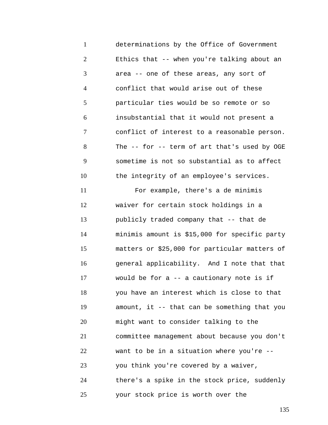1 2 3 4 5 6 7 8 9 10 11 12 13 14 15 16 17 18 19 20 21 22 23 24 25 determinations by the Office of Government Ethics that -- when you're talking about an area -- one of these areas, any sort of conflict that would arise out of these particular ties would be so remote or so insubstantial that it would not present a conflict of interest to a reasonable person. The -- for -- term of art that's used by OGE sometime is not so substantial as to affect the integrity of an employee's services. For example, there's a de minimis waiver for certain stock holdings in a publicly traded company that -- that de minimis amount is \$15,000 for specific party matters or \$25,000 for particular matters of general applicability. And I note that that would be for a -- a cautionary note is if you have an interest which is close to that amount, it -- that can be something that you might want to consider talking to the committee management about because you don't want to be in a situation where you're - you think you're covered by a waiver, there's a spike in the stock price, suddenly your stock price is worth over the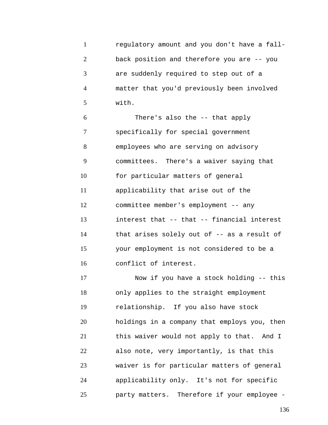1 2 3 4 5 regulatory amount and you don't have a fallback position and therefore you are -- you are suddenly required to step out of a matter that you'd previously been involved with.

6 7 8 9 10 11 12 13 14 15 16 There's also the -- that apply specifically for special government employees who are serving on advisory committees. There's a waiver saying that for particular matters of general applicability that arise out of the committee member's employment -- any interest that -- that -- financial interest that arises solely out of -- as a result of your employment is not considered to be a conflict of interest.

17 18 19 20 21 22 23 24 25 Now if you have a stock holding -- this only applies to the straight employment relationship. If you also have stock holdings in a company that employs you, then this waiver would not apply to that. And I also note, very importantly, is that this waiver is for particular matters of general applicability only. It's not for specific party matters. Therefore if your employee -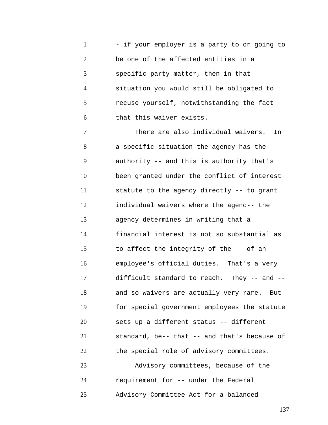1 2 3 4 5 6 - if your employer is a party to or going to be one of the affected entities in a specific party matter, then in that situation you would still be obligated to recuse yourself, notwithstanding the fact that this waiver exists.

7 8 9 10 11 12 13 14 15 16 17 18 19 20 21 22 23 There are also individual waivers. In a specific situation the agency has the authority -- and this is authority that's been granted under the conflict of interest statute to the agency directly -- to grant individual waivers where the agenc-- the agency determines in writing that a financial interest is not so substantial as to affect the integrity of the -- of an employee's official duties. That's a very difficult standard to reach. They -- and - and so waivers are actually very rare. But for special government employees the statute sets up a different status -- different standard, be-- that -- and that's because of the special role of advisory committees. Advisory committees, because of the

25 Advisory Committee Act for a balanced

requirement for -- under the Federal

24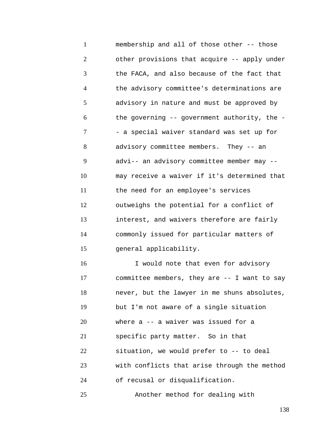1 2 3 4 5 6 7 8 9 10 11 12 13 14 15 16 17 18 19 20 21 22 23 24 membership and all of those other -- those other provisions that acquire -- apply under the FACA, and also because of the fact that the advisory committee's determinations are advisory in nature and must be approved by the governing -- government authority, the - - a special waiver standard was set up for advisory committee members. They -- an advi-- an advisory committee member may - may receive a waiver if it's determined that the need for an employee's services outweighs the potential for a conflict of interest, and waivers therefore are fairly commonly issued for particular matters of general applicability. I would note that even for advisory committee members, they are -- I want to say never, but the lawyer in me shuns absolutes, but I'm not aware of a single situation where a -- a waiver was issued for a specific party matter. So in that situation, we would prefer to -- to deal with conflicts that arise through the method of recusal or disqualification.

Another method for dealing with

25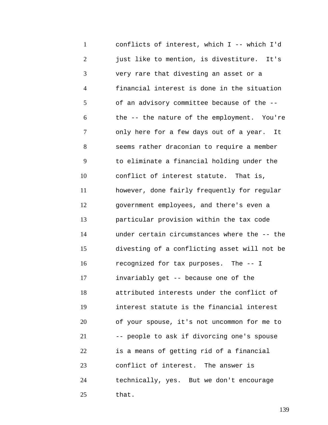1 2 3 4 5 6 7 8 9 10 11 12 13 14 15 16 17 18 19 20 21 22 23 24 25 conflicts of interest, which I -- which I'd just like to mention, is divestiture. It's very rare that divesting an asset or a financial interest is done in the situation of an advisory committee because of the - the -- the nature of the employment. You're only here for a few days out of a year. It seems rather draconian to require a member to eliminate a financial holding under the conflict of interest statute. That is, however, done fairly frequently for regular government employees, and there's even a particular provision within the tax code under certain circumstances where the -- the divesting of a conflicting asset will not be recognized for tax purposes. The -- I invariably get -- because one of the attributed interests under the conflict of interest statute is the financial interest of your spouse, it's not uncommon for me to -- people to ask if divorcing one's spouse is a means of getting rid of a financial conflict of interest. The answer is technically, yes. But we don't encourage that.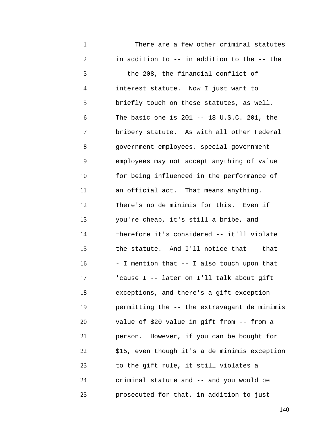1 2 3 4 5 6 7 8 9 10 11 12 13 14 15 16 17 18 19 20 21 22 23 24 25 There are a few other criminal statutes in addition to -- in addition to the -- the -- the 208, the financial conflict of interest statute. Now I just want to briefly touch on these statutes, as well. The basic one is 201 -- 18 U.S.C. 201, the bribery statute. As with all other Federal government employees, special government employees may not accept anything of value for being influenced in the performance of an official act. That means anything. There's no de minimis for this. Even if you're cheap, it's still a bribe, and therefore it's considered -- it'll violate the statute. And I'll notice that -- that - - I mention that -- I also touch upon that 'cause I -- later on I'll talk about gift exceptions, and there's a gift exception permitting the -- the extravagant de minimis value of \$20 value in gift from -- from a person. However, if you can be bought for \$15, even though it's a de minimis exception to the gift rule, it still violates a criminal statute and -- and you would be prosecuted for that, in addition to just --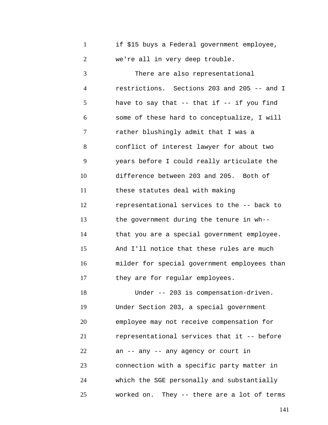|  |  |  | if \$15 buys a Federal government employee, |  |
|--|--|--|---------------------------------------------|--|
|  |  |  | we're all in very deep trouble.             |  |

3 4 5 6 7 8 9 10 11 12 13 14 15 16 17 There are also representational restrictions. Sections 203 and 205 -- and I have to say that  $--$  that if  $--$  if you find some of these hard to conceptualize, I will rather blushingly admit that I was a conflict of interest lawyer for about two years before I could really articulate the difference between 203 and 205. Both of these statutes deal with making representational services to the -- back to the government during the tenure in wh- that you are a special government employee. And I'll notice that these rules are much milder for special government employees than they are for regular employees.

18 19 20 21 22 23 24 25 Under -- 203 is compensation-driven. Under Section 203, a special government employee may not receive compensation for representational services that it -- before an -- any -- any agency or court in connection with a specific party matter in which the SGE personally and substantially worked on. They -- there are a lot of terms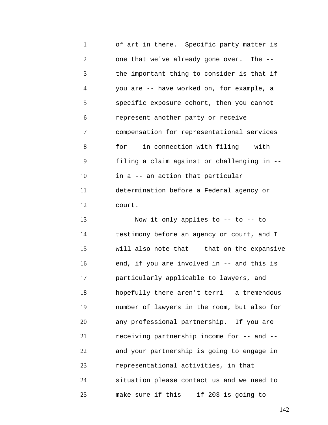1 2 3 4 5 6 7 8 9 10 11 12 of art in there. Specific party matter is one that we've already gone over. The - the important thing to consider is that if you are -- have worked on, for example, a specific exposure cohort, then you cannot represent another party or receive compensation for representational services for -- in connection with filing -- with filing a claim against or challenging in - in a -- an action that particular determination before a Federal agency or court.

13 14 15 16 17 18 19 20 21 22 23 24 25 Now it only applies to -- to -- to testimony before an agency or court, and I will also note that -- that on the expansive end, if you are involved in -- and this is particularly applicable to lawyers, and hopefully there aren't terri-- a tremendous number of lawyers in the room, but also for any professional partnership. If you are receiving partnership income for -- and - and your partnership is going to engage in representational activities, in that situation please contact us and we need to make sure if this -- if 203 is going to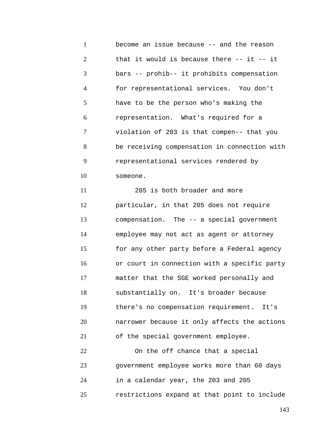1 2 3 4 5 6 7 8 9 10 11 12 13 14 15 16 17 18 19 20 21 22 23 24 become an issue because -- and the reason that it would is because there  $-$ - it  $-$ - it bars -- prohib-- it prohibits compensation for representational services. You don't have to be the person who's making the representation. What's required for a violation of 203 is that compen-- that you be receiving compensation in connection with representational services rendered by someone. 205 is both broader and more particular, in that 205 does not require compensation. The -- a special government employee may not act as agent or attorney for any other party before a Federal agency or court in connection with a specific party matter that the SGE worked personally and substantially on. It's broader because there's no compensation requirement. It's narrower because it only affects the actions of the special government employee. On the off chance that a special government employee works more than 60 days in a calendar year, the 203 and 205

25 restrictions expand at that point to include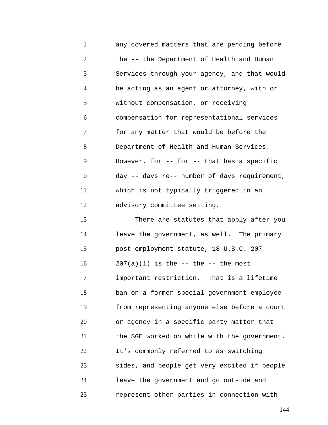1 2 3 4 5 6 7 8 9 10 11 12 13 14 15 16 17 18 19 20 21 22 23 24 25 any covered matters that are pending before the -- the Department of Health and Human Services through your agency, and that would be acting as an agent or attorney, with or without compensation, or receiving compensation for representational services for any matter that would be before the Department of Health and Human Services. However, for -- for -- that has a specific day -- days re-- number of days requirement, which is not typically triggered in an advisory committee setting. There are statutes that apply after you leave the government, as well. The primary post-employment statute, 18 U.S.C. 207 --  $207(a)(1)$  is the  $-$  the  $-$  the most important restriction. That is a lifetime ban on a former special government employee from representing anyone else before a court or agency in a specific party matter that the SGE worked on while with the government. It's commonly referred to as switching sides, and people get very excited if people leave the government and go outside and represent other parties in connection with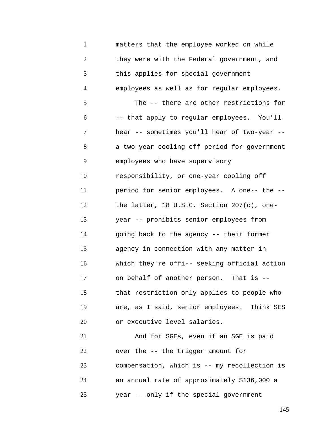1 2 3 4 5 6 7 8 9 10 11 12 13 14 15 16 17 18 19 20 21 22 23 24 25 matters that the employee worked on while they were with the Federal government, and this applies for special government employees as well as for regular employees. The -- there are other restrictions for -- that apply to regular employees. You'll hear -- sometimes you'll hear of two-year - a two-year cooling off period for government employees who have supervisory responsibility, or one-year cooling off period for senior employees. A one-- the - the latter, 18 U.S.C. Section 207(c), oneyear -- prohibits senior employees from going back to the agency -- their former agency in connection with any matter in which they're offi-- seeking official action on behalf of another person. That is - that restriction only applies to people who are, as I said, senior employees. Think SES or executive level salaries. And for SGEs, even if an SGE is paid over the -- the trigger amount for compensation, which is -- my recollection is an annual rate of approximately \$136,000 a year -- only if the special government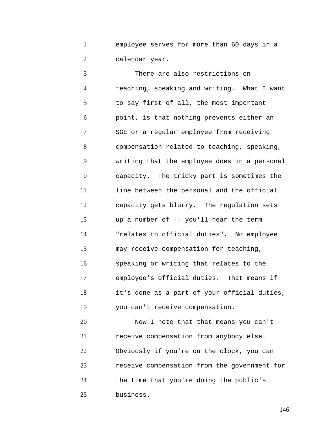1 2 employee serves for more than 60 days in a calendar year.

3 4 5 6 7 8 9 10 11 12 13 14 15 16 17 18 19 20 There are also restrictions on teaching, speaking and writing. What I want to say first of all, the most important point, is that nothing prevents either an SGE or a regular employee from receiving compensation related to teaching, speaking, writing that the employee does in a personal capacity. The tricky part is sometimes the line between the personal and the official capacity gets blurry. The regulation sets up a number of -- you'll hear the term "relates to official duties". No employee may receive compensation for teaching, speaking or writing that relates to the employee's official duties. That means if it's done as a part of your official duties, you can't receive compensation. Now I note that that means you can't

21 22 23 24 25 receive compensation from anybody else. Obviously if you're on the clock, you can receive compensation from the government for the time that you're doing the public's business.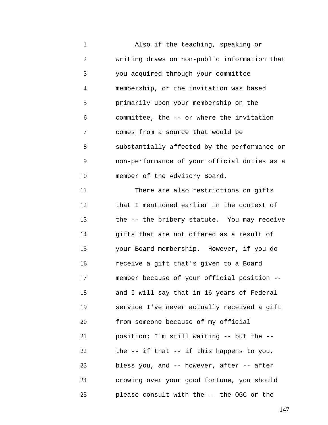1 2 3 4 5 6 7 8 9 10 11 12 13 14 15 16 17 18 19 20 21 22 23 24 25 Also if the teaching, speaking or writing draws on non-public information that you acquired through your committee membership, or the invitation was based primarily upon your membership on the committee, the -- or where the invitation comes from a source that would be substantially affected by the performance or non-performance of your official duties as a member of the Advisory Board. There are also restrictions on gifts that I mentioned earlier in the context of the -- the bribery statute. You may receive gifts that are not offered as a result of your Board membership. However, if you do receive a gift that's given to a Board member because of your official position - and I will say that in 16 years of Federal service I've never actually received a gift from someone because of my official position; I'm still waiting -- but the - the -- if that -- if this happens to you, bless you, and -- however, after -- after crowing over your good fortune, you should please consult with the -- the OGC or the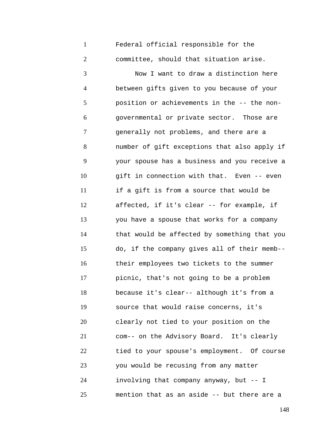1 2 Federal official responsible for the committee, should that situation arise.

3 4 5 6 7 8 9 10 11 12 13 14 15 16 17 18 19 20 21 22 23 24 25 Now I want to draw a distinction here between gifts given to you because of your position or achievements in the -- the nongovernmental or private sector. Those are generally not problems, and there are a number of gift exceptions that also apply if your spouse has a business and you receive a gift in connection with that. Even -- even if a gift is from a source that would be affected, if it's clear -- for example, if you have a spouse that works for a company that would be affected by something that you do, if the company gives all of their memb- their employees two tickets to the summer picnic, that's not going to be a problem because it's clear-- although it's from a source that would raise concerns, it's clearly not tied to your position on the com-- on the Advisory Board. It's clearly tied to your spouse's employment. Of course you would be recusing from any matter involving that company anyway, but -- I mention that as an aside -- but there are a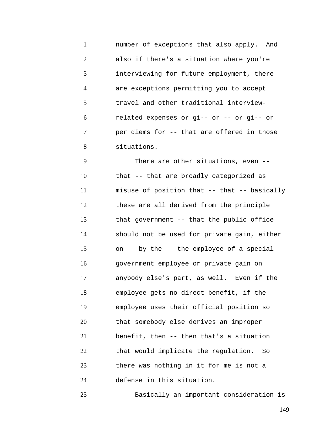1 2 3 4 5 6 7 8 number of exceptions that also apply. And also if there's a situation where you're interviewing for future employment, there are exceptions permitting you to accept travel and other traditional interviewrelated expenses or gi-- or -- or gi-- or per diems for -- that are offered in those situations.

9 10 11 12 13 14 15 16 17 18 19 20 21 22 23 24 There are other situations, even - that -- that are broadly categorized as misuse of position that -- that -- basically these are all derived from the principle that government -- that the public office should not be used for private gain, either on -- by the -- the employee of a special government employee or private gain on anybody else's part, as well. Even if the employee gets no direct benefit, if the employee uses their official position so that somebody else derives an improper benefit, then -- then that's a situation that would implicate the regulation. So there was nothing in it for me is not a defense in this situation.

Basically an important consideration is

25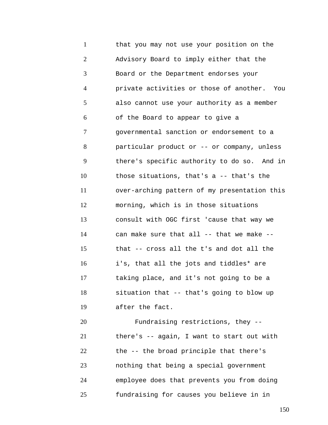1 2 3 4 5 6 7 8 9 10 11 12 13 14 15 16 17 18 19 20 that you may not use your position on the Advisory Board to imply either that the Board or the Department endorses your private activities or those of another. You also cannot use your authority as a member of the Board to appear to give a governmental sanction or endorsement to a particular product or -- or company, unless there's specific authority to do so. And in those situations, that's a -- that's the over-arching pattern of my presentation this morning, which is in those situations consult with OGC first 'cause that way we can make sure that all -- that we make - that -- cross all the t's and dot all the i's, that all the jots and tiddles\* are taking place, and it's not going to be a situation that -- that's going to blow up after the fact. Fundraising restrictions, they --

21 22 23 24 25 there's -- again, I want to start out with the -- the broad principle that there's nothing that being a special government employee does that prevents you from doing fundraising for causes you believe in in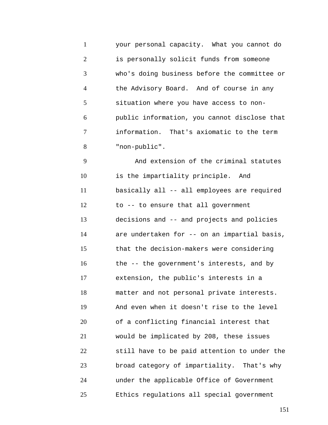1 2 3 4 5 6 7 8 your personal capacity. What you cannot do is personally solicit funds from someone who's doing business before the committee or the Advisory Board. And of course in any situation where you have access to nonpublic information, you cannot disclose that information. That's axiomatic to the term "non-public".

9 10 11 12 13 14 15 16 17 18 19 20 21 22 23 24 25 And extension of the criminal statutes is the impartiality principle. And basically all -- all employees are required to -- to ensure that all government decisions and -- and projects and policies are undertaken for -- on an impartial basis, that the decision-makers were considering the -- the government's interests, and by extension, the public's interests in a matter and not personal private interests. And even when it doesn't rise to the level of a conflicting financial interest that would be implicated by 208, these issues still have to be paid attention to under the broad category of impartiality. That's why under the applicable Office of Government Ethics regulations all special government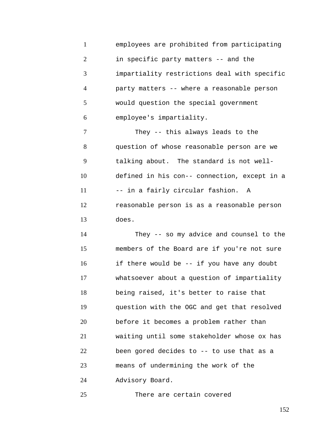1 2 3 4 5 6 employees are prohibited from participating in specific party matters -- and the impartiality restrictions deal with specific party matters -- where a reasonable person would question the special government employee's impartiality.

7 8 9 10 11 12 13 They -- this always leads to the question of whose reasonable person are we talking about. The standard is not welldefined in his con-- connection, except in a -- in a fairly circular fashion. A reasonable person is as a reasonable person does.

14 15 16 17 18 19 20 21 22 23 24 They -- so my advice and counsel to the members of the Board are if you're not sure if there would be -- if you have any doubt whatsoever about a question of impartiality being raised, it's better to raise that question with the OGC and get that resolved before it becomes a problem rather than waiting until some stakeholder whose ox has been gored decides to -- to use that as a means of undermining the work of the Advisory Board.

25 There are certain covered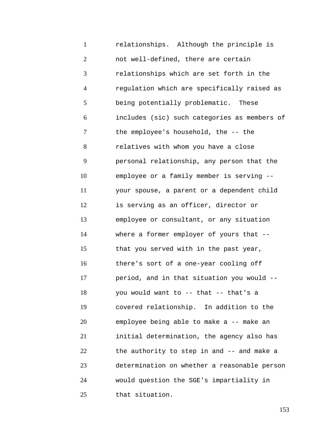1 2 3 4 5 6 7 8 9 10 11 12 13 14 15 16 17 18 19 20 21 22 23 24 25 relationships. Although the principle is not well-defined, there are certain relationships which are set forth in the regulation which are specifically raised as being potentially problematic. These includes (sic) such categories as members of the employee's household, the -- the relatives with whom you have a close personal relationship, any person that the employee or a family member is serving - your spouse, a parent or a dependent child is serving as an officer, director or employee or consultant, or any situation where a former employer of yours that -that you served with in the past year, there's sort of a one-year cooling off period, and in that situation you would - you would want to -- that -- that's a covered relationship. In addition to the employee being able to make a -- make an initial determination, the agency also has the authority to step in and -- and make a determination on whether a reasonable person would question the SGE's impartiality in that situation.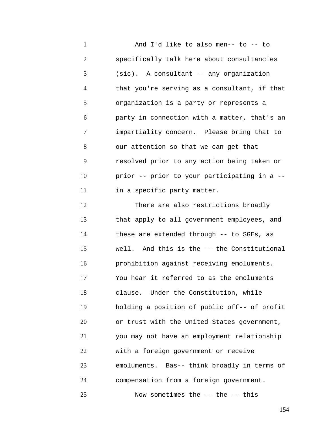1 2 3 4 5 6 7 8 9 10 11 12 13 14 And I'd like to also men-- to -- to specifically talk here about consultancies (sic). A consultant -- any organization that you're serving as a consultant, if that organization is a party or represents a party in connection with a matter, that's an impartiality concern. Please bring that to our attention so that we can get that resolved prior to any action being taken or prior -- prior to your participating in a - in a specific party matter. There are also restrictions broadly that apply to all government employees, and

15 16 17 18 19 20 21 22 23 24 these are extended through -- to SGEs, as well. And this is the -- the Constitutional prohibition against receiving emoluments. You hear it referred to as the emoluments clause. Under the Constitution, while holding a position of public off-- of profit or trust with the United States government, you may not have an employment relationship with a foreign government or receive emoluments. Bas-- think broadly in terms of compensation from a foreign government.

25 Now sometimes the -- the -- this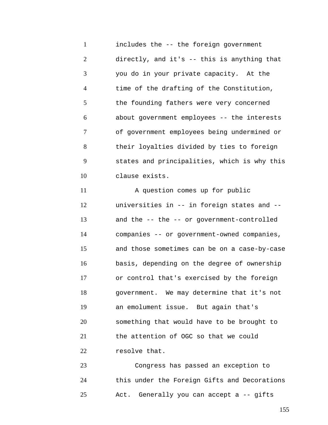1 2 3 4 5 6 7 8 9 10 11 12 13 14 15 16 17 18 19 20 includes the -- the foreign government directly, and it's -- this is anything that you do in your private capacity. At the time of the drafting of the Constitution, the founding fathers were very concerned about government employees -- the interests of government employees being undermined or their loyalties divided by ties to foreign states and principalities, which is why this clause exists. A question comes up for public universities in -- in foreign states and - and the -- the -- or government-controlled companies -- or government-owned companies, and those sometimes can be on a case-by-case basis, depending on the degree of ownership or control that's exercised by the foreign government. We may determine that it's not an emolument issue. But again that's something that would have to be brought to

21 22 the attention of OGC so that we could resolve that.

23 24 25 Congress has passed an exception to this under the Foreign Gifts and Decorations Act. Generally you can accept a -- gifts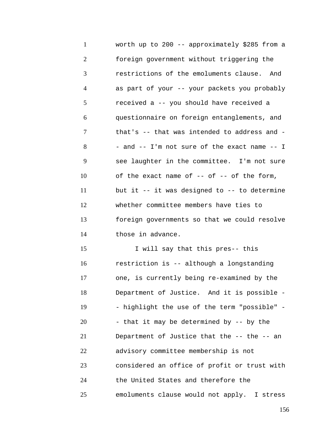1 2 3 4 5 6 7 8 9 10 11 12 13 14 15 16 17 18 19 20 worth up to 200 -- approximately \$285 from a foreign government without triggering the restrictions of the emoluments clause. And as part of your -- your packets you probably received a -- you should have received a questionnaire on foreign entanglements, and that's -- that was intended to address and - - and -- I'm not sure of the exact name -- I see laughter in the committee. I'm not sure of the exact name of  $-$ - of  $-$ - of the form, but it  $-$ - it was designed to  $-$ - to determine whether committee members have ties to foreign governments so that we could resolve those in advance. I will say that this pres-- this restriction is -- although a longstanding one, is currently being re-examined by the Department of Justice. And it is possible - - highlight the use of the term "possible" - - that it may be determined by -- by the

21 22 23 24 Department of Justice that the -- the -- an advisory committee membership is not considered an office of profit or trust with the United States and therefore the

emoluments clause would not apply. I stress

25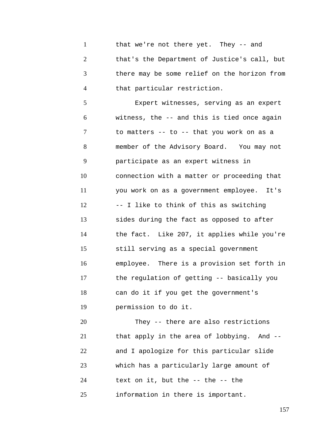1 2 3 4 that we're not there yet. They -- and that's the Department of Justice's call, but there may be some relief on the horizon from that particular restriction.

5 6 7 8 9 10 11 12 13 14 15 16 17 18 19 Expert witnesses, serving as an expert witness, the -- and this is tied once again to matters -- to -- that you work on as a member of the Advisory Board. You may not participate as an expert witness in connection with a matter or proceeding that you work on as a government employee. It's -- I like to think of this as switching sides during the fact as opposed to after the fact. Like 207, it applies while you're still serving as a special government employee. There is a provision set forth in the regulation of getting -- basically you can do it if you get the government's permission to do it.

20 21 22 23 24 25 They -- there are also restrictions that apply in the area of lobbying. And - and I apologize for this particular slide which has a particularly large amount of text on it, but the -- the -- the information in there is important.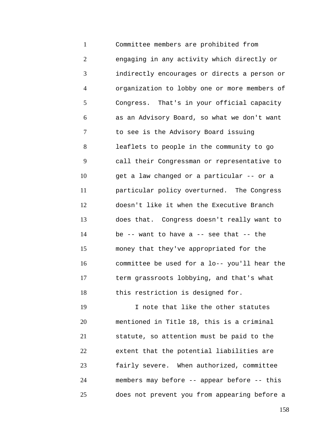1 2 3 4 5 6 7 8 9 10 11 12 13 14 15 16 17 18 Committee members are prohibited from engaging in any activity which directly or indirectly encourages or directs a person or organization to lobby one or more members of Congress. That's in your official capacity as an Advisory Board, so what we don't want to see is the Advisory Board issuing leaflets to people in the community to go call their Congressman or representative to get a law changed or a particular -- or a particular policy overturned. The Congress doesn't like it when the Executive Branch does that. Congress doesn't really want to be  $-$ - want to have a  $-$ - see that  $-$ - the money that they've appropriated for the committee be used for a lo-- you'll hear the term grassroots lobbying, and that's what this restriction is designed for.

19 20 21 22 23 24 25 I note that like the other statutes mentioned in Title 18, this is a criminal statute, so attention must be paid to the extent that the potential liabilities are fairly severe. When authorized, committee members may before -- appear before -- this does not prevent you from appearing before a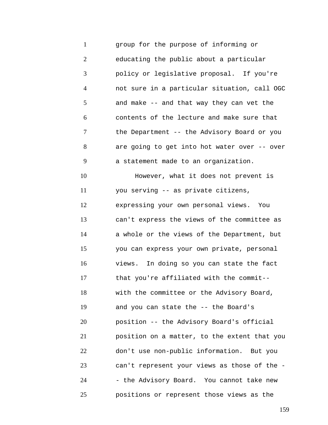1 2 3 4 5 6 7 8 9 10 11 12 13 14 15 16 17 18 19 20 21 22 23 24 25 group for the purpose of informing or educating the public about a particular policy or legislative proposal. If you're not sure in a particular situation, call OGC and make -- and that way they can vet the contents of the lecture and make sure that the Department -- the Advisory Board or you are going to get into hot water over -- over a statement made to an organization. However, what it does not prevent is you serving -- as private citizens, expressing your own personal views. You can't express the views of the committee as a whole or the views of the Department, but you can express your own private, personal views. In doing so you can state the fact that you're affiliated with the commit- with the committee or the Advisory Board, and you can state the -- the Board's position -- the Advisory Board's official position on a matter, to the extent that you don't use non-public information. But you can't represent your views as those of the - - the Advisory Board. You cannot take new positions or represent those views as the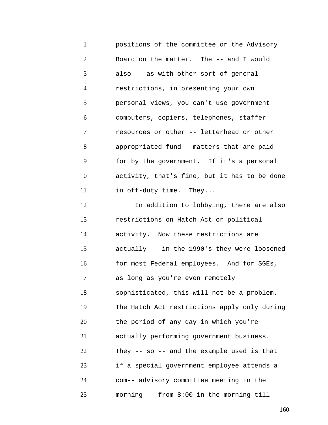1 2 3 4 5 6 7 8 9 10 11 12 13 14 15 16 17 18 19 20 21 22 23 24 25 positions of the committee or the Advisory Board on the matter. The -- and I would also -- as with other sort of general restrictions, in presenting your own personal views, you can't use government computers, copiers, telephones, staffer resources or other -- letterhead or other appropriated fund-- matters that are paid for by the government. If it's a personal activity, that's fine, but it has to be done in off-duty time. They... In addition to lobbying, there are also restrictions on Hatch Act or political activity. Now these restrictions are actually -- in the 1990's they were loosened for most Federal employees. And for SGEs, as long as you're even remotely sophisticated, this will not be a problem. The Hatch Act restrictions apply only during the period of any day in which you're actually performing government business. They -- so -- and the example used is that if a special government employee attends a com-- advisory committee meeting in the morning -- from 8:00 in the morning till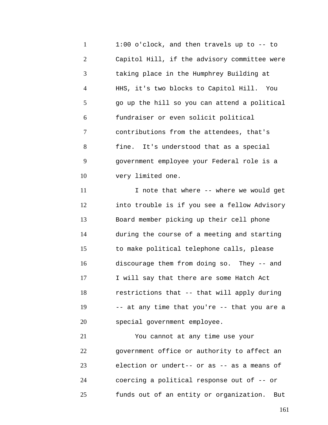1 2 3 4 5 6 7 8 9 10 1:00 o'clock, and then travels up to -- to Capitol Hill, if the advisory committee were taking place in the Humphrey Building at HHS, it's two blocks to Capitol Hill. You go up the hill so you can attend a political fundraiser or even solicit political contributions from the attendees, that's fine. It's understood that as a special government employee your Federal role is a very limited one.

11 12 13 14 15 16 17 18 19 20 I note that where -- where we would get into trouble is if you see a fellow Advisory Board member picking up their cell phone during the course of a meeting and starting to make political telephone calls, please discourage them from doing so. They -- and I will say that there are some Hatch Act restrictions that -- that will apply during -- at any time that you're -- that you are a special government employee.

21 22 23 24 25 You cannot at any time use your government office or authority to affect an election or undert-- or as -- as a means of coercing a political response out of -- or funds out of an entity or organization. But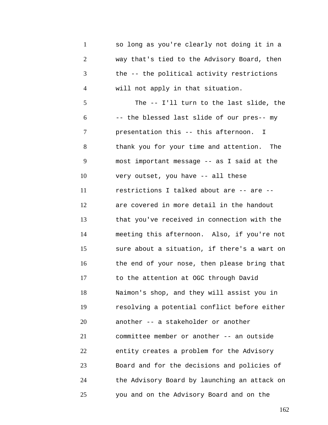1 2 3 4 5 6 7 8 9 10 11 12 13 14 15 16 17 18 19 20 21 22 23 24 25 so long as you're clearly not doing it in a way that's tied to the Advisory Board, then the -- the political activity restrictions will not apply in that situation. The -- I'll turn to the last slide, the -- the blessed last slide of our pres-- my presentation this -- this afternoon. I thank you for your time and attention. The most important message -- as I said at the very outset, you have -- all these restrictions I talked about are -- are - are covered in more detail in the handout that you've received in connection with the meeting this afternoon. Also, if you're not sure about a situation, if there's a wart on the end of your nose, then please bring that to the attention at OGC through David Naimon's shop, and they will assist you in resolving a potential conflict before either another -- a stakeholder or another committee member or another -- an outside entity creates a problem for the Advisory Board and for the decisions and policies of the Advisory Board by launching an attack on you and on the Advisory Board and on the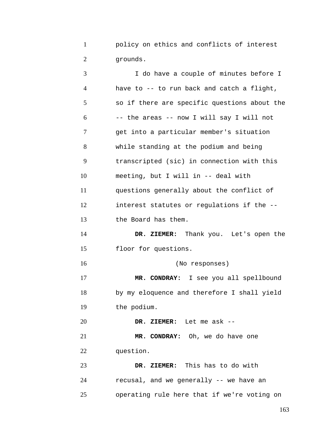1 2 policy on ethics and conflicts of interest grounds.

| 3              | I do have a couple of minutes before I       |
|----------------|----------------------------------------------|
| $\overline{4}$ | have to -- to run back and catch a flight,   |
| 5              | so if there are specific questions about the |
| 6              | -- the areas -- now I will say I will not    |
| 7              | get into a particular member's situation     |
| 8              | while standing at the podium and being       |
| 9              | transcripted (sic) in connection with this   |
| 10             | meeting, but I will in -- deal with          |
| 11             | questions generally about the conflict of    |
| 12             | interest statutes or regulations if the --   |
| 13             | the Board has them.                          |
| 14             | DR. ZIEMER: Thank you. Let's open the        |
| 15             | floor for questions.                         |
| 16             | (No responses)                               |
| 17             | MR. CONDRAY: I see you all spellbound        |
| 18             | by my eloquence and therefore I shall yield  |
| 19             | the podium.                                  |
| 20             | DR. ZIEMER: Let me ask --                    |
| 21             | MR. CONDRAY: Oh, we do have one              |
| 22             | question.                                    |
| 23             | DR. ZIEMER: This has to do with              |
| 24             | recusal, and we generally -- we have an      |
| 25             | operating rule here that if we're voting on  |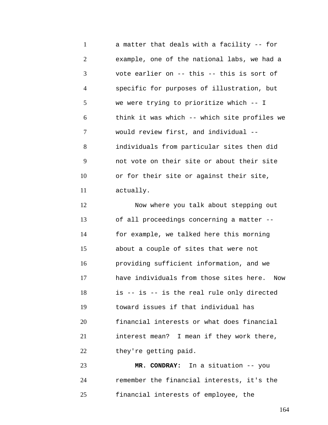1 2 3 4 5 6 7 8 9 10 11 a matter that deals with a facility -- for example, one of the national labs, we had a vote earlier on -- this -- this is sort of specific for purposes of illustration, but we were trying to prioritize which -- I think it was which -- which site profiles we would review first, and individual - individuals from particular sites then did not vote on their site or about their site or for their site or against their site, actually.

12 13 14 15 16 17 18 19 20 21 22 Now where you talk about stepping out of all proceedings concerning a matter - for example, we talked here this morning about a couple of sites that were not providing sufficient information, and we have individuals from those sites here. Now is -- is -- is the real rule only directed toward issues if that individual has financial interests or what does financial interest mean? I mean if they work there, they're getting paid.

23 24 25 **MR. CONDRAY:** In a situation -- you remember the financial interests, it's the financial interests of employee, the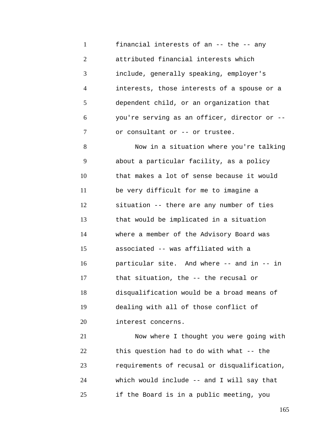1 2 3 4 5 6 7 financial interests of an -- the -- any attributed financial interests which include, generally speaking, employer's interests, those interests of a spouse or a dependent child, or an organization that you're serving as an officer, director or - or consultant or -- or trustee.

8 9 10 11 12 13 14 15 16 17 18 19 20 Now in a situation where you're talking about a particular facility, as a policy that makes a lot of sense because it would be very difficult for me to imagine a situation -- there are any number of ties that would be implicated in a situation where a member of the Advisory Board was associated -- was affiliated with a particular site. And where -- and in -- in that situation, the -- the recusal or disqualification would be a broad means of dealing with all of those conflict of interest concerns.

21 22 23 24 25 Now where I thought you were going with this question had to do with what -- the requirements of recusal or disqualification, which would include -- and I will say that if the Board is in a public meeting, you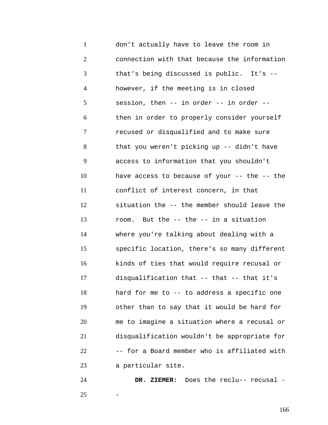1 2 3 4 5 6 7 8 9 10 11 12 13 14 15 16 17 18 19 20 21 22 23 don't actually have to leave the room in connection with that because the information that's being discussed is public. It's - however, if the meeting is in closed session, then -- in order -- in order - then in order to properly consider yourself recused or disqualified and to make sure that you weren't picking up -- didn't have access to information that you shouldn't have access to because of your -- the -- the conflict of interest concern, in that situation the -- the member should leave the room. But the -- the -- in a situation where you're talking about dealing with a specific location, there's so many different kinds of ties that would require recusal or disqualification that -- that -- that it's hard for me to -- to address a specific one other than to say that it would be hard for me to imagine a situation where a recusal or disqualification wouldn't be appropriate for -- for a Board member who is affiliated with a particular site.

24 25 **DR. ZIEMER:** Does the reclu-- recusal - -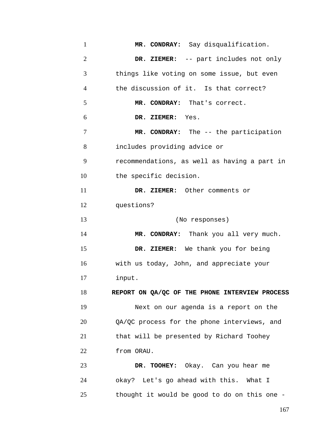| $\mathbf{1}$   | MR. CONDRAY: Say disqualification.             |
|----------------|------------------------------------------------|
| $\overline{2}$ | DR. ZIEMER: -- part includes not only          |
| 3              | things like voting on some issue, but even     |
| 4              | the discussion of it. Is that correct?         |
| 5              | MR. CONDRAY: That's correct.                   |
| 6              | DR. ZIEMER: Yes.                               |
| 7              | MR. CONDRAY: The -- the participation          |
| 8              | includes providing advice or                   |
| 9              | recommendations, as well as having a part in   |
| 10             | the specific decision.                         |
| 11             | DR. ZIEMER: Other comments or                  |
| 12             | questions?                                     |
| 13             | (No responses)                                 |
| 14             | MR. CONDRAY: Thank you all very much.          |
| 15             | DR. ZIEMER: We thank you for being             |
| 16             | with us today, John, and appreciate your       |
| 17             | input.                                         |
| 18             | REPORT ON QA/QC OF THE PHONE INTERVIEW PROCESS |
| 19             | Next on our agenda is a report on the          |
| 20             | QA/QC process for the phone interviews, and    |
| 21             | that will be presented by Richard Toohey       |
| 22             | from ORAU.                                     |
| 23             | DR. TOOHEY: Okay. Can you hear me              |
| 24             | okay? Let's go ahead with this. What I         |
| 25             | thought it would be good to do on this one -   |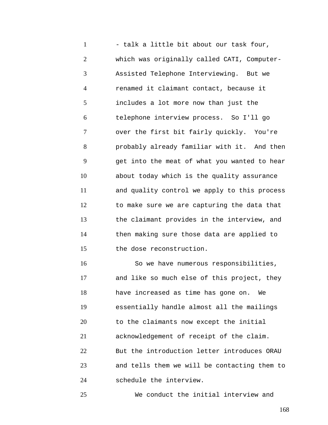1 2 3 4 5 6 7 8 9 10 11 12 13 14 15 - talk a little bit about our task four, which was originally called CATI, Computer-Assisted Telephone Interviewing. But we renamed it claimant contact, because it includes a lot more now than just the telephone interview process. So I'll go over the first bit fairly quickly. You're probably already familiar with it. And then get into the meat of what you wanted to hear about today which is the quality assurance and quality control we apply to this process to make sure we are capturing the data that the claimant provides in the interview, and then making sure those data are applied to the dose reconstruction.

16 17 18 19 20 21 22 23 24 So we have numerous responsibilities, and like so much else of this project, they have increased as time has gone on. We essentially handle almost all the mailings to the claimants now except the initial acknowledgement of receipt of the claim. But the introduction letter introduces ORAU and tells them we will be contacting them to schedule the interview.

We conduct the initial interview and

25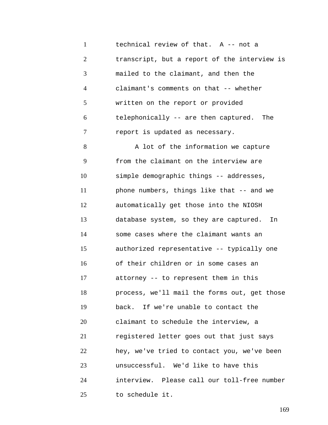1 2 3 4 5 6 7 technical review of that. A -- not a transcript, but a report of the interview is mailed to the claimant, and then the claimant's comments on that -- whether written on the report or provided telephonically -- are then captured. The report is updated as necessary.

8 9 10 11 12 13 14 15 16 17 18 19 20 21 22 23 24 25 A lot of the information we capture from the claimant on the interview are simple demographic things -- addresses, phone numbers, things like that -- and we automatically get those into the NIOSH database system, so they are captured. In some cases where the claimant wants an authorized representative -- typically one of their children or in some cases an attorney -- to represent them in this process, we'll mail the forms out, get those back. If we're unable to contact the claimant to schedule the interview, a registered letter goes out that just says hey, we've tried to contact you, we've been unsuccessful. We'd like to have this interview. Please call our toll-free number to schedule it.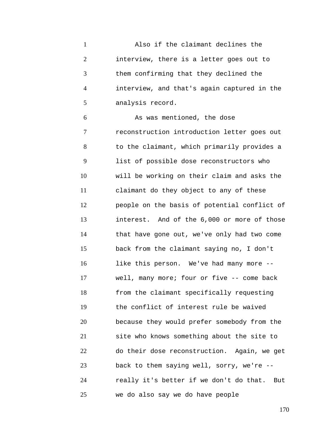1 2 3 4 5 Also if the claimant declines the interview, there is a letter goes out to them confirming that they declined the interview, and that's again captured in the analysis record.

6 7 8 9 10 11 12 13 14 15 16 17 18 19 20 21 22 23 24 25 As was mentioned, the dose reconstruction introduction letter goes out to the claimant, which primarily provides a list of possible dose reconstructors who will be working on their claim and asks the claimant do they object to any of these people on the basis of potential conflict of interest. And of the 6,000 or more of those that have gone out, we've only had two come back from the claimant saying no, I don't like this person. We've had many more - well, many more; four or five -- come back from the claimant specifically requesting the conflict of interest rule be waived because they would prefer somebody from the site who knows something about the site to do their dose reconstruction. Again, we get back to them saying well, sorry, we're - really it's better if we don't do that. But we do also say we do have people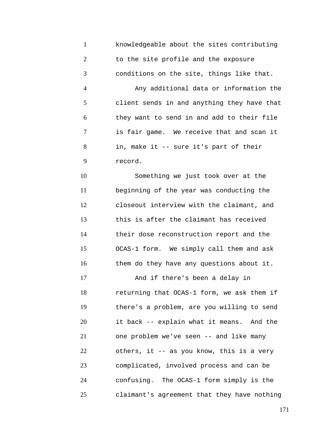1 2 3 knowledgeable about the sites contributing to the site profile and the exposure conditions on the site, things like that.

4 5 6 7 8 9 Any additional data or information the client sends in and anything they have that they want to send in and add to their file is fair game. We receive that and scan it in, make it -- sure it's part of their record.

10 11 12 13 14 15 16 Something we just took over at the beginning of the year was conducting the closeout interview with the claimant, and this is after the claimant has received their dose reconstruction report and the OCAS-1 form. We simply call them and ask them do they have any questions about it.

17 18 19 20 21 22 23 24 25 And if there's been a delay in returning that OCAS-1 form, we ask them if there's a problem, are you willing to send it back -- explain what it means. And the one problem we've seen -- and like many others, it -- as you know, this is a very complicated, involved process and can be confusing. The OCAS-1 form simply is the claimant's agreement that they have nothing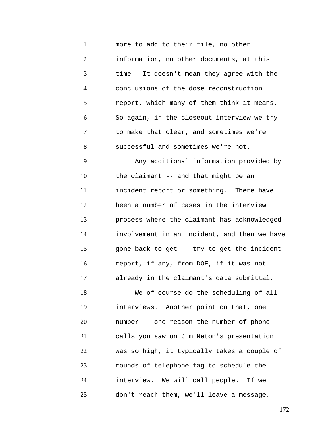1 2 3 4 5 6 7 8 9 10 11 12 13 14 15 16 17 18 19 20 21 22 23 24 25 more to add to their file, no other information, no other documents, at this time. It doesn't mean they agree with the conclusions of the dose reconstruction report, which many of them think it means. So again, in the closeout interview we try to make that clear, and sometimes we're successful and sometimes we're not. Any additional information provided by the claimant -- and that might be an incident report or something. There have been a number of cases in the interview process where the claimant has acknowledged involvement in an incident, and then we have gone back to get -- try to get the incident report, if any, from DOE, if it was not already in the claimant's data submittal. We of course do the scheduling of all interviews. Another point on that, one number -- one reason the number of phone calls you saw on Jim Neton's presentation was so high, it typically takes a couple of rounds of telephone tag to schedule the interview. We will call people. If we don't reach them, we'll leave a message.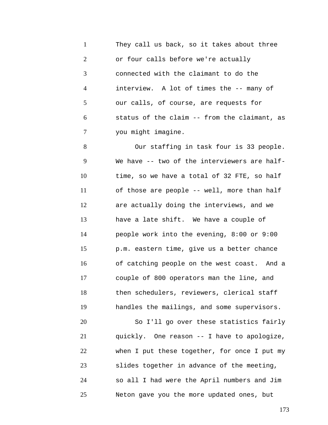1 2 3 4 5 6 7 They call us back, so it takes about three or four calls before we're actually connected with the claimant to do the interview. A lot of times the -- many of our calls, of course, are requests for status of the claim -- from the claimant, as you might imagine.

8 9 10 11 12 13 14 15 16 17 18 19 20 21 22 23 24 Our staffing in task four is 33 people. We have -- two of the interviewers are halftime, so we have a total of 32 FTE, so half of those are people -- well, more than half are actually doing the interviews, and we have a late shift. We have a couple of people work into the evening, 8:00 or 9:00 p.m. eastern time, give us a better chance of catching people on the west coast. And a couple of 800 operators man the line, and then schedulers, reviewers, clerical staff handles the mailings, and some supervisors. So I'll go over these statistics fairly quickly. One reason -- I have to apologize, when I put these together, for once I put my slides together in advance of the meeting, so all I had were the April numbers and Jim

Neton gave you the more updated ones, but

25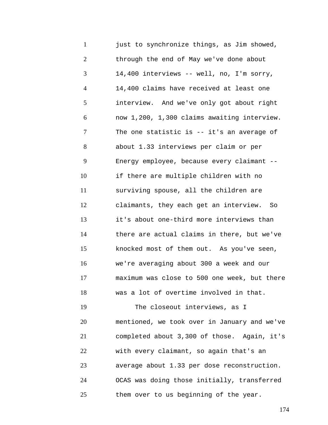1 2 3 4 5 6 7 8 9 10 11 12 13 14 15 16 17 18 19 20 21 22 23 24 25 just to synchronize things, as Jim showed, through the end of May we've done about 14,400 interviews -- well, no, I'm sorry, 14,400 claims have received at least one interview. And we've only got about right now 1,200, 1,300 claims awaiting interview. The one statistic is -- it's an average of about 1.33 interviews per claim or per Energy employee, because every claimant - if there are multiple children with no surviving spouse, all the children are claimants, they each get an interview. So it's about one-third more interviews than there are actual claims in there, but we've knocked most of them out. As you've seen, we're averaging about 300 a week and our maximum was close to 500 one week, but there was a lot of overtime involved in that. The closeout interviews, as I mentioned, we took over in January and we've completed about 3,300 of those. Again, it's with every claimant, so again that's an average about 1.33 per dose reconstruction. OCAS was doing those initially, transferred them over to us beginning of the year.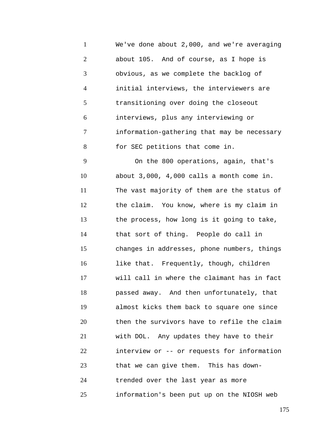1 2 3 4 5 6 7 8 9 We've done about 2,000, and we're averaging about 105. And of course, as I hope is obvious, as we complete the backlog of initial interviews, the interviewers are transitioning over doing the closeout interviews, plus any interviewing or information-gathering that may be necessary for SEC petitions that come in. On the 800 operations, again, that's

10 11 12 13 14 15 16 17 18 19 20 21 22 23 24 25 about 3,000, 4,000 calls a month come in. The vast majority of them are the status of the claim. You know, where is my claim in the process, how long is it going to take, that sort of thing. People do call in changes in addresses, phone numbers, things like that. Frequently, though, children will call in where the claimant has in fact passed away. And then unfortunately, that almost kicks them back to square one since then the survivors have to refile the claim with DOL. Any updates they have to their interview or -- or requests for information that we can give them. This has downtrended over the last year as more information's been put up on the NIOSH web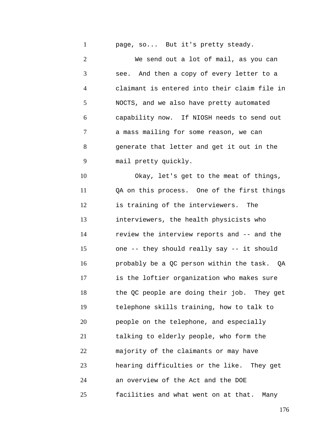1 page, so... But it's pretty steady.

2 3 4 5 6 7 8 9 We send out a lot of mail, as you can see. And then a copy of every letter to a claimant is entered into their claim file in NOCTS, and we also have pretty automated capability now. If NIOSH needs to send out a mass mailing for some reason, we can generate that letter and get it out in the mail pretty quickly.

10 11 12 13 14 15 16 17 18 19 20 21 22 23 24 25 Okay, let's get to the meat of things, QA on this process. One of the first things is training of the interviewers. The interviewers, the health physicists who review the interview reports and -- and the one -- they should really say -- it should probably be a QC person within the task. QA is the loftier organization who makes sure the QC people are doing their job. They get telephone skills training, how to talk to people on the telephone, and especially talking to elderly people, who form the majority of the claimants or may have hearing difficulties or the like. They get an overview of the Act and the DOE facilities and what went on at that. Many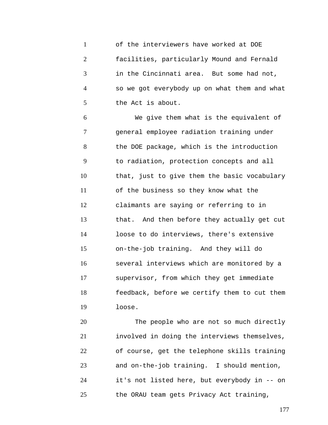1 2 3 4 5 of the interviewers have worked at DOE facilities, particularly Mound and Fernald in the Cincinnati area. But some had not, so we got everybody up on what them and what the Act is about.

6 7 8 9 10 11 12 13 14 15 16 17 18 19 We give them what is the equivalent of general employee radiation training under the DOE package, which is the introduction to radiation, protection concepts and all that, just to give them the basic vocabulary of the business so they know what the claimants are saying or referring to in that. And then before they actually get cut loose to do interviews, there's extensive on-the-job training. And they will do several interviews which are monitored by a supervisor, from which they get immediate feedback, before we certify them to cut them loose.

20 21 22 23 24 25 The people who are not so much directly involved in doing the interviews themselves, of course, get the telephone skills training and on-the-job training. I should mention, it's not listed here, but everybody in -- on the ORAU team gets Privacy Act training,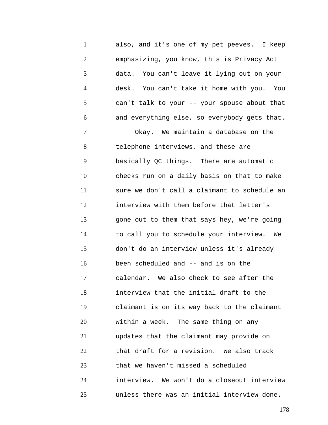1 2 3 4 5 6 7 8 9 10 11 12 13 14 15 16 17 18 19 20 21 also, and it's one of my pet peeves. I keep emphasizing, you know, this is Privacy Act data. You can't leave it lying out on your desk. You can't take it home with you. You can't talk to your -- your spouse about that and everything else, so everybody gets that. Okay. We maintain a database on the telephone interviews, and these are basically QC things. There are automatic checks run on a daily basis on that to make sure we don't call a claimant to schedule an interview with them before that letter's gone out to them that says hey, we're going to call you to schedule your interview. We don't do an interview unless it's already been scheduled and -- and is on the calendar. We also check to see after the interview that the initial draft to the claimant is on its way back to the claimant within a week. The same thing on any updates that the claimant may provide on

23 that we haven't missed a scheduled

22

24

25

that draft for a revision. We also track

interview. We won't do a closeout interview

unless there was an initial interview done.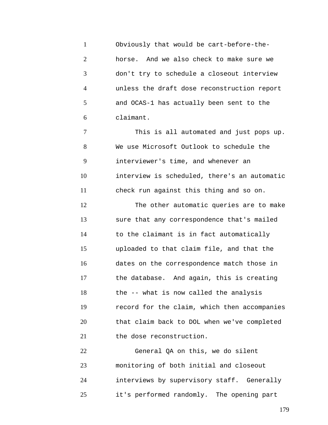1 2 3 4 5 6 Obviously that would be cart-before-thehorse. And we also check to make sure we don't try to schedule a closeout interview unless the draft dose reconstruction report and OCAS-1 has actually been sent to the claimant.

7 8 9 10 11 12 13 14 15 16 17 18 19 20 21 This is all automated and just pops up. We use Microsoft Outlook to schedule the interviewer's time, and whenever an interview is scheduled, there's an automatic check run against this thing and so on. The other automatic queries are to make sure that any correspondence that's mailed to the claimant is in fact automatically uploaded to that claim file, and that the dates on the correspondence match those in the database. And again, this is creating the -- what is now called the analysis record for the claim, which then accompanies that claim back to DOL when we've completed the dose reconstruction.

22 23 24 25 General QA on this, we do silent monitoring of both initial and closeout interviews by supervisory staff. Generally it's performed randomly. The opening part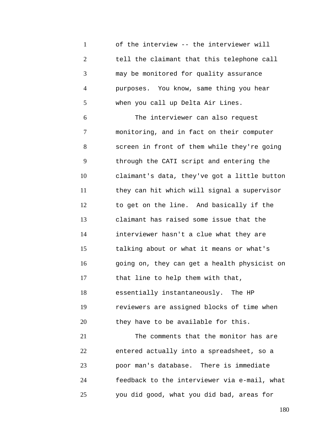1 2 3 4 5 of the interview -- the interviewer will tell the claimant that this telephone call may be monitored for quality assurance purposes. You know, same thing you hear when you call up Delta Air Lines.

6 7 8 9 10 11 12 13 14 15 16 17 18 19 20 21 22 The interviewer can also request monitoring, and in fact on their computer screen in front of them while they're going through the CATI script and entering the claimant's data, they've got a little button they can hit which will signal a supervisor to get on the line. And basically if the claimant has raised some issue that the interviewer hasn't a clue what they are talking about or what it means or what's going on, they can get a health physicist on that line to help them with that, essentially instantaneously. The HP reviewers are assigned blocks of time when they have to be available for this. The comments that the monitor has are entered actually into a spreadsheet, so a

23 24 25 poor man's database. There is immediate feedback to the interviewer via e-mail, what you did good, what you did bad, areas for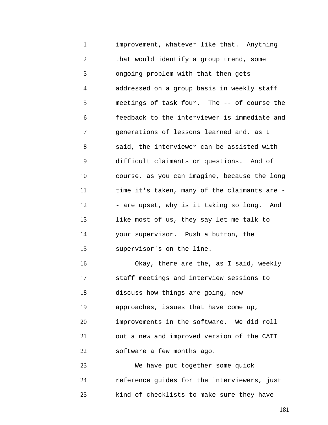1 2 3 4 5 6 7 8 9 10 11 12 13 14 15 16 17 18 19 20 21 22 23 improvement, whatever like that. Anything that would identify a group trend, some ongoing problem with that then gets addressed on a group basis in weekly staff meetings of task four. The -- of course the feedback to the interviewer is immediate and generations of lessons learned and, as I said, the interviewer can be assisted with difficult claimants or questions. And of course, as you can imagine, because the long time it's taken, many of the claimants are - - are upset, why is it taking so long. And like most of us, they say let me talk to your supervisor. Push a button, the supervisor's on the line. Okay, there are the, as I said, weekly staff meetings and interview sessions to discuss how things are going, new approaches, issues that have come up, improvements in the software. We did roll out a new and improved version of the CATI software a few months ago. We have put together some quick

24 25 reference guides for the interviewers, just kind of checklists to make sure they have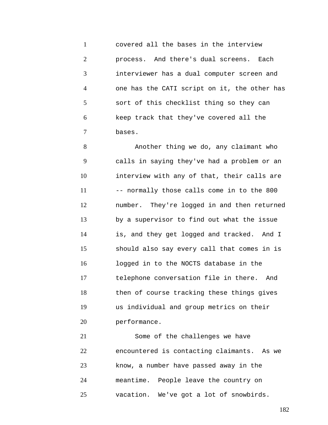1 2 3 4 5 6 7 covered all the bases in the interview process. And there's dual screens. Each interviewer has a dual computer screen and one has the CATI script on it, the other has sort of this checklist thing so they can keep track that they've covered all the bases.

8 9 10 11 12 13 14 15 16 17 18 19 20 Another thing we do, any claimant who calls in saying they've had a problem or an interview with any of that, their calls are -- normally those calls come in to the 800 number. They're logged in and then returned by a supervisor to find out what the issue is, and they get logged and tracked. And I should also say every call that comes in is logged in to the NOCTS database in the telephone conversation file in there. And then of course tracking these things gives us individual and group metrics on their performance.

21 22 23 24 25 Some of the challenges we have encountered is contacting claimants. As we know, a number have passed away in the meantime. People leave the country on vacation. We've got a lot of snowbirds.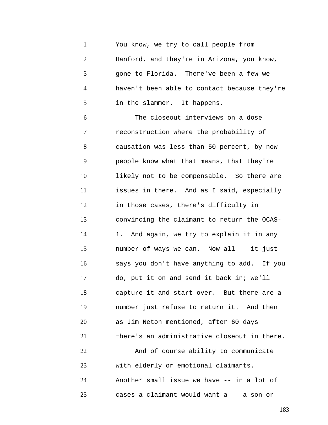1 2 3 4 5 6 7 8 9 You know, we try to call people from Hanford, and they're in Arizona, you know, gone to Florida. There've been a few we haven't been able to contact because they're in the slammer. It happens. The closeout interviews on a dose reconstruction where the probability of causation was less than 50 percent, by now people know what that means, that they're

10 11 12 13 14 15 16 17 18 19 20 21 22 23 24 likely not to be compensable. So there are issues in there. And as I said, especially in those cases, there's difficulty in convincing the claimant to return the OCAS-1. And again, we try to explain it in any number of ways we can. Now all -- it just says you don't have anything to add. If you do, put it on and send it back in; we'll capture it and start over. But there are a number just refuse to return it. And then as Jim Neton mentioned, after 60 days there's an administrative closeout in there. And of course ability to communicate with elderly or emotional claimants. Another small issue we have -- in a lot of

cases a claimant would want a -- a son or

25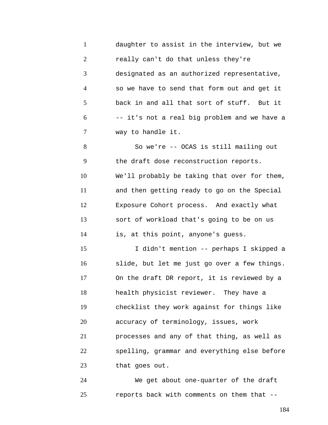1 2 3 4 5 6 7 daughter to assist in the interview, but we really can't do that unless they're designated as an authorized representative, so we have to send that form out and get it back in and all that sort of stuff. But it -- it's not a real big problem and we have a way to handle it.

8 9 10 11 12 13 14 So we're -- OCAS is still mailing out the draft dose reconstruction reports. We'll probably be taking that over for them, and then getting ready to go on the Special Exposure Cohort process. And exactly what sort of workload that's going to be on us is, at this point, anyone's guess.

15 16 17 18 19 20 21 22 23 I didn't mention -- perhaps I skipped a slide, but let me just go over a few things. On the draft DR report, it is reviewed by a health physicist reviewer. They have a checklist they work against for things like accuracy of terminology, issues, work processes and any of that thing, as well as spelling, grammar and everything else before that goes out.

24 25 We get about one-quarter of the draft reports back with comments on them that --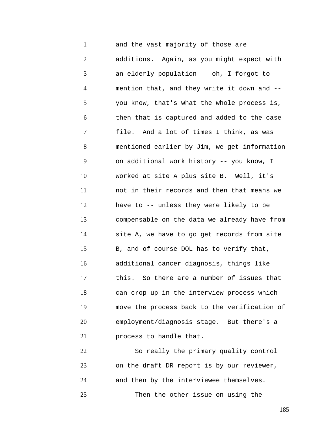1 2 3 4 5 6 7 8 9 10 11 12 13 14 15 16 17 18 19 20 21 and the vast majority of those are additions. Again, as you might expect with an elderly population -- oh, I forgot to mention that, and they write it down and - you know, that's what the whole process is, then that is captured and added to the case file. And a lot of times I think, as was mentioned earlier by Jim, we get information on additional work history -- you know, I worked at site A plus site B. Well, it's not in their records and then that means we have to -- unless they were likely to be compensable on the data we already have from site A, we have to go get records from site B, and of course DOL has to verify that, additional cancer diagnosis, things like this. So there are a number of issues that can crop up in the interview process which move the process back to the verification of employment/diagnosis stage. But there's a process to handle that.

22 23 24 25 So really the primary quality control on the draft DR report is by our reviewer, and then by the interviewee themselves. Then the other issue on using the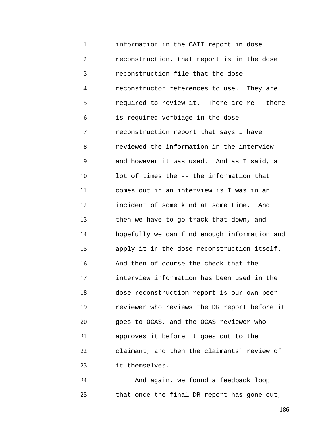1 2 3 4 5 6 7 8 9 10 11 12 13 14 15 16 17 18 19 20 21 22 23 information in the CATI report in dose reconstruction, that report is in the dose reconstruction file that the dose reconstructor references to use. They are required to review it. There are re-- there is required verbiage in the dose reconstruction report that says I have reviewed the information in the interview and however it was used. And as I said, a lot of times the -- the information that comes out in an interview is I was in an incident of some kind at some time. And then we have to go track that down, and hopefully we can find enough information and apply it in the dose reconstruction itself. And then of course the check that the interview information has been used in the dose reconstruction report is our own peer reviewer who reviews the DR report before it goes to OCAS, and the OCAS reviewer who approves it before it goes out to the claimant, and then the claimants' review of it themselves.

24 25 And again, we found a feedback loop that once the final DR report has gone out,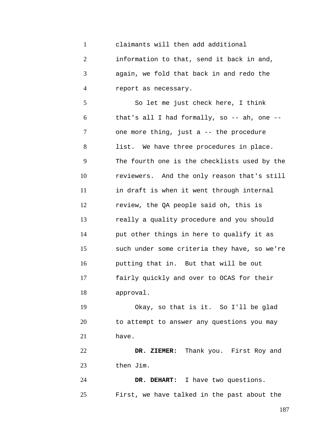1 2 3 4 5 6 7 8 9 10 11 12 13 14 15 16 17 18 19 20 21 22 23 24 claimants will then add additional information to that, send it back in and, again, we fold that back in and redo the report as necessary. So let me just check here, I think that's all I had formally, so -- ah, one - one more thing, just a -- the procedure list. We have three procedures in place. The fourth one is the checklists used by the reviewers. And the only reason that's still in draft is when it went through internal review, the QA people said oh, this is really a quality procedure and you should put other things in here to qualify it as such under some criteria they have, so we're putting that in. But that will be out fairly quickly and over to OCAS for their approval. Okay, so that is it. So I'll be glad to attempt to answer any questions you may have. **DR. ZIEMER:** Thank you. First Roy and then Jim. **DR. DEHART:** I have two questions.

First, we have talked in the past about the

25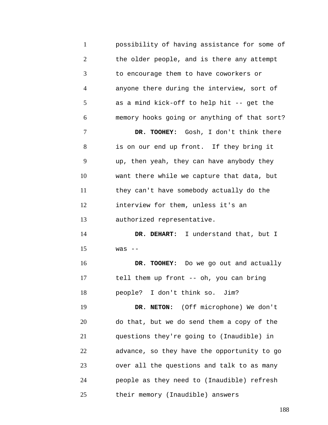1 2 3 4 5 6 7 8 9 10 11 12 13 14 15 16 17 18 19 20 21 22 23 24 25 possibility of having assistance for some of the older people, and is there any attempt to encourage them to have coworkers or anyone there during the interview, sort of as a mind kick-off to help hit -- get the memory hooks going or anything of that sort? **DR. TOOHEY:** Gosh, I don't think there is on our end up front. If they bring it up, then yeah, they can have anybody they want there while we capture that data, but they can't have somebody actually do the interview for them, unless it's an authorized representative. **DR. DEHART:** I understand that, but I  $was$   $-$ **DR. TOOHEY:** Do we go out and actually tell them up front -- oh, you can bring people? I don't think so. Jim? **DR. NETON:** (Off microphone) We don't do that, but we do send them a copy of the questions they're going to (Inaudible) in advance, so they have the opportunity to go over all the questions and talk to as many people as they need to (Inaudible) refresh their memory (Inaudible) answers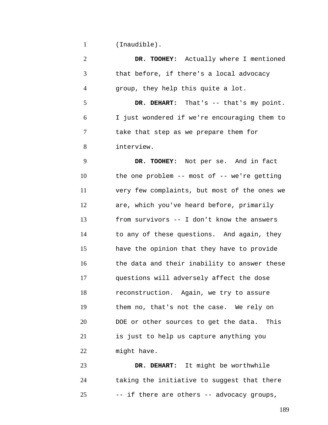1 (Inaudible).

2 3 4 **DR. TOOHEY:** Actually where I mentioned that before, if there's a local advocacy group, they help this quite a lot.

5 6 7 8 **DR. DEHART:** That's -- that's my point. I just wondered if we're encouraging them to take that step as we prepare them for interview.

9 10 11 12 13 14 15 16 17 18 19 20 21 22 **DR. TOOHEY:** Not per se. And in fact the one problem -- most of -- we're getting very few complaints, but most of the ones we are, which you've heard before, primarily from survivors -- I don't know the answers to any of these questions. And again, they have the opinion that they have to provide the data and their inability to answer these questions will adversely affect the dose reconstruction. Again, we try to assure them no, that's not the case. We rely on DOE or other sources to get the data. This is just to help us capture anything you might have.

23 24 25 **DR. DEHART:** It might be worthwhile taking the initiative to suggest that there -- if there are others -- advocacy groups,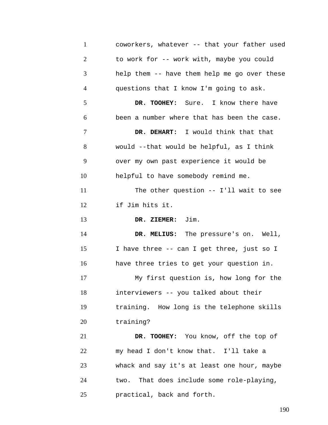| $\mathbf{1}$   | coworkers, whatever -- that your father used |
|----------------|----------------------------------------------|
| $\overline{2}$ | to work for -- work with, maybe you could    |
| 3              | help them -- have them help me go over these |
| $\overline{4}$ | questions that I know I'm going to ask.      |
| 5              | DR. TOOHEY: Sure. I know there have          |
| 6              | been a number where that has been the case.  |
| 7              | DR. DEHART: I would think that that          |
| 8              | would --that would be helpful, as I think    |
| 9              | over my own past experience it would be      |
| 10             | helpful to have somebody remind me.          |
| 11             | The other question -- I'll wait to see       |
| 12             | if Jim hits it.                              |
| 13             | DR. ZIEMER: Jim.                             |
| 14             | DR. MELIUS: The pressure's on. Well,         |
| 15             | I have three -- can I get three, just so I   |
| 16             | have three tries to get your question in.    |
| 17             | My first question is, how long for the       |
| 18             | interviewers -- you talked about their       |
| 19             | training. How long is the telephone skills   |
| 20             | training?                                    |
| 21             | DR. TOOHEY: You know, off the top of         |
| 22             | my head I don't know that. I'll take a       |
| 23             | whack and say it's at least one hour, maybe  |
| 24             | two. That does include some role-playing,    |
| 25             | practical, back and forth.                   |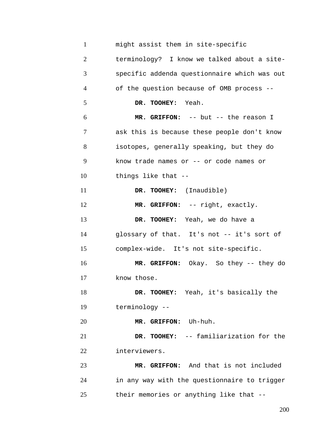| $\mathbf{1}$   | might assist them in site-specific           |
|----------------|----------------------------------------------|
| $\overline{2}$ | terminology? I know we talked about a site-  |
| 3              | specific addenda questionnaire which was out |
| $\overline{4}$ | of the question because of OMB process --    |
| 5              | DR. TOOHEY: Yeah.                            |
| 6              | MR. GRIFFON: -- but -- the reason I          |
| 7              | ask this is because these people don't know  |
| 8              | isotopes, generally speaking, but they do    |
| 9              | know trade names or -- or code names or      |
| 10             | things like that --                          |
| 11             | DR. TOOHEY: (Inaudible)                      |
| 12             | MR. GRIFFON: -- right, exactly.              |
| 13             | DR. TOOHEY: Yeah, we do have a               |
| 14             | glossary of that. It's not -- it's sort of   |
| 15             | complex-wide. It's not site-specific.        |
| 16             | MR. GRIFFON: Okay. So they -- they do        |
| 17             | know those.                                  |
| 18             | DR. TOOHEY: Yeah, it's basically the         |
| 19             | terminology --                               |
| 20             | MR. GRIFFON: Uh-huh.                         |
| 21             | DR. TOOHEY: -- familiarization for the       |
| 22             | interviewers.                                |
| 23             | MR. GRIFFON: And that is not included        |
| 24             | in any way with the questionnaire to trigger |
| 25             | their memories or anything like that --      |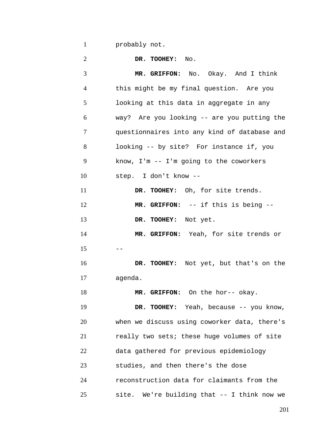1 probably not.

| $\overline{2}$ | DR. TOOHEY: No.                              |
|----------------|----------------------------------------------|
| 3              | MR. GRIFFON: No. Okay. And I think           |
| 4              | this might be my final question. Are you     |
| 5              | looking at this data in aggregate in any     |
| 6              | way? Are you looking -- are you putting the  |
| 7              | questionnaires into any kind of database and |
| 8              | looking -- by site? For instance if, you     |
| 9              | know, $I'm -- I'm going to the coworkers$    |
| 10             | step. I don't know --                        |
| 11             | DR. TOOHEY: Oh, for site trends.             |
| 12             | MR. GRIFFON: -- if this is being --          |
| 13             | DR. TOOHEY: Not yet.                         |
| 14             | MR. GRIFFON: Yeah, for site trends or        |
| 15             | $- -$                                        |
| 16             | DR. TOOHEY: Not yet, but that's on the       |
| 17             | agenda.                                      |
| 18             | MR. GRIFFON: On the hor-- okay.              |
| 19             | DR. TOOHEY: Yeah, because -- you know,       |
| 20             | when we discuss using coworker data, there's |
| 21             | really two sets; these huge volumes of site  |
| 22             | data gathered for previous epidemiology      |
| 23             | studies, and then there's the dose           |
| 24             | reconstruction data for claimants from the   |
| 25             | site. We're building that -- I think now we  |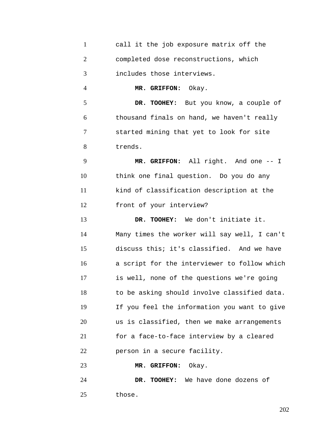| $\mathbf{1}$   | call it the job exposure matrix off the      |
|----------------|----------------------------------------------|
| $\overline{2}$ | completed dose reconstructions, which        |
| 3              | includes those interviews.                   |
| $\overline{4}$ | MR. GRIFFON: Okay.                           |
| 5              | DR. TOOHEY: But you know, a couple of        |
| 6              | thousand finals on hand, we haven't really   |
| 7              | started mining that yet to look for site     |
| 8              | trends.                                      |
| 9              | MR. GRIFFON: All right. And one -- I         |
| 10             | think one final question. Do you do any      |
| 11             | kind of classification description at the    |
| 12             | front of your interview?                     |
|                |                                              |
| 13             | DR. TOOHEY: We don't initiate it.            |
| 14             | Many times the worker will say well, I can't |
| 15             | discuss this; it's classified. And we have   |
| 16             | a script for the interviewer to follow which |
| 17             | is well, none of the questions we're going   |
| 18             | to be asking should involve classified data. |
| 19             | If you feel the information you want to give |
| 20             | us is classified, then we make arrangements  |
| 21             | for a face-to-face interview by a cleared    |
| 22             | person in a secure facility.                 |
| 23             | MR. GRIFFON:<br>Okay.                        |

25 those.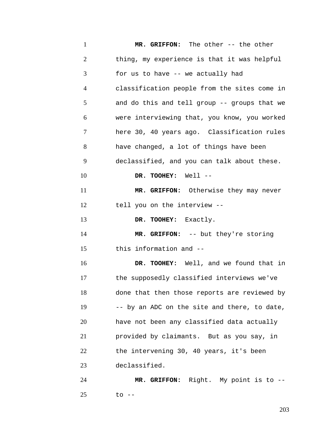1 2 3 4 5 6 7 8 9 10 11 12 13 14 15 16 17 18 19 20 21 22 23 24 25 **MR. GRIFFON:** The other -- the other thing, my experience is that it was helpful for us to have -- we actually had classification people from the sites come in and do this and tell group -- groups that we were interviewing that, you know, you worked here 30, 40 years ago. Classification rules have changed, a lot of things have been declassified, and you can talk about these. **DR. TOOHEY:** Well -- **MR. GRIFFON:** Otherwise they may never tell you on the interview -- **DR. TOOHEY:** Exactly. **MR. GRIFFON:** -- but they're storing this information and -- **DR. TOOHEY:** Well, and we found that in the supposedly classified interviews we've done that then those reports are reviewed by -- by an ADC on the site and there, to date, have not been any classified data actually provided by claimants. But as you say, in the intervening 30, 40 years, it's been declassified. **MR. GRIFFON:** Right. My point is to - to --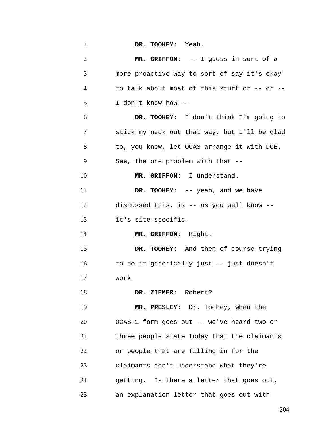| $\mathbf{1}$   | DR. TOOHEY: Yeah.                            |
|----------------|----------------------------------------------|
| $\overline{2}$ | MR. GRIFFON: -- I guess in sort of a         |
| 3              | more proactive way to sort of say it's okay  |
| $\overline{4}$ | to talk about most of this stuff or -- or -- |
| 5              | I don't know how --                          |
| 6              | DR. TOOHEY: I don't think I'm going to       |
| 7              | stick my neck out that way, but I'll be glad |
| 8              | to, you know, let OCAS arrange it with DOE.  |
| 9              | See, the one problem with that --            |
| 10             | MR. GRIFFON: I understand.                   |
| 11             | DR. TOOHEY: -- yeah, and we have             |
| 12             | discussed this, is -- as you well know --    |
| 13             | it's site-specific.                          |
| 14             | MR. GRIFFON: Right.                          |
| 15             | DR. TOOHEY: And then of course trying        |
| 16             | to do it generically just -- just doesn't    |
| 17             | work.                                        |
| 18             | DR. ZIEMER: Robert?                          |
| 19             | MR. PRESLEY: Dr. Toohey, when the            |
| 20             | OCAS-1 form goes out -- we've heard two or   |
| 21             | three people state today that the claimants  |
| 22             | or people that are filling in for the        |
| 23             | claimants don't understand what they're      |
| 24             | getting. Is there a letter that goes out,    |
| 25             | an explanation letter that goes out with     |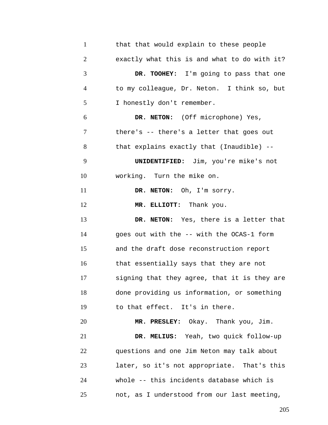| $\mathbf{1}$   | that that would explain to these people      |
|----------------|----------------------------------------------|
| $\mathbf{2}$   | exactly what this is and what to do with it? |
| 3              | DR. TOOHEY: I'm going to pass that one       |
| $\overline{4}$ | to my colleague, Dr. Neton. I think so, but  |
| 5              | I honestly don't remember.                   |
| 6              | DR. NETON: (Off microphone) Yes,             |
| 7              | there's -- there's a letter that goes out    |
| 8              | that explains exactly that (Inaudible) --    |
| 9              | <b>UNIDENTIFIED:</b> Jim, you're mike's not  |
| 10             | working. Turn the mike on.                   |
| 11             | DR. NETON: Oh, I'm sorry.                    |
| 12             | MR. ELLIOTT: Thank you.                      |
| 13             | DR. NETON: Yes, there is a letter that       |
| 14             | goes out with the -- with the OCAS-1 form    |
| 15             | and the draft dose reconstruction report     |
| 16             | that essentially says that they are not      |
| 17             | signing that they agree, that it is they are |
| 18             | done providing us information, or something  |
| 19             | to that effect. It's in there.               |
| 20             | MR. PRESLEY: Okay. Thank you, Jim.           |
| 21             | DR. MELIUS: Yeah, two quick follow-up        |
| 22             | questions and one Jim Neton may talk about   |
| 23             | later, so it's not appropriate. That's this  |
| 24             | whole -- this incidents database which is    |
| 25             | not, as I understood from our last meeting,  |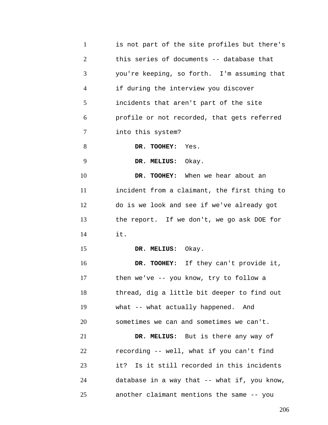1 2 3 4 5 6 7 8 9 10 11 12 13 14 15 16 17 18 19 20 21 22 23 24 25 is not part of the site profiles but there's this series of documents -- database that you're keeping, so forth. I'm assuming that if during the interview you discover incidents that aren't part of the site profile or not recorded, that gets referred into this system? **DR. TOOHEY:** Yes. **DR. MELIUS:** Okay. **DR. TOOHEY:** When we hear about an incident from a claimant, the first thing to do is we look and see if we've already got the report. If we don't, we go ask DOE for it. **DR. MELIUS:** Okay. **DR. TOOHEY:** If they can't provide it, then we've -- you know, try to follow a thread, dig a little bit deeper to find out what -- what actually happened. And sometimes we can and sometimes we can't. **DR. MELIUS:** But is there any way of recording -- well, what if you can't find it? Is it still recorded in this incidents database in a way that -- what if, you know, another claimant mentions the same -- you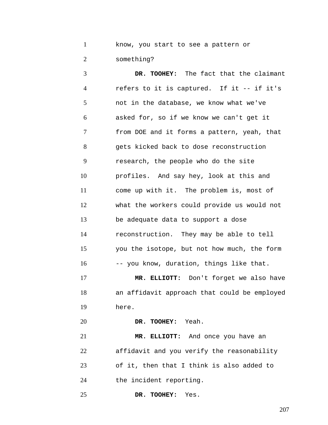1 2 know, you start to see a pattern or something?

3 4 5 6 7 8 9 10 11 12 13 14 15 16 **DR. TOOHEY:** The fact that the claimant refers to it is captured. If it -- if it's not in the database, we know what we've asked for, so if we know we can't get it from DOE and it forms a pattern, yeah, that gets kicked back to dose reconstruction research, the people who do the site profiles. And say hey, look at this and come up with it. The problem is, most of what the workers could provide us would not be adequate data to support a dose reconstruction. They may be able to tell you the isotope, but not how much, the form -- you know, duration, things like that.

17 18 19 **MR. ELLIOTT:** Don't forget we also have an affidavit approach that could be employed here.

20 **DR. TOOHEY:** Yeah.

21 22 23 24 **MR. ELLIOTT:** And once you have an affidavit and you verify the reasonability of it, then that I think is also added to the incident reporting.

25 **DR. TOOHEY:** Yes.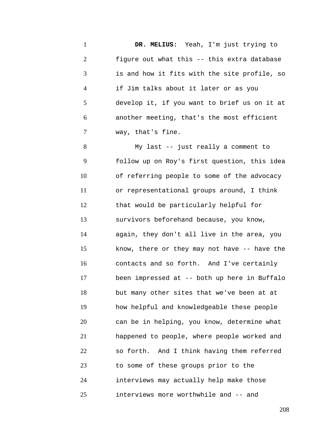1 2 3 4 5 6 7 **DR. MELIUS:** Yeah, I'm just trying to figure out what this -- this extra database is and how it fits with the site profile, so if Jim talks about it later or as you develop it, if you want to brief us on it at another meeting, that's the most efficient way, that's fine.

8 9 10 11 12 13 14 15 16 17 18 19 20 21 22 23 24 25 My last -- just really a comment to follow up on Roy's first question, this idea of referring people to some of the advocacy or representational groups around, I think that would be particularly helpful for survivors beforehand because, you know, again, they don't all live in the area, you know, there or they may not have -- have the contacts and so forth. And I've certainly been impressed at -- both up here in Buffalo but many other sites that we've been at at how helpful and knowledgeable these people can be in helping, you know, determine what happened to people, where people worked and so forth. And I think having them referred to some of these groups prior to the interviews may actually help make those interviews more worthwhile and -- and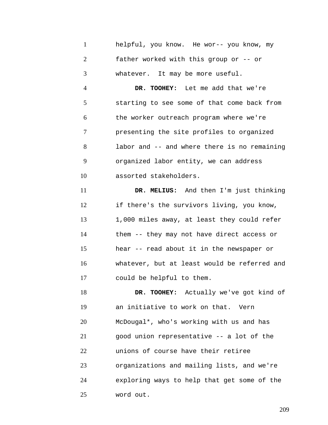1 2 3 helpful, you know. He wor-- you know, my father worked with this group or -- or whatever. It may be more useful.

4 5 6 7 8 9 10 **DR. TOOHEY:** Let me add that we're starting to see some of that come back from the worker outreach program where we're presenting the site profiles to organized labor and -- and where there is no remaining organized labor entity, we can address assorted stakeholders.

11 12 13 14 15 16 17 **DR. MELIUS:** And then I'm just thinking if there's the survivors living, you know, 1,000 miles away, at least they could refer them -- they may not have direct access or hear -- read about it in the newspaper or whatever, but at least would be referred and could be helpful to them.

18 19 20 21 22 23 24 25 **DR. TOOHEY:** Actually we've got kind of an initiative to work on that. Vern McDougal\*, who's working with us and has good union representative -- a lot of the unions of course have their retiree organizations and mailing lists, and we're exploring ways to help that get some of the word out.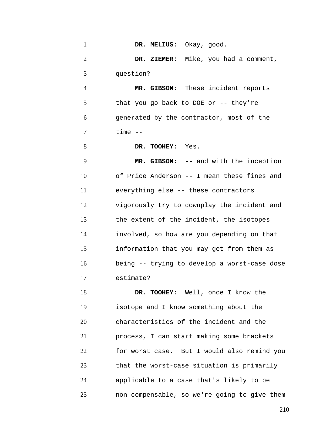| $\mathbf{1}$   | DR. MELIUS: Okay, good.                      |
|----------------|----------------------------------------------|
| $\overline{2}$ | DR. ZIEMER: Mike, you had a comment,         |
| 3              | question?                                    |
| 4              | MR. GIBSON: These incident reports           |
| 5              | that you go back to DOE or $-$ - they're     |
| 6              | generated by the contractor, most of the     |
| 7              | $time$ --                                    |
| 8              | DR. TOOHEY: Yes.                             |
| 9              | MR. GIBSON: -- and with the inception        |
| 10             | of Price Anderson -- I mean these fines and  |
| 11             | everything else -- these contractors         |
| 12             | vigorously try to downplay the incident and  |
| 13             | the extent of the incident, the isotopes     |
| 14             | involved, so how are you depending on that   |
| 15             | information that you may get from them as    |
| 16             | being -- trying to develop a worst-case dose |
| 17             | estimate?                                    |
| 18             | DR. TOOHEY: Well, once I know the            |

19 20 21 22 23 24 25 isotope and I know something about the characteristics of the incident and the process, I can start making some brackets for worst case. But I would also remind you that the worst-case situation is primarily applicable to a case that's likely to be non-compensable, so we're going to give them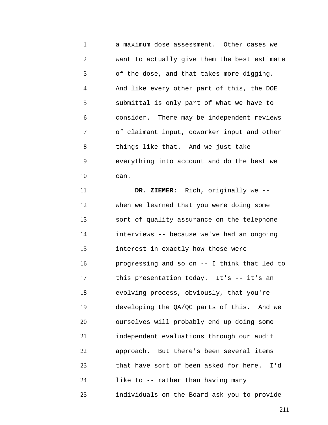1 2 3 4 5 6 7 8 9 10 a maximum dose assessment. Other cases we want to actually give them the best estimate of the dose, and that takes more digging. And like every other part of this, the DOE submittal is only part of what we have to consider. There may be independent reviews of claimant input, coworker input and other things like that. And we just take everything into account and do the best we can.

11 12 13 14 15 16 17 18 19 20 21 22 23 24 25 **DR. ZIEMER:** Rich, originally we - when we learned that you were doing some sort of quality assurance on the telephone interviews -- because we've had an ongoing interest in exactly how those were progressing and so on -- I think that led to this presentation today. It's -- it's an evolving process, obviously, that you're developing the QA/QC parts of this. And we ourselves will probably end up doing some independent evaluations through our audit approach. But there's been several items that have sort of been asked for here. I'd like to -- rather than having many individuals on the Board ask you to provide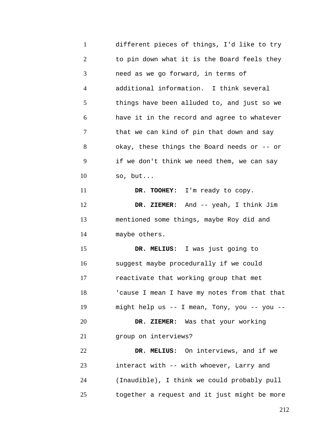1 2 3 4 5 6 7 8 9 10 11 12 13 14 15 16 17 18 19 20 21 22 23 24 25 different pieces of things, I'd like to try to pin down what it is the Board feels they need as we go forward, in terms of additional information. I think several things have been alluded to, and just so we have it in the record and agree to whatever that we can kind of pin that down and say okay, these things the Board needs or -- or if we don't think we need them, we can say so, but... **DR. TOOHEY:** I'm ready to copy. **DR. ZIEMER:** And -- yeah, I think Jim mentioned some things, maybe Roy did and maybe others. **DR. MELIUS:** I was just going to suggest maybe procedurally if we could reactivate that working group that met 'cause I mean I have my notes from that that might help us -- I mean, Tony, you -- you -- **DR. ZIEMER:** Was that your working group on interviews? **DR. MELIUS:** On interviews, and if we interact with -- with whoever, Larry and (Inaudible), I think we could probably pull together a request and it just might be more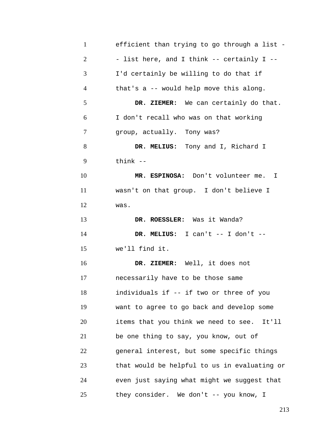| $\mathbf{1}$   | efficient than trying to go through a list - |
|----------------|----------------------------------------------|
| $\overline{2}$ | - list here, and I think -- certainly I --   |
| 3              | I'd certainly be willing to do that if       |
| 4              | that's a -- would help move this along.      |
| 5              | DR. ZIEMER: We can certainly do that.        |
| 6              | I don't recall who was on that working       |
| 7              | group, actually. Tony was?                   |
| 8              | DR. MELIUS: Tony and I, Richard I            |
| 9              | think $--$                                   |
| 10             | MR. ESPINOSA: Don't volunteer me. I          |
| 11             | wasn't on that group. I don't believe I      |
| 12             | was.                                         |
| 13             | DR. ROESSLER: Was it Wanda?                  |
| 14             | DR. MELIUS: I can't $--$ I don't $--$        |
| 15             | we'll find it.                               |
| 16             | DR. ZIEMER: Well, it does not                |
| 17             | necessarily have to be those same            |
| 18             | individuals if -- if two or three of you     |
| 19             | want to agree to go back and develop some    |
| 20             | items that you think we need to see. It'll   |
| 21             | be one thing to say, you know, out of        |
| 22             | general interest, but some specific things   |
| 23             | that would be helpful to us in evaluating or |
| 24             | even just saying what might we suggest that  |
| 25             | they consider. We don't -- you know, I       |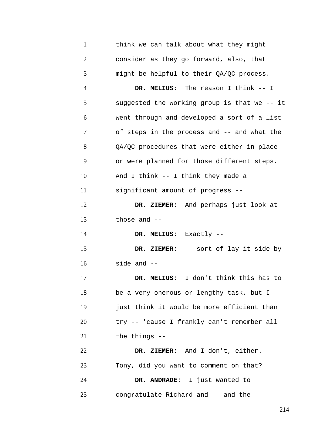| $\mathbf{1}$   | think we can talk about what they might      |
|----------------|----------------------------------------------|
| $\overline{c}$ | consider as they go forward, also, that      |
| 3              | might be helpful to their QA/QC process.     |
| 4              | DR. MELIUS: The reason I think -- I          |
| 5              | suggested the working group is that we -- it |
| 6              | went through and developed a sort of a list  |
| 7              | of steps in the process and -- and what the  |
| 8              | QA/QC procedures that were either in place   |
| 9              | or were planned for those different steps.   |
| 10             | And I think -- I think they made a           |
| 11             | significant amount of progress --            |
| 12             | DR. ZIEMER: And perhaps just look at         |
| 13             | those and $-$                                |
| 14             | DR. MELIUS: Exactly --                       |
| 15             | DR. ZIEMER: -- sort of lay it side by        |
| 16             | side and --                                  |
| 17             | I don't think this has to<br>DR. MELIUS:     |
| 18             | be a very onerous or lengthy task, but I     |
| 19             | just think it would be more efficient than   |
| 20             | try -- 'cause I frankly can't remember all   |
| 21             | the things --                                |
| 22             | DR. ZIEMER: And I don't, either.             |
| 23             | Tony, did you want to comment on that?       |
| 24             | DR. ANDRADE: I just wanted to                |
| 25             | congratulate Richard and -- and the          |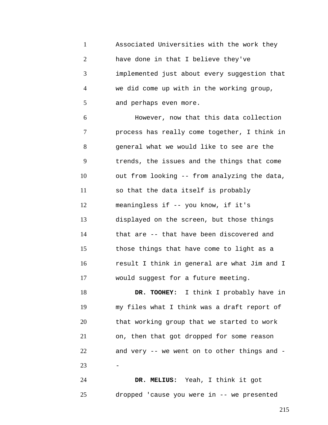1 2 3 4 5 Associated Universities with the work they have done in that I believe they've implemented just about every suggestion that we did come up with in the working group, and perhaps even more.

6 7 8 9 10 11 12 13 14 15 16 17 However, now that this data collection process has really come together, I think in general what we would like to see are the trends, the issues and the things that come out from looking -- from analyzing the data, so that the data itself is probably meaningless if -- you know, if it's displayed on the screen, but those things that are -- that have been discovered and those things that have come to light as a result I think in general are what Jim and I would suggest for a future meeting.

18 19 20 21 22 23 **DR. TOOHEY:** I think I probably have in my files what I think was a draft report of that working group that we started to work on, then that got dropped for some reason and very -- we went on to other things and - -

24 25 **DR. MELIUS:** Yeah, I think it got dropped 'cause you were in -- we presented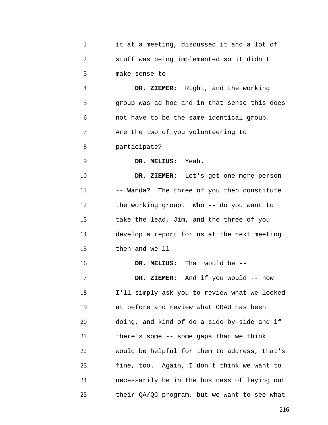| $\mathbf{1}$   | it at a meeting, discussed it and a lot of   |
|----------------|----------------------------------------------|
| $\overline{2}$ | stuff was being implemented so it didn't     |
| 3              | make sense to --                             |
| $\overline{4}$ | DR. ZIEMER: Right, and the working           |
| 5              | group was ad hoc and in that sense this does |
| 6              | not have to be the same identical group.     |
| 7              | Are the two of you volunteering to           |
| 8              | participate?                                 |
| 9              | DR. MELIUS: Yeah.                            |
| 10             | DR. ZIEMER: Let's get one more person        |
| 11             | -- Wanda? The three of you then constitute   |
| 12             | the working group. Who -- do you want to     |
| 13             | take the lead, Jim, and the three of you     |
| 14             | develop a report for us at the next meeting  |
| 15             | then and $we'll$ --                          |
| 16             | DR. MELIUS: That would be --                 |
| 17             | DR. ZIEMER: And if you would -- now          |
| 18             | I'll simply ask you to review what we looked |
| 19             | at before and review what ORAU has been      |
| 20             | doing, and kind of do a side-by-side and if  |
| 21             | there's some -- some gaps that we think      |
| 22             | would be helpful for them to address, that's |
| 23             | fine, too. Again, I don't think we want to   |
| 24             | necessarily be in the business of laying out |
| 25             | their QA/QC program, but we want to see what |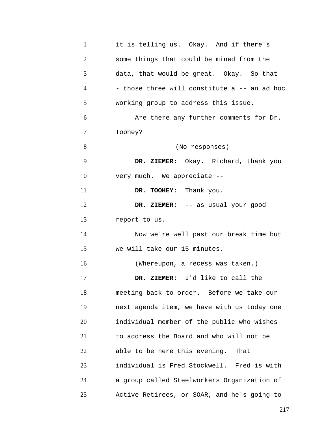| $\mathbf{1}$   | it is telling us. Okay. And if there's       |
|----------------|----------------------------------------------|
| $\overline{2}$ | some things that could be mined from the     |
| 3              | data, that would be great. Okay. So that -   |
| 4              | - those three will constitute a -- an ad hoc |
| 5              | working group to address this issue.         |
| 6              | Are there any further comments for Dr.       |
| 7              | Toohey?                                      |
| 8              | (No responses)                               |
| 9              | DR. ZIEMER: Okay. Richard, thank you         |
| 10             | very much. We appreciate --                  |
| 11             | DR. TOOHEY: Thank you.                       |
| 12             | DR. ZIEMER: -- as usual your good            |
| 13             | report to us.                                |
| 14             | Now we're well past our break time but       |
| 15             | we will take our 15 minutes.                 |
| 16             | (Whereupon, a recess was taken.)             |
| 17             | DR. ZIEMER: I'd like to call the             |
| 18             | meeting back to order. Before we take our    |
| 19             | next agenda item, we have with us today one  |
| 20             | individual member of the public who wishes   |
| 21             | to address the Board and who will not be     |
| 22             | able to be here this evening. That           |
| 23             | individual is Fred Stockwell. Fred is with   |
| 24             | a group called Steelworkers Organization of  |
| 25             | Active Retirees, or SOAR, and he's going to  |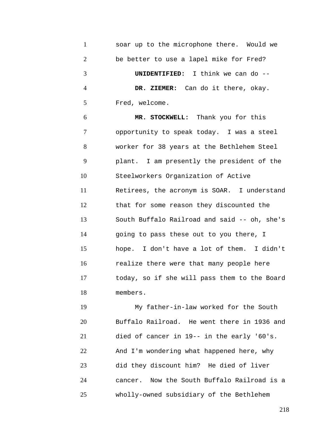| $\mathbf{1}$   | soar up to the microphone there. Would we    |
|----------------|----------------------------------------------|
| $\overline{2}$ | be better to use a lapel mike for Fred?      |
| 3              | UNIDENTIFIED: I think we can do --           |
| $\overline{4}$ | DR. ZIEMER: Can do it there, okay.           |
| 5              | Fred, welcome.                               |
| 6              | MR. STOCKWELL: Thank you for this            |
| 7              | opportunity to speak today. I was a steel    |
| 8              | worker for 38 years at the Bethlehem Steel   |
| 9              | plant. I am presently the president of the   |
| 10             | Steelworkers Organization of Active          |
| 11             | Retirees, the acronym is SOAR. I understand  |
| 12             | that for some reason they discounted the     |
| 13             | South Buffalo Railroad and said -- oh, she's |
| 14             | going to pass these out to you there, I      |
| 15             | hope. I don't have a lot of them. I didn't   |
| 16             | realize there were that many people here     |
| 17             | today, so if she will pass them to the Board |
| 18             | members.                                     |

19 20 21 22 23 24 25 My father-in-law worked for the South Buffalo Railroad. He went there in 1936 and died of cancer in 19-- in the early '60's. And I'm wondering what happened here, why did they discount him? He died of liver cancer. Now the South Buffalo Railroad is a wholly-owned subsidiary of the Bethlehem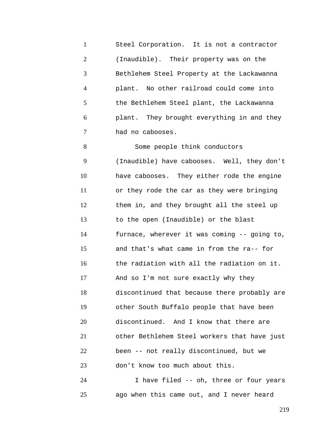1 2 3 4 5 6 7 Steel Corporation. It is not a contractor (Inaudible). Their property was on the Bethlehem Steel Property at the Lackawanna plant. No other railroad could come into the Bethlehem Steel plant, the Lackawanna plant. They brought everything in and they had no cabooses.

8 9 10 11 12 13 14 15 16 17 18 19 20 21 22 23 Some people think conductors (Inaudible) have cabooses. Well, they don't have cabooses. They either rode the engine or they rode the car as they were bringing them in, and they brought all the steel up to the open (Inaudible) or the blast furnace, wherever it was coming -- going to, and that's what came in from the ra-- for the radiation with all the radiation on it. And so I'm not sure exactly why they discontinued that because there probably are other South Buffalo people that have been discontinued. And I know that there are other Bethlehem Steel workers that have just been -- not really discontinued, but we don't know too much about this.

24 25 I have filed -- oh, three or four years ago when this came out, and I never heard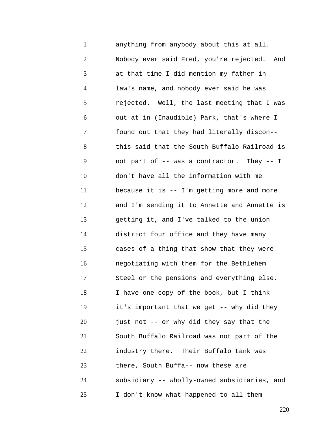1 2 3 4 5 6 7 8 9 10 11 12 13 14 15 16 17 18 19 20 21 22 23 24 25 anything from anybody about this at all. Nobody ever said Fred, you're rejected. And at that time I did mention my father-inlaw's name, and nobody ever said he was rejected. Well, the last meeting that I was out at in (Inaudible) Park, that's where I found out that they had literally discon- this said that the South Buffalo Railroad is not part of -- was a contractor. They -- I don't have all the information with me because it is -- I'm getting more and more and I'm sending it to Annette and Annette is getting it, and I've talked to the union district four office and they have many cases of a thing that show that they were negotiating with them for the Bethlehem Steel or the pensions and everything else. I have one copy of the book, but I think it's important that we get -- why did they just not -- or why did they say that the South Buffalo Railroad was not part of the industry there. Their Buffalo tank was there, South Buffa-- now these are subsidiary -- wholly-owned subsidiaries, and I don't know what happened to all them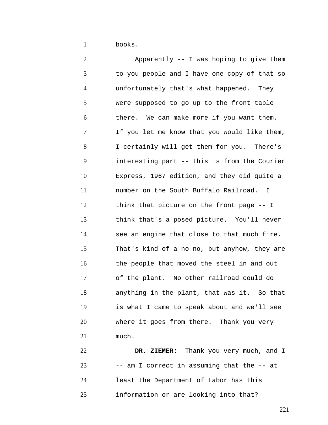1 books.

2 3 4 5 6 7 8 9 10 11 12 13 14 15 16 17 18 19 20 21 Apparently -- I was hoping to give them to you people and I have one copy of that so unfortunately that's what happened. They were supposed to go up to the front table there. We can make more if you want them. If you let me know that you would like them, I certainly will get them for you. There's interesting part -- this is from the Courier Express, 1967 edition, and they did quite a number on the South Buffalo Railroad. I think that picture on the front page -- I think that's a posed picture. You'll never see an engine that close to that much fire. That's kind of a no-no, but anyhow, they are the people that moved the steel in and out of the plant. No other railroad could do anything in the plant, that was it. So that is what I came to speak about and we'll see where it goes from there. Thank you very much.

22 23 24 25 **DR. ZIEMER:** Thank you very much, and I -- am I correct in assuming that the -- at least the Department of Labor has this information or are looking into that?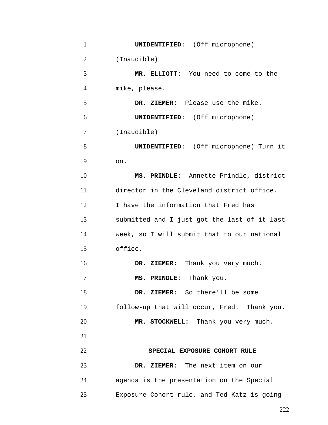| $\mathbf{1}$   | <b>UNIDENTIFIED:</b> (Off microphone)         |
|----------------|-----------------------------------------------|
| $\overline{2}$ | (Inaudible)                                   |
| 3              | MR. ELLIOTT: You need to come to the          |
| $\overline{4}$ | mike, please.                                 |
| 5              | DR. ZIEMER: Please use the mike.              |
| 6              | <b>UNIDENTIFIED:</b> (Off microphone)         |
| 7              | (Inaudible)                                   |
| 8              | <b>UNIDENTIFIED:</b> (Off microphone) Turn it |
| 9              | on.                                           |
| 10             | MS. PRINDLE: Annette Prindle, district        |
| 11             | director in the Cleveland district office.    |
| 12             | I have the information that Fred has          |
| 13             | submitted and I just got the last of it last  |
| 14             | week, so I will submit that to our national   |
| 15             | office.                                       |
| 16             | DR. ZIEMER: Thank you very much.              |
| 17             | MS. PRINDLE: Thank you.                       |
| 18             | DR. ZIEMER: So there'll be some               |
| 19             | follow-up that will occur, Fred. Thank you.   |
| 20             | MR. STOCKWELL: Thank you very much.           |
| 21             |                                               |
| 22             | SPECIAL EXPOSURE COHORT RULE                  |
| 23             | DR. ZIEMER: The next item on our              |
| 24             | agenda is the presentation on the Special     |
| 25             | Exposure Cohort rule, and Ted Katz is going   |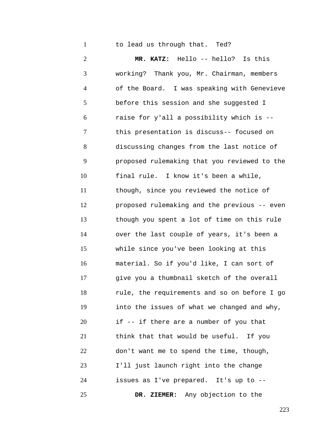1 to lead us through that. Ted?

2 3 4 5 6 7 8 9 10 11 12 13 14 15 16 17 18 19 20 21 22 23 24 25 **MR. KATZ:** Hello -- hello? Is this working? Thank you, Mr. Chairman, members of the Board. I was speaking with Genevieve before this session and she suggested I raise for y'all a possibility which is - this presentation is discuss-- focused on discussing changes from the last notice of proposed rulemaking that you reviewed to the final rule. I know it's been a while, though, since you reviewed the notice of proposed rulemaking and the previous -- even though you spent a lot of time on this rule over the last couple of years, it's been a while since you've been looking at this material. So if you'd like, I can sort of give you a thumbnail sketch of the overall rule, the requirements and so on before I go into the issues of what we changed and why, if -- if there are a number of you that think that that would be useful. If you don't want me to spend the time, though, I'll just launch right into the change issues as I've prepared. It's up to -- **DR. ZIEMER:** Any objection to the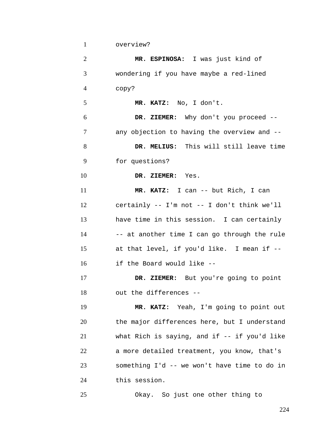1 overview?

| $\overline{2}$ | MR. ESPINOSA: I was just kind of             |
|----------------|----------------------------------------------|
| 3              | wondering if you have maybe a red-lined      |
| 4              | copy?                                        |
| 5              | MR. KATZ: No, I don't.                       |
| 6              | DR. ZIEMER: Why don't you proceed --         |
| 7              | any objection to having the overview and --  |
| 8              | DR. MELIUS: This will still leave time       |
| 9              | for questions?                               |
| 10             | DR. ZIEMER: Yes.                             |
| 11             | MR. KATZ: I can -- but Rich, I can           |
| 12             | certainly -- I'm not -- I don't think we'll  |
| 13             | have time in this session. I can certainly   |
| 14             | -- at another time I can go through the rule |
| 15             | at that level, if you'd like. I mean if --   |
| 16             | if the Board would like --                   |
| 17             | DR. ZIEMER: But you're going to point        |
| 18             | out the differences --                       |
| 19             | MR. KATZ: Yeah, I'm going to point out       |
| 20             | the major differences here, but I understand |
| 21             | what Rich is saying, and if -- if you'd like |
| 22             | a more detailed treatment, you know, that's  |
| 23             | something I'd -- we won't have time to do in |
| 24             | this session.                                |
| 25             | Okay. So just one other thing to             |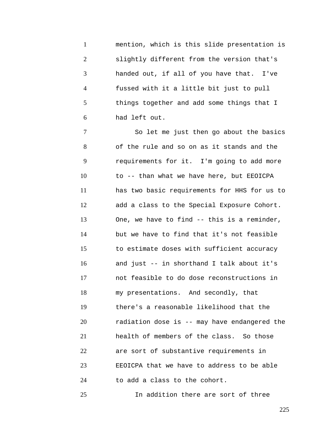1 2 3 4 5 6 mention, which is this slide presentation is slightly different from the version that's handed out, if all of you have that. I've fussed with it a little bit just to pull things together and add some things that I had left out.

7 8 9 10 11 12 13 14 15 16 17 18 19 20 21 22 23 24 So let me just then go about the basics of the rule and so on as it stands and the requirements for it. I'm going to add more to -- than what we have here, but EEOICPA has two basic requirements for HHS for us to add a class to the Special Exposure Cohort. One, we have to find -- this is a reminder, but we have to find that it's not feasible to estimate doses with sufficient accuracy and just -- in shorthand I talk about it's not feasible to do dose reconstructions in my presentations. And secondly, that there's a reasonable likelihood that the radiation dose is -- may have endangered the health of members of the class. So those are sort of substantive requirements in EEOICPA that we have to address to be able to add a class to the cohort.

In addition there are sort of three

25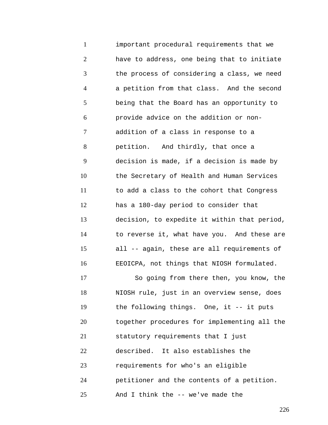1 2 3 4 5 6 7 8 9 10 11 12 13 14 15 16 17 18 19 20 important procedural requirements that we have to address, one being that to initiate the process of considering a class, we need a petition from that class. And the second being that the Board has an opportunity to provide advice on the addition or nonaddition of a class in response to a petition. And thirdly, that once a decision is made, if a decision is made by the Secretary of Health and Human Services to add a class to the cohort that Congress has a 180-day period to consider that decision, to expedite it within that period, to reverse it, what have you. And these are all -- again, these are all requirements of EEOICPA, not things that NIOSH formulated. So going from there then, you know, the NIOSH rule, just in an overview sense, does the following things. One, it -- it puts together procedures for implementing all the

21 statutory requirements that I just

22 described. It also establishes the

23 requirements for who's an eligible

24 petitioner and the contents of a petition.

25 And I think the -- we've made the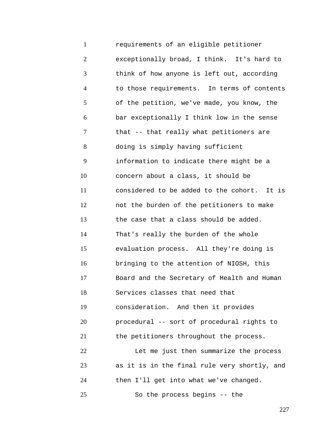1 2 3 4 5 6 7 8 9 10 11 12 13 14 15 16 17 18 19 20 21 22 23 24 25 requirements of an eligible petitioner exceptionally broad, I think. It's hard to think of how anyone is left out, according to those requirements. In terms of contents of the petition, we've made, you know, the bar exceptionally I think low in the sense that -- that really what petitioners are doing is simply having sufficient information to indicate there might be a concern about a class, it should be considered to be added to the cohort. It is not the burden of the petitioners to make the case that a class should be added. That's really the burden of the whole evaluation process. All they're doing is bringing to the attention of NIOSH, this Board and the Secretary of Health and Human Services classes that need that consideration. And then it provides procedural -- sort of procedural rights to the petitioners throughout the process. Let me just then summarize the process as it is in the final rule very shortly, and then I'll get into what we've changed. So the process begins -- the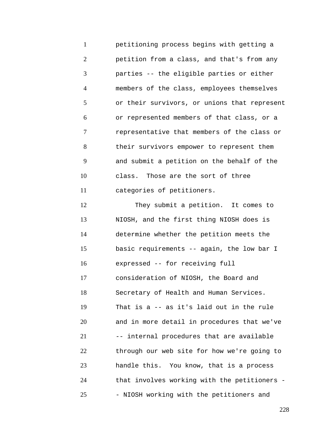1 2 3 4 5 6 7 8 9 10 11 petitioning process begins with getting a petition from a class, and that's from any parties -- the eligible parties or either members of the class, employees themselves or their survivors, or unions that represent or represented members of that class, or a representative that members of the class or their survivors empower to represent them and submit a petition on the behalf of the class. Those are the sort of three categories of petitioners.

12 13 14 15 16 17 18 19 20 21 22 23 24 25 They submit a petition. It comes to NIOSH, and the first thing NIOSH does is determine whether the petition meets the basic requirements -- again, the low bar I expressed -- for receiving full consideration of NIOSH, the Board and Secretary of Health and Human Services. That is a -- as it's laid out in the rule and in more detail in procedures that we've -- internal procedures that are available through our web site for how we're going to handle this. You know, that is a process that involves working with the petitioners - - NIOSH working with the petitioners and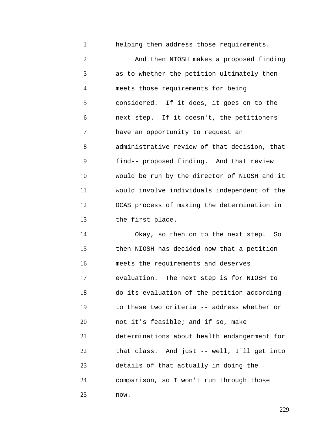helping them address those requirements.

1

2 3 4 5 6 7 8 9 10 11 12 13 And then NIOSH makes a proposed finding as to whether the petition ultimately then meets those requirements for being considered. If it does, it goes on to the next step. If it doesn't, the petitioners have an opportunity to request an administrative review of that decision, that find-- proposed finding. And that review would be run by the director of NIOSH and it would involve individuals independent of the OCAS process of making the determination in the first place.

14 15 16 17 18 19 20 21 22 23 24 25 Okay, so then on to the next step. So then NIOSH has decided now that a petition meets the requirements and deserves evaluation. The next step is for NIOSH to do its evaluation of the petition according to these two criteria -- address whether or not it's feasible; and if so, make determinations about health endangerment for that class. And just -- well, I'll get into details of that actually in doing the comparison, so I won't run through those now.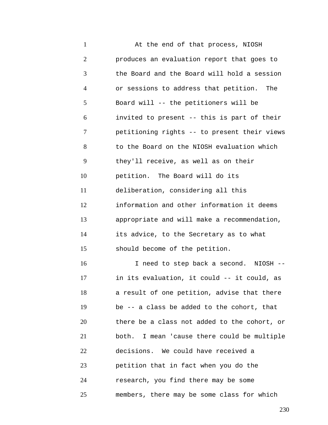1 2 3 4 5 6 7 8 9 10 11 12 13 14 15 16 17 18 19 20 21 22 23 24 25 At the end of that process, NIOSH produces an evaluation report that goes to the Board and the Board will hold a session or sessions to address that petition. The Board will -- the petitioners will be invited to present -- this is part of their petitioning rights -- to present their views to the Board on the NIOSH evaluation which they'll receive, as well as on their petition. The Board will do its deliberation, considering all this information and other information it deems appropriate and will make a recommendation, its advice, to the Secretary as to what should become of the petition. I need to step back a second. NIOSH - in its evaluation, it could -- it could, as a result of one petition, advise that there be -- a class be added to the cohort, that there be a class not added to the cohort, or both. I mean 'cause there could be multiple decisions. We could have received a petition that in fact when you do the research, you find there may be some members, there may be some class for which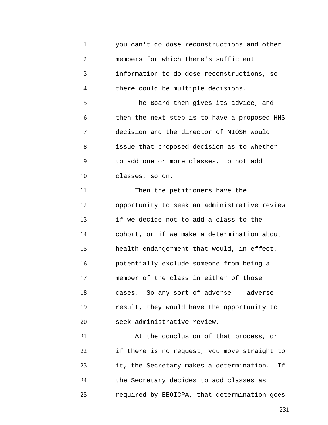1 2 3 4 5 6 7 8 9 10 11 12 13 14 15 16 17 18 19 20 21 22 23 you can't do dose reconstructions and other members for which there's sufficient information to do dose reconstructions, so there could be multiple decisions. The Board then gives its advice, and then the next step is to have a proposed HHS decision and the director of NIOSH would issue that proposed decision as to whether to add one or more classes, to not add classes, so on. Then the petitioners have the opportunity to seek an administrative review if we decide not to add a class to the cohort, or if we make a determination about health endangerment that would, in effect, potentially exclude someone from being a member of the class in either of those cases. So any sort of adverse -- adverse result, they would have the opportunity to seek administrative review. At the conclusion of that process, or if there is no request, you move straight to it, the Secretary makes a determination. If

24 25 the Secretary decides to add classes as required by EEOICPA, that determination goes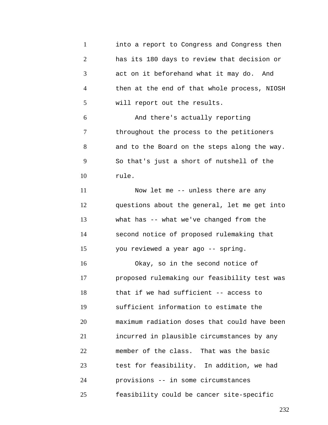1 2 3 4 5 6 7 8 9 10 11 12 13 14 15 16 17 18 19 20 21 22 23 24 25 into a report to Congress and Congress then has its 180 days to review that decision or act on it beforehand what it may do. And then at the end of that whole process, NIOSH will report out the results. And there's actually reporting throughout the process to the petitioners and to the Board on the steps along the way. So that's just a short of nutshell of the rule. Now let me -- unless there are any questions about the general, let me get into what has -- what we've changed from the second notice of proposed rulemaking that you reviewed a year ago -- spring. Okay, so in the second notice of proposed rulemaking our feasibility test was that if we had sufficient -- access to sufficient information to estimate the maximum radiation doses that could have been incurred in plausible circumstances by any member of the class. That was the basic test for feasibility. In addition, we had provisions -- in some circumstances feasibility could be cancer site-specific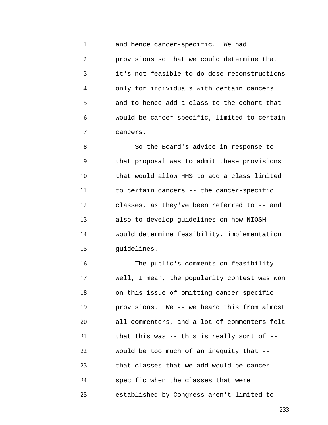1 2 3 4 5 6 7 and hence cancer-specific. We had provisions so that we could determine that it's not feasible to do dose reconstructions only for individuals with certain cancers and to hence add a class to the cohort that would be cancer-specific, limited to certain cancers.

8 9 10 11 12 13 14 15 So the Board's advice in response to that proposal was to admit these provisions that would allow HHS to add a class limited to certain cancers -- the cancer-specific classes, as they've been referred to -- and also to develop guidelines on how NIOSH would determine feasibility, implementation guidelines.

16 17 18 19 20 21 22 23 24 25 The public's comments on feasibility - well, I mean, the popularity contest was won on this issue of omitting cancer-specific provisions. We -- we heard this from almost all commenters, and a lot of commenters felt that this was -- this is really sort of - would be too much of an inequity that - that classes that we add would be cancerspecific when the classes that were established by Congress aren't limited to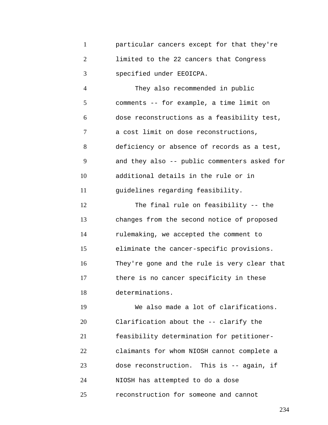1 2 3 particular cancers except for that they're limited to the 22 cancers that Congress specified under EEOICPA.

4 5 6 7 8 9 10 11 They also recommended in public comments -- for example, a time limit on dose reconstructions as a feasibility test, a cost limit on dose reconstructions, deficiency or absence of records as a test, and they also -- public commenters asked for additional details in the rule or in guidelines regarding feasibility.

12 13 14 15 16 17 18 The final rule on feasibility -- the changes from the second notice of proposed rulemaking, we accepted the comment to eliminate the cancer-specific provisions. They're gone and the rule is very clear that there is no cancer specificity in these determinations.

19 20 21 22 23 24 25 We also made a lot of clarifications. Clarification about the -- clarify the feasibility determination for petitionerclaimants for whom NIOSH cannot complete a dose reconstruction. This is -- again, if NIOSH has attempted to do a dose reconstruction for someone and cannot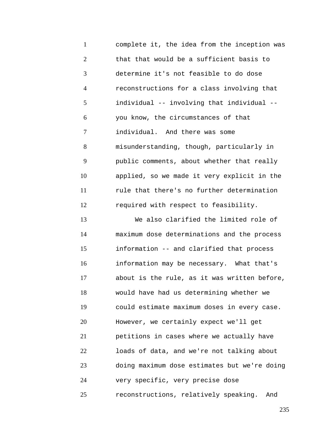1 2 3 4 5 6 7 8 9 10 11 12 13 14 15 16 17 18 19 20 21 22 23 24 complete it, the idea from the inception was that that would be a sufficient basis to determine it's not feasible to do dose reconstructions for a class involving that individual -- involving that individual - you know, the circumstances of that individual. And there was some misunderstanding, though, particularly in public comments, about whether that really applied, so we made it very explicit in the rule that there's no further determination required with respect to feasibility. We also clarified the limited role of maximum dose determinations and the process information -- and clarified that process information may be necessary. What that's about is the rule, as it was written before, would have had us determining whether we could estimate maximum doses in every case. However, we certainly expect we'll get petitions in cases where we actually have loads of data, and we're not talking about doing maximum dose estimates but we're doing very specific, very precise dose

25 reconstructions, relatively speaking. And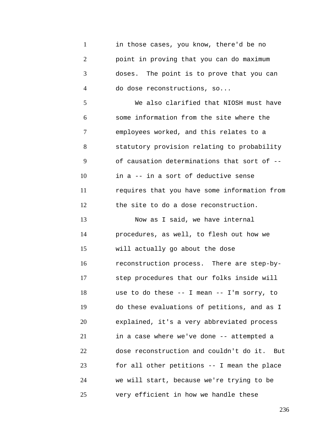1 2 3 4 5 6 7 8 9 10 11 12 13 14 15 16 17 18 19 20 21 22 23 24 25 in those cases, you know, there'd be no point in proving that you can do maximum doses. The point is to prove that you can do dose reconstructions, so... We also clarified that NIOSH must have some information from the site where the employees worked, and this relates to a statutory provision relating to probability of causation determinations that sort of - in a -- in a sort of deductive sense requires that you have some information from the site to do a dose reconstruction. Now as I said, we have internal procedures, as well, to flesh out how we will actually go about the dose reconstruction process. There are step-bystep procedures that our folks inside will use to do these -- I mean -- I'm sorry, to do these evaluations of petitions, and as I explained, it's a very abbreviated process in a case where we've done -- attempted a dose reconstruction and couldn't do it. But for all other petitions -- I mean the place we will start, because we're trying to be very efficient in how we handle these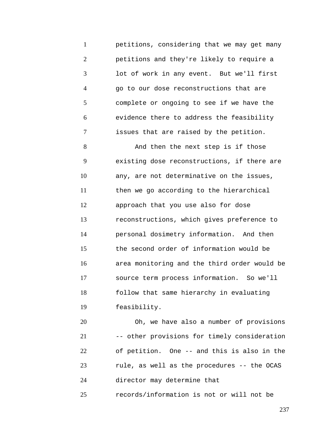1 2 3 4 5 6 7 petitions, considering that we may get many petitions and they're likely to require a lot of work in any event. But we'll first go to our dose reconstructions that are complete or ongoing to see if we have the evidence there to address the feasibility issues that are raised by the petition.

8 9 10 11 12 13 14 15 16 17 18 19 And then the next step is if those existing dose reconstructions, if there are any, are not determinative on the issues, then we go according to the hierarchical approach that you use also for dose reconstructions, which gives preference to personal dosimetry information. And then the second order of information would be area monitoring and the third order would be source term process information. So we'll follow that same hierarchy in evaluating feasibility.

20 21 22 23 24 Oh, we have also a number of provisions -- other provisions for timely consideration of petition. One -- and this is also in the rule, as well as the procedures -- the OCAS director may determine that

25 records/information is not or will not be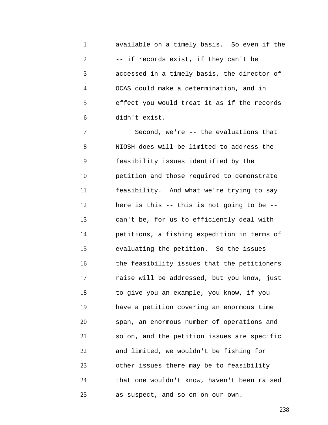1 2 3 4 5 6 available on a timely basis. So even if the -- if records exist, if they can't be accessed in a timely basis, the director of OCAS could make a determination, and in effect you would treat it as if the records didn't exist.

7 8 9 10 11 12 13 14 15 16 17 18 19 20 21 22 23 24 25 Second, we're -- the evaluations that NIOSH does will be limited to address the feasibility issues identified by the petition and those required to demonstrate feasibility. And what we're trying to say here is this -- this is not going to be - can't be, for us to efficiently deal with petitions, a fishing expedition in terms of evaluating the petition. So the issues - the feasibility issues that the petitioners raise will be addressed, but you know, just to give you an example, you know, if you have a petition covering an enormous time span, an enormous number of operations and so on, and the petition issues are specific and limited, we wouldn't be fishing for other issues there may be to feasibility that one wouldn't know, haven't been raised as suspect, and so on on our own.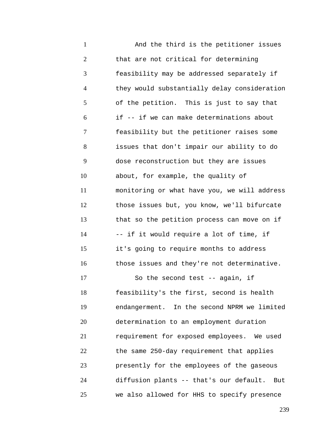1 2 3 4 5 6 7 8 9 10 11 12 13 14 15 16 17 18 19 20 21 22 23 24 25 And the third is the petitioner issues that are not critical for determining feasibility may be addressed separately if they would substantially delay consideration of the petition. This is just to say that if -- if we can make determinations about feasibility but the petitioner raises some issues that don't impair our ability to do dose reconstruction but they are issues about, for example, the quality of monitoring or what have you, we will address those issues but, you know, we'll bifurcate that so the petition process can move on if -- if it would require a lot of time, if it's going to require months to address those issues and they're not determinative. So the second test -- again, if feasibility's the first, second is health endangerment. In the second NPRM we limited determination to an employment duration requirement for exposed employees. We used the same 250-day requirement that applies presently for the employees of the gaseous diffusion plants -- that's our default. But we also allowed for HHS to specify presence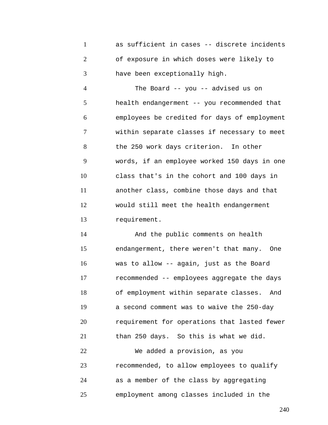1 2 3 as sufficient in cases -- discrete incidents of exposure in which doses were likely to have been exceptionally high.

4 5 6 7 8 9 10 11 12 13 The Board -- you -- advised us on health endangerment -- you recommended that employees be credited for days of employment within separate classes if necessary to meet the 250 work days criterion. In other words, if an employee worked 150 days in one class that's in the cohort and 100 days in another class, combine those days and that would still meet the health endangerment requirement.

14 15 16 17 18 19 20 21 22 23 24 25 And the public comments on health endangerment, there weren't that many. One was to allow -- again, just as the Board recommended -- employees aggregate the days of employment within separate classes. And a second comment was to waive the 250-day requirement for operations that lasted fewer than 250 days. So this is what we did. We added a provision, as you recommended, to allow employees to qualify as a member of the class by aggregating employment among classes included in the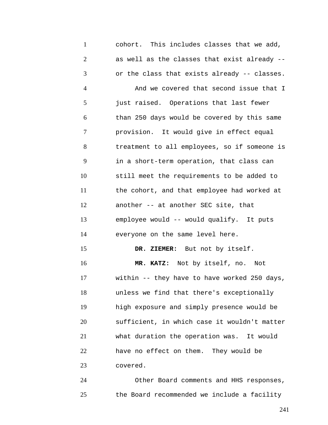1 2 3 4 5 6 7 8 9 10 11 12 13 14 15 16 17 18 19 20 21 22 23 24 cohort. This includes classes that we add, as well as the classes that exist already - or the class that exists already -- classes. And we covered that second issue that I just raised. Operations that last fewer than 250 days would be covered by this same provision. It would give in effect equal treatment to all employees, so if someone is in a short-term operation, that class can still meet the requirements to be added to the cohort, and that employee had worked at another -- at another SEC site, that employee would -- would qualify. It puts everyone on the same level here. **DR. ZIEMER:** But not by itself. **MR. KATZ:** Not by itself, no. Not within -- they have to have worked 250 days, unless we find that there's exceptionally high exposure and simply presence would be sufficient, in which case it wouldn't matter what duration the operation was. It would have no effect on them. They would be covered. Other Board comments and HHS responses,

25 the Board recommended we include a facility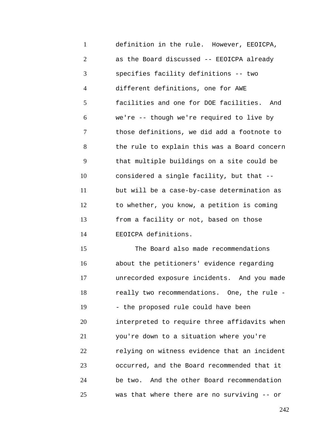1 2 3 4 5 6 7 8 9 10 11 12 13 14 definition in the rule. However, EEOICPA, as the Board discussed -- EEOICPA already specifies facility definitions -- two different definitions, one for AWE facilities and one for DOE facilities. And we're -- though we're required to live by those definitions, we did add a footnote to the rule to explain this was a Board concern that multiple buildings on a site could be considered a single facility, but that - but will be a case-by-case determination as to whether, you know, a petition is coming from a facility or not, based on those EEOICPA definitions.

15 16 17 18 19 20 21 22 23 24 25 The Board also made recommendations about the petitioners' evidence regarding unrecorded exposure incidents. And you made really two recommendations. One, the rule - - the proposed rule could have been interpreted to require three affidavits when you're down to a situation where you're relying on witness evidence that an incident occurred, and the Board recommended that it be two. And the other Board recommendation was that where there are no surviving -- or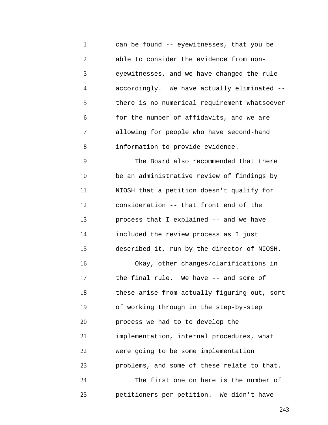1 2 3 4 5 6 7 8 can be found -- eyewitnesses, that you be able to consider the evidence from noneyewitnesses, and we have changed the rule accordingly. We have actually eliminated - there is no numerical requirement whatsoever for the number of affidavits, and we are allowing for people who have second-hand information to provide evidence.

9 10 11 12 13 14 15 16 17 18 19 20 21 22 23 24 25 The Board also recommended that there be an administrative review of findings by NIOSH that a petition doesn't qualify for consideration -- that front end of the process that I explained -- and we have included the review process as I just described it, run by the director of NIOSH. Okay, other changes/clarifications in the final rule. We have -- and some of these arise from actually figuring out, sort of working through in the step-by-step process we had to to develop the implementation, internal procedures, what were going to be some implementation problems, and some of these relate to that. The first one on here is the number of petitioners per petition. We didn't have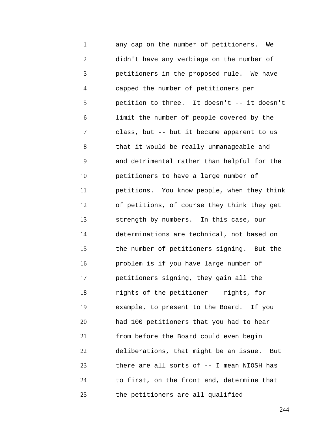1 2 3 4 5 6 7 8 9 10 11 12 13 14 15 16 17 18 19 20 21 22 23 24 25 any cap on the number of petitioners. We didn't have any verbiage on the number of petitioners in the proposed rule. We have capped the number of petitioners per petition to three. It doesn't -- it doesn't limit the number of people covered by the class, but -- but it became apparent to us that it would be really unmanageable and - and detrimental rather than helpful for the petitioners to have a large number of petitions. You know people, when they think of petitions, of course they think they get strength by numbers. In this case, our determinations are technical, not based on the number of petitioners signing. But the problem is if you have large number of petitioners signing, they gain all the rights of the petitioner -- rights, for example, to present to the Board. If you had 100 petitioners that you had to hear from before the Board could even begin deliberations, that might be an issue. But there are all sorts of -- I mean NIOSH has to first, on the front end, determine that the petitioners are all qualified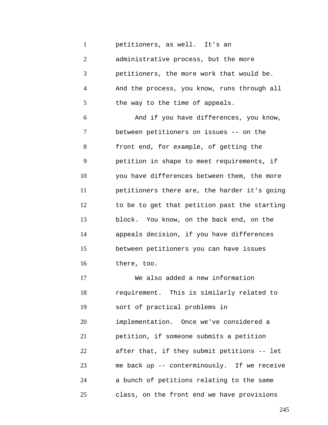1 petitioners, as well. It's an

2 3 4 5 administrative process, but the more petitioners, the more work that would be. And the process, you know, runs through all the way to the time of appeals.

6 7 8 9 10 11 12 13 14 15 16 And if you have differences, you know, between petitioners on issues -- on the front end, for example, of getting the petition in shape to meet requirements, if you have differences between them, the more petitioners there are, the harder it's going to be to get that petition past the starting block. You know, on the back end, on the appeals decision, if you have differences between petitioners you can have issues there, too.

17 18 19 20 21 22 23 24 25 We also added a new information requirement. This is similarly related to sort of practical problems in implementation. Once we've considered a petition, if someone submits a petition after that, if they submit petitions -- let me back up -- conterminously. If we receive a bunch of petitions relating to the same class, on the front end we have provisions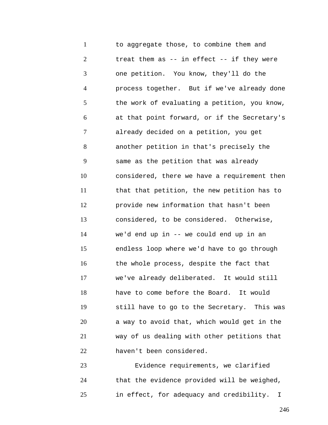1 2 3 4 5 6 7 8 9 10 11 12 13 14 15 16 17 18 19 20 21 22 to aggregate those, to combine them and treat them as -- in effect -- if they were one petition. You know, they'll do the process together. But if we've already done the work of evaluating a petition, you know, at that point forward, or if the Secretary's already decided on a petition, you get another petition in that's precisely the same as the petition that was already considered, there we have a requirement then that that petition, the new petition has to provide new information that hasn't been considered, to be considered. Otherwise, we'd end up in -- we could end up in an endless loop where we'd have to go through the whole process, despite the fact that we've already deliberated. It would still have to come before the Board. It would still have to go to the Secretary. This was a way to avoid that, which would get in the way of us dealing with other petitions that haven't been considered.

23 24 25 Evidence requirements, we clarified that the evidence provided will be weighed, in effect, for adequacy and credibility. I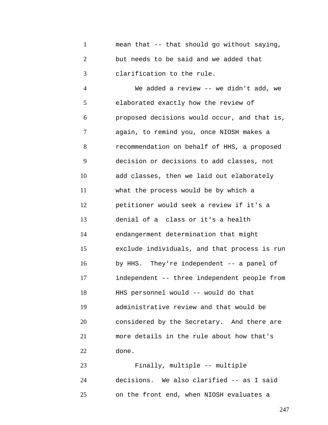1 2 3 mean that -- that should go without saying, but needs to be said and we added that clarification to the rule.

4 5 6 7 8 9 10 11 12 13 14 15 16 17 18 19 20 21 22 We added a review -- we didn't add, we elaborated exactly how the review of proposed decisions would occur, and that is, again, to remind you, once NIOSH makes a recommendation on behalf of HHS, a proposed decision or decisions to add classes, not add classes, then we laid out elaborately what the process would be by which a petitioner would seek a review if it's a denial of a class or it's a health endangerment determination that might exclude individuals, and that process is run by HHS. They're independent -- a panel of independent -- three independent people from HHS personnel would -- would do that administrative review and that would be considered by the Secretary. And there are more details in the rule about how that's done.

23 24 25 Finally, multiple -- multiple decisions. We also clarified -- as I said on the front end, when NIOSH evaluates a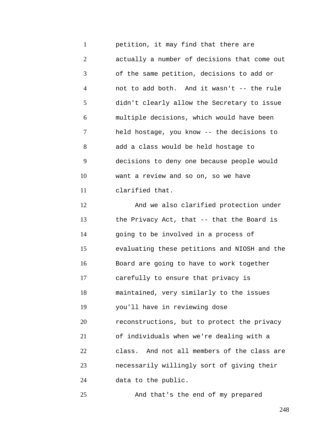1 2 3 4 5 6 7 8 9 10 11 petition, it may find that there are actually a number of decisions that come out of the same petition, decisions to add or not to add both. And it wasn't -- the rule didn't clearly allow the Secretary to issue multiple decisions, which would have been held hostage, you know -- the decisions to add a class would be held hostage to decisions to deny one because people would want a review and so on, so we have clarified that.

12 13 14 15 16 17 18 19 20 21 22 23 24 And we also clarified protection under the Privacy Act, that -- that the Board is going to be involved in a process of evaluating these petitions and NIOSH and the Board are going to have to work together carefully to ensure that privacy is maintained, very similarly to the issues you'll have in reviewing dose reconstructions, but to protect the privacy of individuals when we're dealing with a class. And not all members of the class are necessarily willingly sort of giving their data to the public.

And that's the end of my prepared

25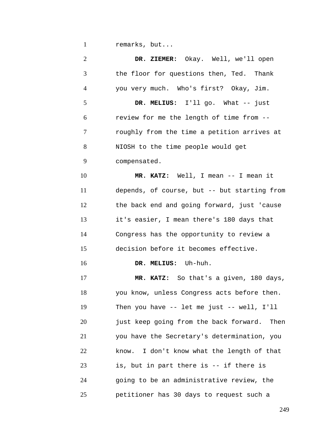1 remarks, but...

2 3 4 5 6 7 8 9 10 11 12 13 14 15 16 17 18 19 20 21 22 23 24 25 **DR. ZIEMER:** Okay. Well, we'll open the floor for questions then, Ted. Thank you very much. Who's first? Okay, Jim. **DR. MELIUS:** I'll go. What -- just review for me the length of time from - roughly from the time a petition arrives at NIOSH to the time people would get compensated. **MR. KATZ:** Well, I mean -- I mean it depends, of course, but -- but starting from the back end and going forward, just 'cause it's easier, I mean there's 180 days that Congress has the opportunity to review a decision before it becomes effective. **DR. MELIUS:** Uh-huh. **MR. KATZ:** So that's a given, 180 days, you know, unless Congress acts before then. Then you have -- let me just -- well, I'll just keep going from the back forward. Then you have the Secretary's determination, you know. I don't know what the length of that is, but in part there is -- if there is going to be an administrative review, the petitioner has 30 days to request such a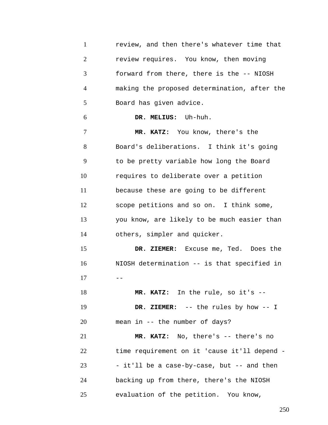1 2 3 4 5 6 7 8 9 10 11 12 13 14 15 16  $17$ 18 19 20 21 22 23 24 25 review, and then there's whatever time that review requires. You know, then moving forward from there, there is the -- NIOSH making the proposed determination, after the Board has given advice. **DR. MELIUS:** Uh-huh. **MR. KATZ:** You know, there's the Board's deliberations. I think it's going to be pretty variable how long the Board requires to deliberate over a petition because these are going to be different scope petitions and so on. I think some, you know, are likely to be much easier than others, simpler and quicker. **DR. ZIEMER:** Excuse me, Ted. Does the NIOSH determination -- is that specified in **MR. KATZ:** In the rule, so it's -- **DR. ZIEMER:** -- the rules by how -- I mean in -- the number of days? **MR. KATZ:** No, there's -- there's no time requirement on it 'cause it'll depend - - it'll be a case-by-case, but -- and then backing up from there, there's the NIOSH evaluation of the petition. You know,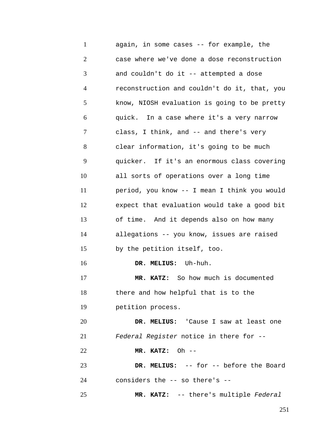1 2 3 4 5 6 7 8 9 10 11 12 13 14 15 16 17 18 19 20 21 22 23 24 again, in some cases -- for example, the case where we've done a dose reconstruction and couldn't do it -- attempted a dose reconstruction and couldn't do it, that, you know, NIOSH evaluation is going to be pretty quick. In a case where it's a very narrow class, I think, and -- and there's very clear information, it's going to be much quicker. If it's an enormous class covering all sorts of operations over a long time period, you know -- I mean I think you would expect that evaluation would take a good bit of time. And it depends also on how many allegations -- you know, issues are raised by the petition itself, too. **DR. MELIUS:** Uh-huh. **MR. KATZ:** So how much is documented there and how helpful that is to the petition process. **DR. MELIUS:** 'Cause I saw at least one *Federal Register* notice in there for -- **MR. KATZ:** Oh -- **DR. MELIUS:** -- for -- before the Board considers the -- so there's --

**MR. KATZ:** -- there's multiple *Federal* 

25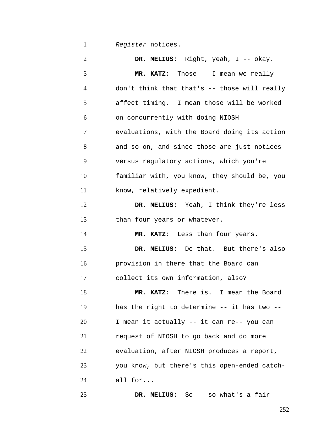1 *Register* notices.

2 3 4 5 6 7 8 9 10 11 12 13 14 15 16 17 18 19 20 21 22 23 24 25 **DR. MELIUS:** Right, yeah, I -- okay. **MR. KATZ:** Those -- I mean we really don't think that that's -- those will really affect timing. I mean those will be worked on concurrently with doing NIOSH evaluations, with the Board doing its action and so on, and since those are just notices versus regulatory actions, which you're familiar with, you know, they should be, you know, relatively expedient. **DR. MELIUS:** Yeah, I think they're less than four years or whatever. **MR. KATZ:** Less than four years. **DR. MELIUS:** Do that. But there's also provision in there that the Board can collect its own information, also? **MR. KATZ:** There is. I mean the Board has the right to determine -- it has two --I mean it actually -- it can re-- you can request of NIOSH to go back and do more evaluation, after NIOSH produces a report, you know, but there's this open-ended catchall for... **DR. MELIUS:** So -- so what's a fair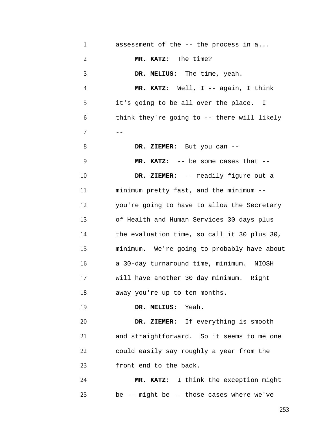1 2 3 4 5 6  $7$  --8 9 10 11 12 13 14 15 16 17 18 19 20 21 22 23 24 assessment of the -- the process in a... **MR. KATZ:** The time? **DR. MELIUS:** The time, yeah. **MR. KATZ:** Well, I -- again, I think it's going to be all over the place. I think they're going to -- there will likely **DR. ZIEMER:** But you can -- **MR. KATZ:** -- be some cases that -- **DR. ZIEMER:** -- readily figure out a minimum pretty fast, and the minimum - you're going to have to allow the Secretary of Health and Human Services 30 days plus the evaluation time, so call it 30 plus 30, minimum. We're going to probably have about a 30-day turnaround time, minimum. NIOSH will have another 30 day minimum. Right away you're up to ten months. **DR. MELIUS:** Yeah. **DR. ZIEMER:** If everything is smooth and straightforward. So it seems to me one could easily say roughly a year from the front end to the back. **MR. KATZ:** I think the exception might

be -- might be -- those cases where we've

25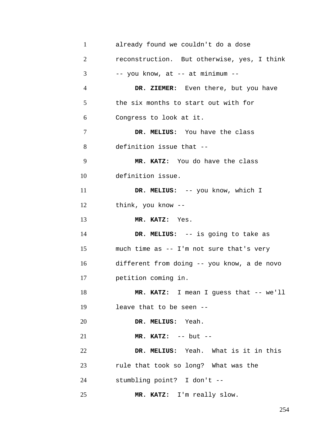| $\mathbf{1}$   | already found we couldn't do a dose         |
|----------------|---------------------------------------------|
| $\overline{2}$ | reconstruction. But otherwise, yes, I think |
| 3              | -- you know, at -- at minimum --            |
| $\overline{4}$ | DR. ZIEMER: Even there, but you have        |
| 5              | the six months to start out with for        |
| 6              | Congress to look at it.                     |
| 7              | DR. MELIUS: You have the class              |
| 8              | definition issue that --                    |
| 9              | MR. KATZ: You do have the class             |
| 10             | definition issue.                           |
| 11             | DR. MELIUS: -- you know, which I            |
| 12             | think, you know --                          |
| 13             | MR. KATZ: Yes.                              |
| 14             | DR. MELIUS: -- is going to take as          |
| 15             | much time as -- I'm not sure that's very    |
| 16             | different from doing -- you know, a de novo |
| 17             | petition coming in.                         |
| 18             | MR. KATZ: I mean I guess that -- we'll      |
| 19             | leave that to be seen --                    |
| 20             | DR. MELIUS: Yeah.                           |
| 21             | $MR. KATZ: -- but --$                       |
| 22             | DR. MELIUS: Yeah. What is it in this        |
| 23             | rule that took so long? What was the        |
|                |                                             |
| 24             | stumbling point? I don't --                 |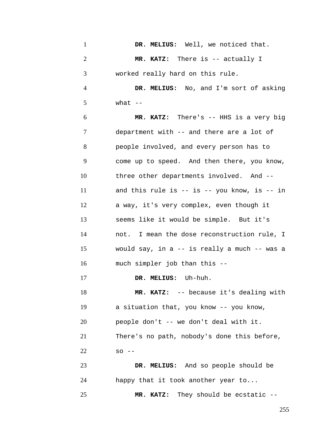| $\mathbf{1}$   | DR. MELIUS: Well, we noticed that.                 |
|----------------|----------------------------------------------------|
| $\mathfrak{2}$ | MR. KATZ: There is -- actually I                   |
| 3              | worked really hard on this rule.                   |
| $\overline{4}$ | DR. MELIUS: No, and I'm sort of asking             |
| 5              | what $--$                                          |
| 6              | MR. KATZ: There's -- HHS is a very big             |
| 7              | department with -- and there are a lot of          |
| 8              | people involved, and every person has to           |
| 9              | come up to speed. And then there, you know,        |
| 10             | three other departments involved. And --           |
| 11             | and this rule is $--$ is $--$ you know, is $--$ in |
| 12             | a way, it's very complex, even though it           |
| 13             | seems like it would be simple. But it's            |
| 14             | not. I mean the dose reconstruction rule, I        |
| 15             | would say, in a -- is really a much -- was a       |
| 16             | much simpler job than this --                      |
| 17             | <b>MELIUS:</b> Uh-huh.<br>DR.                      |
| 18             | MR. KATZ: -- because it's dealing with             |
| 19             | a situation that, you know -- you know,            |
| 20             | people don't -- we don't deal with it.             |
| 21             | There's no path, nobody's done this before,        |
| 22             | $SO$ --                                            |
| 23             | DR. MELIUS: And so people should be                |
| 24             | happy that it took another year to                 |
| 25             | MR. KATZ: They should be ecstatic --               |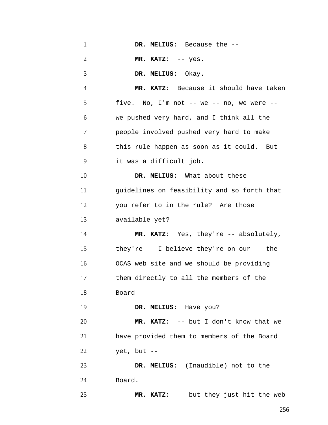1 2 3 4 5 6 7 8 9 10 11 12 13 14 15 16 17 18 19 20 21 22 23 24 **DR. MELIUS:** Because the -- **MR. KATZ:** -- yes. **DR. MELIUS:** Okay. **MR. KATZ:** Because it should have taken five. No, I'm not  $--$  we  $--$  no, we were  $-$ we pushed very hard, and I think all the people involved pushed very hard to make this rule happen as soon as it could. But it was a difficult job. **DR. MELIUS:** What about these guidelines on feasibility and so forth that you refer to in the rule? Are those available yet? **MR. KATZ:** Yes, they're -- absolutely, they're -- I believe they're on our -- the OCAS web site and we should be providing them directly to all the members of the Board -- **DR. MELIUS:** Have you? **MR. KATZ:** -- but I don't know that we have provided them to members of the Board yet, but -- **DR. MELIUS:** (Inaudible) not to the Board.

**MR. KATZ:** -- but they just hit the web

25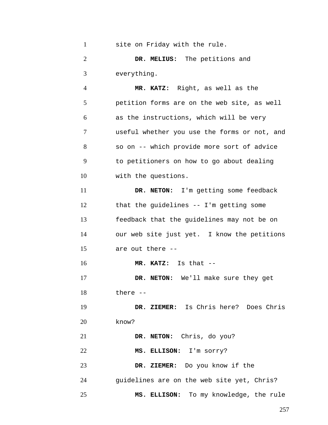| $\mathbf{1}$   | site on Friday with the rule.                |
|----------------|----------------------------------------------|
| $\overline{2}$ | DR. MELIUS: The petitions and                |
| 3              | everything.                                  |
| $\overline{4}$ | MR. KATZ: Right, as well as the              |
| 5              | petition forms are on the web site, as well  |
| 6              | as the instructions, which will be very      |
| 7              | useful whether you use the forms or not, and |
| 8              | so on -- which provide more sort of advice   |
| 9              | to petitioners on how to go about dealing    |
| 10             | with the questions.                          |
| 11             | DR. NETON: I'm getting some feedback         |
| 12             | that the guidelines $--$ I'm getting some    |
| 13             | feedback that the guidelines may not be on   |
| 14             | our web site just yet. I know the petitions  |
| 15             | are out there --                             |
| 16             | MR. KATZ: Is that --                         |
| 17             | DR. NETON: We'll make sure they get          |
| 18             | there $--$                                   |
| 19             | DR. ZIEMER: Is Chris here? Does Chris        |
| 20             | know?                                        |
| 21             | DR. NETON: Chris, do you?                    |
| 22             | MS. ELLISON: I'm sorry?                      |
| 23             | DR. ZIEMER: Do you know if the               |
| 24             | guidelines are on the web site yet, Chris?   |
| 25             | MS. ELLISON: To my knowledge, the rule       |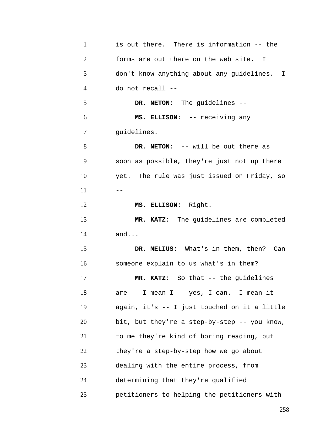| $\mathbf{1}$   | is out there. There is information -- the    |
|----------------|----------------------------------------------|
| $\overline{2}$ | forms are out there on the web site. I       |
| 3              | don't know anything about any guidelines. I  |
| 4              | do not recall --                             |
| 5              | DR. NETON: The guidelines --                 |
| 6              | MS. ELLISON: -- receiving any                |
| 7              | guidelines.                                  |
| 8              | DR. NETON: -- will be out there as           |
| 9              | soon as possible, they're just not up there  |
| 10             | yet. The rule was just issued on Friday, so  |
| 11             | $ -$                                         |
| 12             | MS. ELLISON: Right.                          |
| 13             | MR. KATZ: The guidelines are completed       |
| 14             | and                                          |
| 15             | DR. MELIUS: What's in them, then? Can        |
| 16             | someone explain to us what's in them?        |
| 17             | MR. KATZ: So that -- the guidelines          |
| 18             | are -- I mean I -- yes, I can. I mean it --  |
| 19             | again, it's -- I just touched on it a little |
| 20             | bit, but they're a step-by-step -- you know, |
| 21             | to me they're kind of boring reading, but    |
| 22             | they're a step-by-step how we go about       |
| 23             | dealing with the entire process, from        |
| 24             | determining that they're qualified           |
| 25             | petitioners to helping the petitioners with  |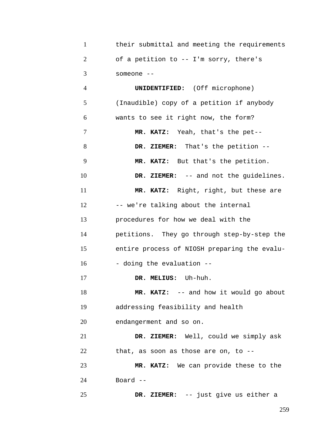| their submittal and meeting the requirements |
|----------------------------------------------|
| of a petition to -- I'm sorry, there's       |
| someone --                                   |

4 5 6 7 8 9 10 11 12 13 14 15 16 17 18 19 20 21 **UNIDENTIFIED:** (Off microphone) (Inaudible) copy of a petition if anybody wants to see it right now, the form? **MR. KATZ:** Yeah, that's the pet-- **DR. ZIEMER:** That's the petition -- **MR. KATZ:** But that's the petition. **DR. ZIEMER:** -- and not the guidelines. **MR. KATZ:** Right, right, but these are -- we're talking about the internal procedures for how we deal with the petitions. They go through step-by-step the entire process of NIOSH preparing the evalu- - doing the evaluation -- **DR. MELIUS:** Uh-huh. **MR. KATZ:** -- and how it would go about addressing feasibility and health endangerment and so on. **DR. ZIEMER:** Well, could we simply ask

22 that, as soon as those are on, to --

23 24 **MR. KATZ:** We can provide these to the Board --

25 **DR. ZIEMER:** -- just give us either a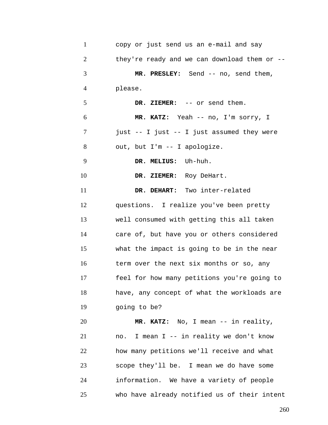| $\mathbf{1}$   | copy or just send us an e-mail and say          |
|----------------|-------------------------------------------------|
| $\overline{2}$ | they're ready and we can download them or $-$ - |
| 3              | MR. PRESLEY: Send -- no, send them,             |
| $\overline{4}$ | please.                                         |
| 5              | DR. ZIEMER: -- or send them.                    |
| 6              | MR. KATZ: Yeah -- no, I'm sorry, I              |
| 7              | just -- I just -- I just assumed they were      |
| 8              | out, but I'm -- I apologize.                    |
| 9              | DR. MELIUS: Uh-huh.                             |
| 10             | DR. ZIEMER: Roy DeHart.                         |
| 11             | DR. DEHART: Two inter-related                   |
| 12             | questions. I realize you've been pretty         |
| 13             | well consumed with getting this all taken       |
| 14             | care of, but have you or others considered      |
| 15             | what the impact is going to be in the near      |
| 16             | term over the next six months or so, any        |
| 17             | feel for how many petitions you're going to     |
| 18             | have, any concept of what the workloads are     |
| 19             | going to be?                                    |
| 20             | MR. KATZ: No, I mean -- in reality,             |
| 21             | no. I mean I -- in reality we don't know        |
| 22             | how many petitions we'll receive and what       |
| 23             | scope they'll be. I mean we do have some        |
| 24             | information. We have a variety of people        |
| 25             | who have already notified us of their intent    |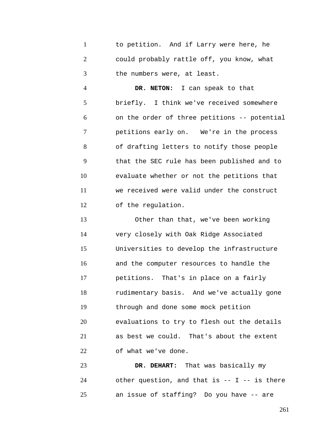1 2 3 to petition. And if Larry were here, he could probably rattle off, you know, what the numbers were, at least.

4 5 6 7 8 9 10 11 12 **DR. NETON:** I can speak to that briefly. I think we've received somewhere on the order of three petitions -- potential petitions early on. We're in the process of drafting letters to notify those people that the SEC rule has been published and to evaluate whether or not the petitions that we received were valid under the construct of the regulation.

13 14 15 16 17 18 19 20 21 22 Other than that, we've been working very closely with Oak Ridge Associated Universities to develop the infrastructure and the computer resources to handle the petitions. That's in place on a fairly rudimentary basis. And we've actually gone through and done some mock petition evaluations to try to flesh out the details as best we could. That's about the extent of what we've done.

23 24 25 **DR. DEHART:** That was basically my other question, and that is  $--$  I  $--$  is there an issue of staffing? Do you have -- are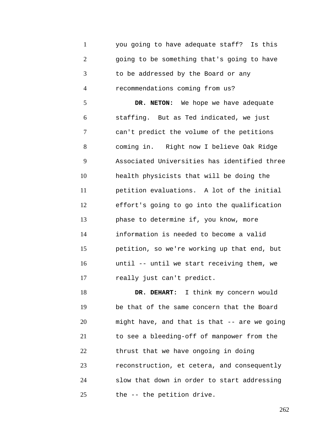1 2 3 4 5 6 7 8 9 10 11 12 13 14 15 16 17 18 you going to have adequate staff? Is this going to be something that's going to have to be addressed by the Board or any recommendations coming from us? **DR. NETON:** We hope we have adequate staffing. But as Ted indicated, we just can't predict the volume of the petitions coming in. Right now I believe Oak Ridge Associated Universities has identified three health physicists that will be doing the petition evaluations. A lot of the initial effort's going to go into the qualification phase to determine if, you know, more information is needed to become a valid petition, so we're working up that end, but until -- until we start receiving them, we really just can't predict. **DR. DEHART:** I think my concern would

19 20 21 22 23 24 25 be that of the same concern that the Board might have, and that is that -- are we going to see a bleeding-off of manpower from the thrust that we have ongoing in doing reconstruction, et cetera, and consequently slow that down in order to start addressing the -- the petition drive.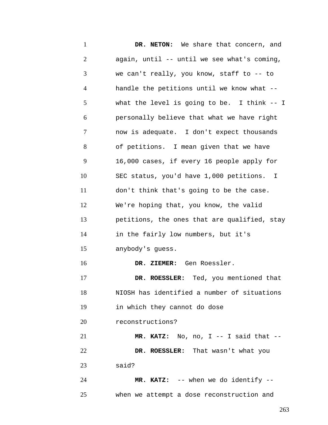1 2 3 4 5 6 7 8 9 10 11 12 13 14 15 16 17 18 19 20 21 22 23 24 25 **DR. NETON:** We share that concern, and again, until -- until we see what's coming, we can't really, you know, staff to -- to handle the petitions until we know what - what the level is going to be. I think -- I personally believe that what we have right now is adequate. I don't expect thousands of petitions. I mean given that we have 16,000 cases, if every 16 people apply for SEC status, you'd have 1,000 petitions. I don't think that's going to be the case. We're hoping that, you know, the valid petitions, the ones that are qualified, stay in the fairly low numbers, but it's anybody's guess. **DR. ZIEMER:** Gen Roessler. **DR. ROESSLER:** Ted, you mentioned that NIOSH has identified a number of situations in which they cannot do dose reconstructions? **MR. KATZ:** No, no, I -- I said that -- **DR. ROESSLER:** That wasn't what you said? **MR. KATZ:** -- when we do identify - when we attempt a dose reconstruction and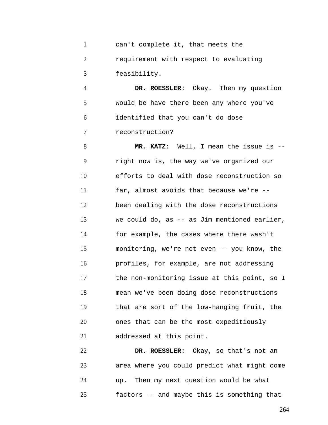1 2 3 can't complete it, that meets the requirement with respect to evaluating feasibility.

4 5 6 7 **DR. ROESSLER:** Okay. Then my question would be have there been any where you've identified that you can't do dose reconstruction?

8 9 10 11 12 13 14 15 16 17 18 19 20 21 **MR. KATZ:** Well, I mean the issue is - right now is, the way we've organized our efforts to deal with dose reconstruction so far, almost avoids that because we're - been dealing with the dose reconstructions we could do, as -- as Jim mentioned earlier, for example, the cases where there wasn't monitoring, we're not even -- you know, the profiles, for example, are not addressing the non-monitoring issue at this point, so I mean we've been doing dose reconstructions that are sort of the low-hanging fruit, the ones that can be the most expeditiously addressed at this point.

22 23 24 25 **DR. ROESSLER:** Okay, so that's not an area where you could predict what might come up. Then my next question would be what factors -- and maybe this is something that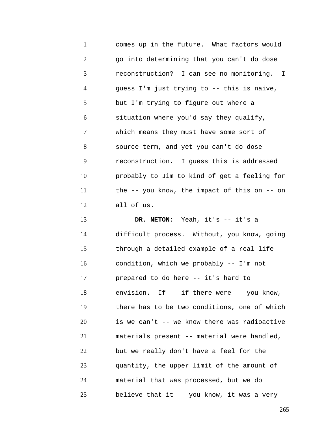1 2 3 4 5 6 7 8 9 10 11 12 13 14 15 16 17 18 19 20 21 22 23 24 25 comes up in the future. What factors would go into determining that you can't do dose reconstruction? I can see no monitoring. I guess I'm just trying to -- this is naive, but I'm trying to figure out where a situation where you'd say they qualify, which means they must have some sort of source term, and yet you can't do dose reconstruction. I guess this is addressed probably to Jim to kind of get a feeling for the -- you know, the impact of this on -- on all of us. **DR. NETON:** Yeah, it's -- it's a difficult process. Without, you know, going through a detailed example of a real life condition, which we probably -- I'm not prepared to do here -- it's hard to envision. If -- if there were -- you know, there has to be two conditions, one of which is we can't -- we know there was radioactive materials present -- material were handled, but we really don't have a feel for the quantity, the upper limit of the amount of material that was processed, but we do believe that it -- you know, it was a very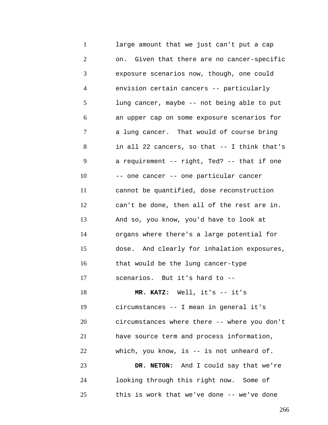1 2 3 4 5 6 7 8 9 10 11 12 13 14 15 16 17 18 19 20 21 22 23 24 25 large amount that we just can't put a cap on. Given that there are no cancer-specific exposure scenarios now, though, one could envision certain cancers -- particularly lung cancer, maybe -- not being able to put an upper cap on some exposure scenarios for a lung cancer. That would of course bring in all 22 cancers, so that -- I think that's a requirement -- right, Ted? -- that if one -- one cancer -- one particular cancer cannot be quantified, dose reconstruction can't be done, then all of the rest are in. And so, you know, you'd have to look at organs where there's a large potential for dose. And clearly for inhalation exposures, that would be the lung cancer-type scenarios. But it's hard to -- **MR. KATZ:** Well, it's -- it's circumstances -- I mean in general it's circumstances where there -- where you don't have source term and process information, which, you know, is -- is not unheard of. **DR. NETON:** And I could say that we're looking through this right now. Some of this is work that we've done -- we've done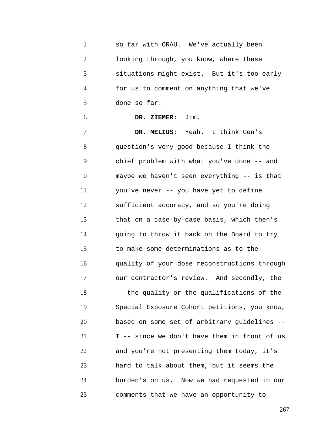| $\mathbf{1}$   | so far with ORAU. We've actually been        |
|----------------|----------------------------------------------|
| $\overline{2}$ | looking through, you know, where these       |
| 3              | situations might exist. But it's too early   |
| $\overline{4}$ | for us to comment on anything that we've     |
| 5              | done so far.                                 |
| 6              | DR. ZIEMER: Jim.                             |
| 7              | DR. MELIUS: Yeah. I think Gen's              |
| 8              | question's very good because I think the     |
| 9              | chief problem with what you've done -- and   |
| 10             | maybe we haven't seen everything -- is that  |
| 11             | you've never -- you have yet to define       |
| 12             | sufficient accuracy, and so you're doing     |
| 13             | that on a case-by-case basis, which then's   |
| 14             | going to throw it back on the Board to try   |
| 15             | to make some determinations as to the        |
| 16             | quality of your dose reconstructions through |
| 17             | our contractor's review. And secondly, the   |
| 18             | -- the quality or the qualifications of the  |
| 19             | Special Exposure Cohort petitions, you know, |
| 20             | based on some set of arbitrary guidelines -- |
| 21             | I -- since we don't have them in front of us |
| 22             | and you're not presenting them today, it's   |
| 23             | hard to talk about them, but it seems the    |
| 24             | burden's on us. Now we had requested in our  |
| 25             | comments that we have an opportunity to      |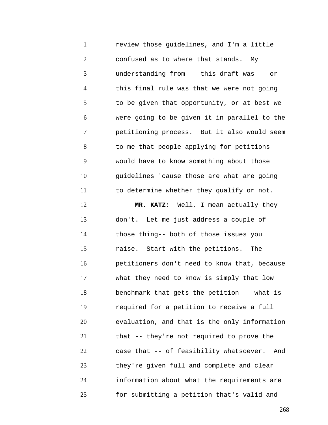1 2 3 4 5 6 7 8 9 10 11 12 13 14 15 16 17 18 19 20 21 22 23 24 review those guidelines, and I'm a little confused as to where that stands. My understanding from -- this draft was -- or this final rule was that we were not going to be given that opportunity, or at best we were going to be given it in parallel to the petitioning process. But it also would seem to me that people applying for petitions would have to know something about those guidelines 'cause those are what are going to determine whether they qualify or not. **MR. KATZ:** Well, I mean actually they don't. Let me just address a couple of those thing-- both of those issues you raise. Start with the petitions. The petitioners don't need to know that, because what they need to know is simply that low benchmark that gets the petition -- what is required for a petition to receive a full evaluation, and that is the only information that -- they're not required to prove the case that -- of feasibility whatsoever. And they're given full and complete and clear information about what the requirements are

for submitting a petition that's valid and

25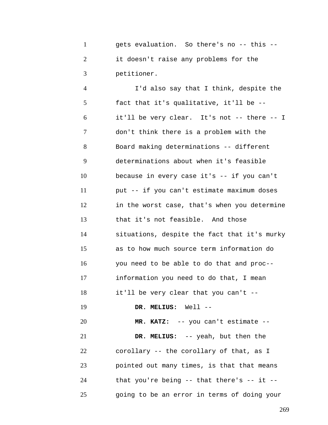1 2 3 gets evaluation. So there's no -- this - it doesn't raise any problems for the petitioner.

4 5 6 7 8 9 10 11 12 13 14 15 16 17 18 19 20 21 22 23 24 25 I'd also say that I think, despite the fact that it's qualitative, it'll be - it'll be very clear. It's not -- there -- I don't think there is a problem with the Board making determinations -- different determinations about when it's feasible because in every case it's -- if you can't put -- if you can't estimate maximum doses in the worst case, that's when you determine that it's not feasible. And those situations, despite the fact that it's murky as to how much source term information do you need to be able to do that and proc- information you need to do that, I mean it'll be very clear that you can't -- **DR. MELIUS:** Well -- **MR. KATZ:** -- you can't estimate -- **DR. MELIUS:** -- yeah, but then the corollary -- the corollary of that, as I pointed out many times, is that that means that you're being  $-$ - that there's  $-$ - it  $-$ going to be an error in terms of doing your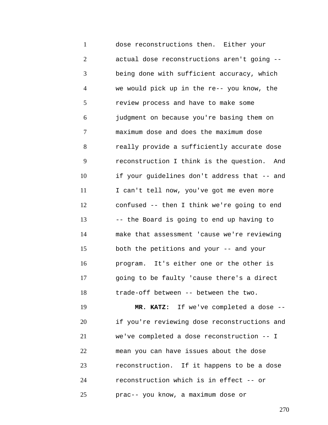1 2 3 4 5 6 7 8 9 10 11 12 13 14 15 16 17 18 dose reconstructions then. Either your actual dose reconstructions aren't going - being done with sufficient accuracy, which we would pick up in the re-- you know, the review process and have to make some judgment on because you're basing them on maximum dose and does the maximum dose really provide a sufficiently accurate dose reconstruction I think is the question. And if your guidelines don't address that -- and I can't tell now, you've got me even more confused -- then I think we're going to end -- the Board is going to end up having to make that assessment 'cause we're reviewing both the petitions and your -- and your program. It's either one or the other is going to be faulty 'cause there's a direct trade-off between -- between the two.

19 20 21 22 23 24 25 **MR. KATZ:** If we've completed a dose - if you're reviewing dose reconstructions and we've completed a dose reconstruction -- I mean you can have issues about the dose reconstruction. If it happens to be a dose reconstruction which is in effect -- or prac-- you know, a maximum dose or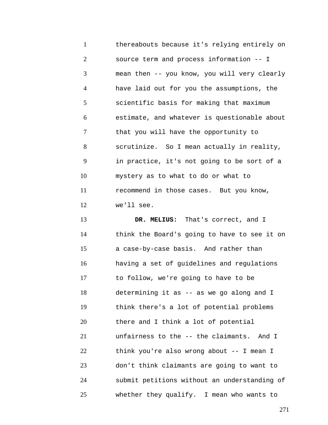1 2 3 4 5 6 7 8 9 10 11 12 thereabouts because it's relying entirely on source term and process information -- I mean then -- you know, you will very clearly have laid out for you the assumptions, the scientific basis for making that maximum estimate, and whatever is questionable about that you will have the opportunity to scrutinize. So I mean actually in reality, in practice, it's not going to be sort of a mystery as to what to do or what to recommend in those cases. But you know, we'll see.

13 14 15 16 17 18 19 20 21 22 23 24 25 **DR. MELIUS:** That's correct, and I think the Board's going to have to see it on a case-by-case basis. And rather than having a set of guidelines and regulations to follow, we're going to have to be determining it as -- as we go along and I think there's a lot of potential problems there and I think a lot of potential unfairness to the -- the claimants. And I think you're also wrong about -- I mean I don't think claimants are going to want to submit petitions without an understanding of whether they qualify. I mean who wants to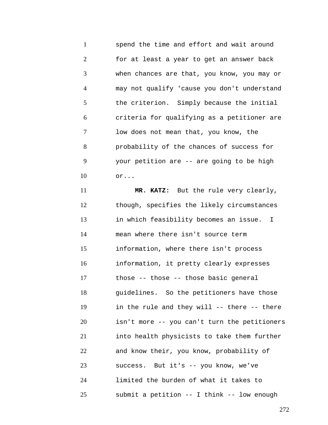1 2 3 4 5 6 7 8 9 10 spend the time and effort and wait around for at least a year to get an answer back when chances are that, you know, you may or may not qualify 'cause you don't understand the criterion. Simply because the initial criteria for qualifying as a petitioner are low does not mean that, you know, the probability of the chances of success for your petition are -- are going to be high or...

11 12 13 14 15 16 17 18 19 20 21 22 23 24 25 **MR. KATZ:** But the rule very clearly, though, specifies the likely circumstances in which feasibility becomes an issue. I mean where there isn't source term information, where there isn't process information, it pretty clearly expresses those -- those -- those basic general guidelines. So the petitioners have those in the rule and they will -- there -- there isn't more -- you can't turn the petitioners into health physicists to take them further and know their, you know, probability of success. But it's -- you know, we've limited the burden of what it takes to submit a petition -- I think -- low enough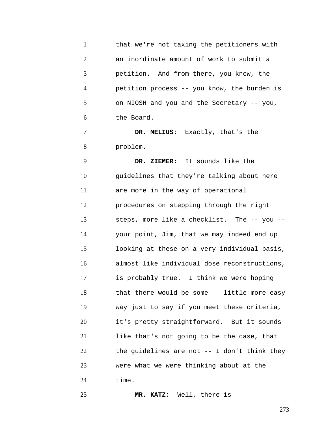1 2 3 4 5 6 that we're not taxing the petitioners with an inordinate amount of work to submit a petition. And from there, you know, the petition process -- you know, the burden is on NIOSH and you and the Secretary -- you, the Board.

7 8 **DR. MELIUS:** Exactly, that's the problem.

9 10 11 12 13 14 15 16 17 18 19 20 21 22 23 24 **DR. ZIEMER:** It sounds like the guidelines that they're talking about here are more in the way of operational procedures on stepping through the right steps, more like a checklist. The -- you - your point, Jim, that we may indeed end up looking at these on a very individual basis, almost like individual dose reconstructions, is probably true. I think we were hoping that there would be some -- little more easy way just to say if you meet these criteria, it's pretty straightforward. But it sounds like that's not going to be the case, that the guidelines are not -- I don't think they were what we were thinking about at the time.

**MR. KATZ:** Well, there is --

25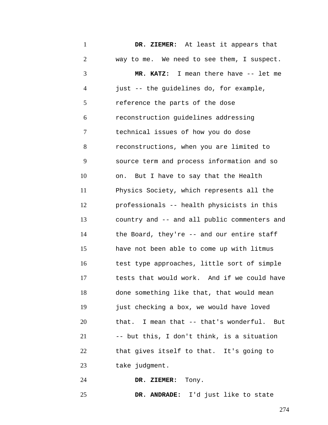1 2 3 4 5 6 7 8 9 10 11 12 13 14 15 16 17 18 19 20 21 22 23 24 **DR. ZIEMER:** At least it appears that way to me. We need to see them, I suspect. **MR. KATZ:** I mean there have -- let me just -- the guidelines do, for example, reference the parts of the dose reconstruction guidelines addressing technical issues of how you do dose reconstructions, when you are limited to source term and process information and so on. But I have to say that the Health Physics Society, which represents all the professionals -- health physicists in this country and -- and all public commenters and the Board, they're -- and our entire staff have not been able to come up with litmus test type approaches, little sort of simple tests that would work. And if we could have done something like that, that would mean just checking a box, we would have loved that. I mean that -- that's wonderful. But -- but this, I don't think, is a situation that gives itself to that. It's going to take judgment. **DR. ZIEMER:** Tony.

25 **DR. ANDRADE:** I'd just like to state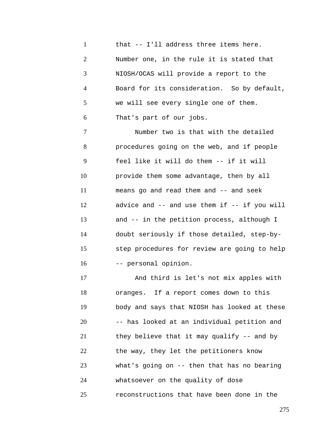1 2 3 4 5 6 that -- I'll address three items here. Number one, in the rule it is stated that NIOSH/OCAS will provide a report to the Board for its consideration. So by default, we will see every single one of them. That's part of our jobs.

7 8 9 10 11 12 13 14 15 16 Number two is that with the detailed procedures going on the web, and if people feel like it will do them -- if it will provide them some advantage, then by all means go and read them and -- and seek advice and  $--$  and use them if  $--$  if you will and -- in the petition process, although I doubt seriously if those detailed, step-bystep procedures for review are going to help -- personal opinion.

17 18 19 20 21 22 23 24 25 And third is let's not mix apples with oranges. If a report comes down to this body and says that NIOSH has looked at these -- has looked at an individual petition and they believe that it may qualify -- and by the way, they let the petitioners know what's going on -- then that has no bearing whatsoever on the quality of dose reconstructions that have been done in the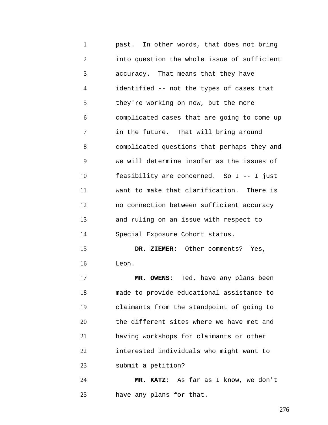1 2 3 4 5 6 7 8 9 10 11 12 13 14 15 16 17 past. In other words, that does not bring into question the whole issue of sufficient accuracy. That means that they have identified -- not the types of cases that they're working on now, but the more complicated cases that are going to come up in the future. That will bring around complicated questions that perhaps they and we will determine insofar as the issues of feasibility are concerned. So I -- I just want to make that clarification. There is no connection between sufficient accuracy and ruling on an issue with respect to Special Exposure Cohort status. **DR. ZIEMER:** Other comments? Yes, Leon. **MR. OWENS:** Ted, have any plans been

18 19 20 21 22 23 made to provide educational assistance to claimants from the standpoint of going to the different sites where we have met and having workshops for claimants or other interested individuals who might want to submit a petition?

24 25 **MR. KATZ:** As far as I know, we don't have any plans for that.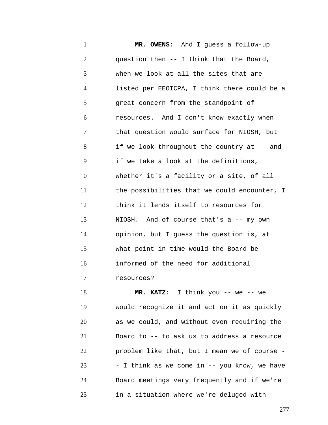1 2 3 4 5 6 7 8 9 10 11 12 13 14 15 16 17 18 **MR. OWENS:** And I guess a follow-up question then -- I think that the Board, when we look at all the sites that are listed per EEOICPA, I think there could be a great concern from the standpoint of resources. And I don't know exactly when that question would surface for NIOSH, but if we look throughout the country at -- and if we take a look at the definitions, whether it's a facility or a site, of all the possibilities that we could encounter, I think it lends itself to resources for NIOSH. And of course that's a -- my own opinion, but I guess the question is, at what point in time would the Board be informed of the need for additional resources? **MR. KATZ:** I think you -- we -- we

19 20 21 22 23 24 25 would recognize it and act on it as quickly as we could, and without even requiring the Board to -- to ask us to address a resource problem like that, but I mean we of course - - I think as we come in -- you know, we have Board meetings very frequently and if we're in a situation where we're deluged with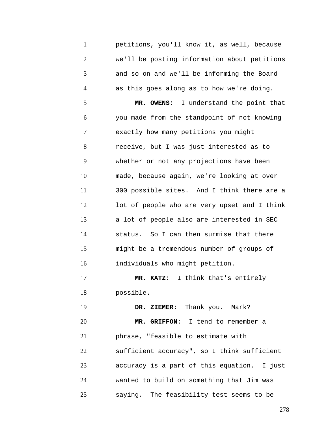1 2 3 4 5 6 7 8 9 10 11 12 13 14 15 16 17 18 19 20 21 22 23 24 25 petitions, you'll know it, as well, because we'll be posting information about petitions and so on and we'll be informing the Board as this goes along as to how we're doing. **MR. OWENS:** I understand the point that you made from the standpoint of not knowing exactly how many petitions you might receive, but I was just interested as to whether or not any projections have been made, because again, we're looking at over 300 possible sites. And I think there are a lot of people who are very upset and I think a lot of people also are interested in SEC status. So I can then surmise that there might be a tremendous number of groups of individuals who might petition. **MR. KATZ:** I think that's entirely possible. **DR. ZIEMER:** Thank you. Mark? **MR. GRIFFON:** I tend to remember a phrase, "feasible to estimate with sufficient accuracy", so I think sufficient accuracy is a part of this equation. I just wanted to build on something that Jim was saying. The feasibility test seems to be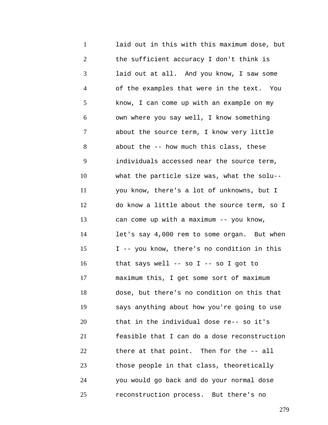1 2 3 4 5 6 7 8 9 10 11 12 13 14 15 16 17 18 19 20 21 22 23 24 25 laid out in this with this maximum dose, but the sufficient accuracy I don't think is laid out at all. And you know, I saw some of the examples that were in the text. You know, I can come up with an example on my own where you say well, I know something about the source term, I know very little about the -- how much this class, these individuals accessed near the source term, what the particle size was, what the solu- you know, there's a lot of unknowns, but I do know a little about the source term, so I can come up with a maximum -- you know, let's say 4,000 rem to some organ. But when I -- you know, there's no condition in this that says well -- so I -- so I got to maximum this, I get some sort of maximum dose, but there's no condition on this that says anything about how you're going to use that in the individual dose re-- so it's feasible that I can do a dose reconstruction there at that point. Then for the -- all those people in that class, theoretically you would go back and do your normal dose reconstruction process. But there's no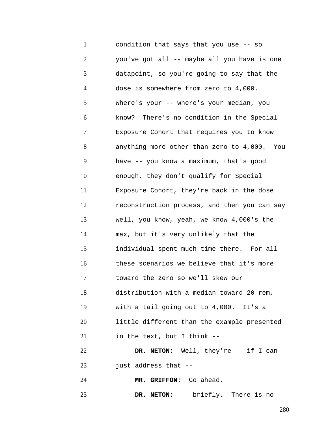1 2 3 4 5 6 7 8 9 10 11 12 13 14 15 16 17 18 19 20 21 22 23 24 condition that says that you use -- so you've got all -- maybe all you have is one datapoint, so you're going to say that the dose is somewhere from zero to 4,000. Where's your -- where's your median, you know? There's no condition in the Special Exposure Cohort that requires you to know anything more other than zero to 4,000. You have -- you know a maximum, that's good enough, they don't qualify for Special Exposure Cohort, they're back in the dose reconstruction process, and then you can say well, you know, yeah, we know 4,000's the max, but it's very unlikely that the individual spent much time there. For all these scenarios we believe that it's more toward the zero so we'll skew our distribution with a median toward 20 rem, with a tail going out to 4,000. It's a little different than the example presented in the text, but I think -- **DR. NETON:** Well, they're -- if I can just address that -- **MR. GRIFFON:** Go ahead.

25 **DR. NETON:** -- briefly. There is no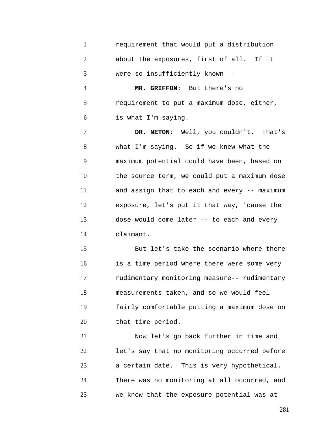1 2 3 requirement that would put a distribution about the exposures, first of all. If it were so insufficiently known --

4 5 6 **MR. GRIFFON:** But there's no requirement to put a maximum dose, either, is what I'm saying.

7 8 9 10 11 12 13 14 **DR. NETON:** Well, you couldn't. That's what I'm saying. So if we knew what the maximum potential could have been, based on the source term, we could put a maximum dose and assign that to each and every -- maximum exposure, let's put it that way, 'cause the dose would come later -- to each and every claimant.

15 16 17 18 19 20 But let's take the scenario where there is a time period where there were some very rudimentary monitoring measure-- rudimentary measurements taken, and so we would feel fairly comfortable putting a maximum dose on that time period.

21 22 23 24 25 Now let's go back further in time and let's say that no monitoring occurred before a certain date. This is very hypothetical. There was no monitoring at all occurred, and we know that the exposure potential was at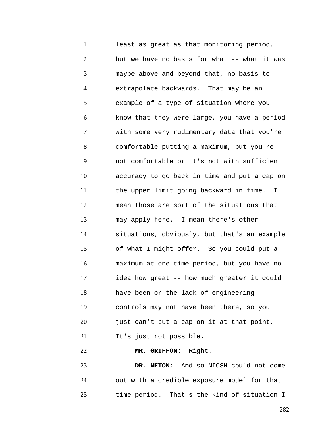1 2 3 4 5 6 7 8 9 10 11 12 13 14 15 16 17 18 19 20 21 22 least as great as that monitoring period, but we have no basis for what -- what it was maybe above and beyond that, no basis to extrapolate backwards. That may be an example of a type of situation where you know that they were large, you have a period with some very rudimentary data that you're comfortable putting a maximum, but you're not comfortable or it's not with sufficient accuracy to go back in time and put a cap on the upper limit going backward in time. I mean those are sort of the situations that may apply here. I mean there's other situations, obviously, but that's an example of what I might offer. So you could put a maximum at one time period, but you have no idea how great -- how much greater it could have been or the lack of engineering controls may not have been there, so you just can't put a cap on it at that point. It's just not possible. **MR. GRIFFON:** Right.

23 24 25 **DR. NETON:** And so NIOSH could not come out with a credible exposure model for that time period. That's the kind of situation I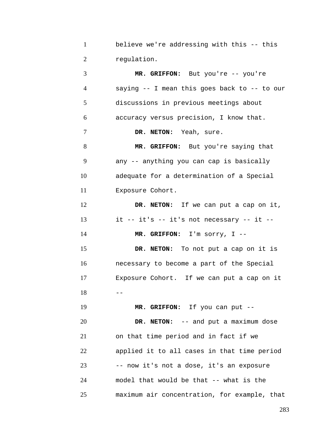| believe we're addressing with this -- this |
|--------------------------------------------|
| requlation.                                |

3 4 5 6 7 8 9 10 11 12 13 14 15 16 17  $18 - -$ 19 20 21 22 23 24 25 **MR. GRIFFON:** But you're -- you're saying -- I mean this goes back to -- to our discussions in previous meetings about accuracy versus precision, I know that. **DR. NETON:** Yeah, sure. **MR. GRIFFON:** But you're saying that any -- anything you can cap is basically adequate for a determination of a Special Exposure Cohort. **DR. NETON:** If we can put a cap on it, it -- it's -- it's not necessary -- it -- **MR. GRIFFON:** I'm sorry, I -- **DR. NETON:** To not put a cap on it is necessary to become a part of the Special Exposure Cohort. If we can put a cap on it **MR. GRIFFON:** If you can put -- **DR. NETON:** -- and put a maximum dose on that time period and in fact if we applied it to all cases in that time period -- now it's not a dose, it's an exposure model that would be that -- what is the maximum air concentration, for example, that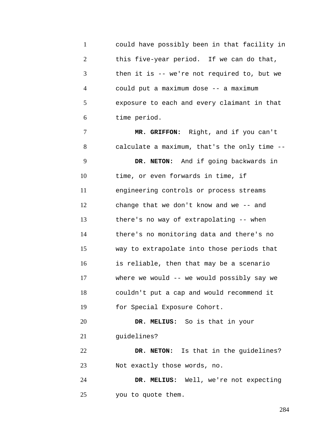1 2 3 4 5 6 could have possibly been in that facility in this five-year period. If we can do that, then it is -- we're not required to, but we could put a maximum dose -- a maximum exposure to each and every claimant in that time period.

7 8 9 10 11 12 13 14 15 16 17 18 19 20 21 22 23 **MR. GRIFFON:** Right, and if you can't calculate a maximum, that's the only time -- **DR. NETON:** And if going backwards in time, or even forwards in time, if engineering controls or process streams change that we don't know and we -- and there's no way of extrapolating -- when there's no monitoring data and there's no way to extrapolate into those periods that is reliable, then that may be a scenario where we would -- we would possibly say we couldn't put a cap and would recommend it for Special Exposure Cohort. **DR. MELIUS:** So is that in your guidelines? **DR. NETON:** Is that in the guidelines? Not exactly those words, no.

24 25 **DR. MELIUS:** Well, we're not expecting you to quote them.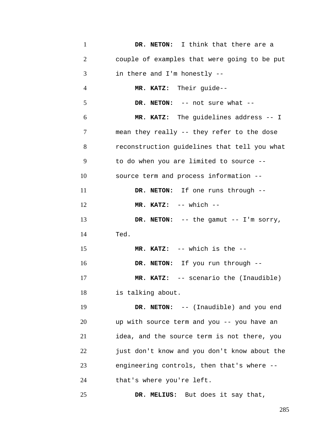1 2 3 4 5 6 7 8 9 10 11 12 13 14 15 16 17 18 19 20 21 22 23 24 25 **DR. NETON:** I think that there are a couple of examples that were going to be put in there and I'm honestly -- **MR. KATZ:** Their guide-- **DR. NETON:** -- not sure what -- **MR. KATZ:** The guidelines address -- I mean they really -- they refer to the dose reconstruction guidelines that tell you what to do when you are limited to source - source term and process information -- **DR. NETON:** If one runs through -- **MR. KATZ:** -- which -- **DR. NETON:** -- the gamut -- I'm sorry, Ted. **MR. KATZ:** -- which is the -- **DR. NETON:** If you run through -- **MR. KATZ:** -- scenario the (Inaudible) is talking about. **DR. NETON:** -- (Inaudible) and you end up with source term and you -- you have an idea, and the source term is not there, you just don't know and you don't know about the engineering controls, then that's where - that's where you're left. **DR. MELIUS:** But does it say that,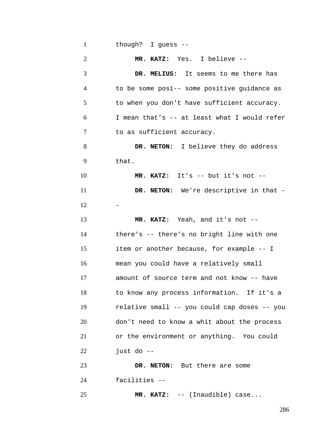| $\mathbf{1}$   | though? I guess --                           |
|----------------|----------------------------------------------|
| $\overline{2}$ | MR. KATZ: Yes. I believe --                  |
| 3              | DR. MELIUS: It seems to me there has         |
| 4              | to be some posi-- some positive guidance as  |
| 5              | to when you don't have sufficient accuracy.  |
| 6              | I mean that's -- at least what I would refer |
| 7              | to as sufficient accuracy.                   |
| 8              | DR. NETON: I believe they do address         |
| 9              | that.                                        |
| 10             | $MR. KATZ: It's -- but it's not --$          |
| 11             | DR. NETON: We're descriptive in that -       |
| 12             |                                              |
| 13             | MR. KATZ: Yeah, and it's not --              |
| 14             | there's -- there's no bright line with one   |
| 15             | item or another because, for example -- I    |
| 16             | mean you could have a relatively small       |
| 17             | amount of source term and not know -- have   |
| 18             | to know any process information. If it's a   |
| 19             | relative small -- you could cap doses -- you |
| 20             | don't need to know a whit about the process  |
| 21             | or the environment or anything. You could    |
| 22             | just do --                                   |
| 23             | DR. NETON: But there are some                |
| 24             | facilities --                                |
| 25             | MR. KATZ: -- (Inaudible) case                |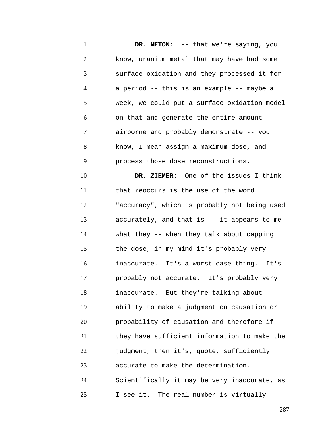1 2 3 4 5 6 7 8 9 10 11 12 13 14 15 16 17 18 19 20 21 22 23 24 25 **DR. NETON:** -- that we're saying, you know, uranium metal that may have had some surface oxidation and they processed it for a period -- this is an example -- maybe a week, we could put a surface oxidation model on that and generate the entire amount airborne and probably demonstrate -- you know, I mean assign a maximum dose, and process those dose reconstructions. **DR. ZIEMER:** One of the issues I think that reoccurs is the use of the word "accuracy", which is probably not being used accurately, and that is -- it appears to me what they -- when they talk about capping the dose, in my mind it's probably very inaccurate. It's a worst-case thing. It's probably not accurate. It's probably very inaccurate. But they're talking about ability to make a judgment on causation or probability of causation and therefore if they have sufficient information to make the judgment, then it's, quote, sufficiently accurate to make the determination. Scientifically it may be very inaccurate, as I see it. The real number is virtually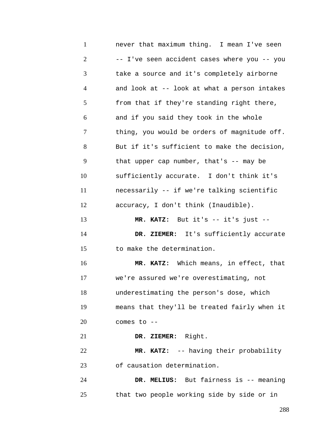1 2 3 4 5 6 7 8 9 10 11 12 13 14 15 16 17 18 19 20 21 22 23 24 25 never that maximum thing. I mean I've seen -- I've seen accident cases where you -- you take a source and it's completely airborne and look at -- look at what a person intakes from that if they're standing right there, and if you said they took in the whole thing, you would be orders of magnitude off. But if it's sufficient to make the decision, that upper cap number, that's -- may be sufficiently accurate. I don't think it's necessarily -- if we're talking scientific accuracy, I don't think (Inaudible). **MR. KATZ:** But it's -- it's just -- **DR. ZIEMER:** It's sufficiently accurate to make the determination. **MR. KATZ:** Which means, in effect, that we're assured we're overestimating, not underestimating the person's dose, which means that they'll be treated fairly when it comes to -- **DR. ZIEMER:** Right. **MR. KATZ:** -- having their probability of causation determination. **DR. MELIUS:** But fairness is -- meaning that two people working side by side or in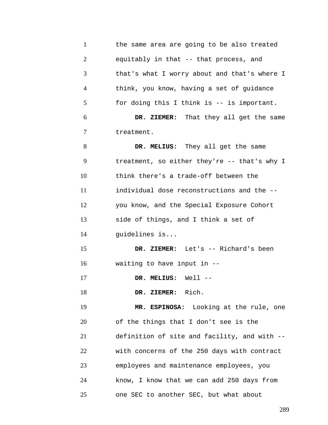| $\mathbf{1}$   | the same area are going to be also treated   |
|----------------|----------------------------------------------|
| $\overline{2}$ | equitably in that -- that process, and       |
| 3              | that's what I worry about and that's where I |
| $\overline{4}$ | think, you know, having a set of guidance    |
| 5              | for doing this I think is -- is important.   |
| 6              | DR. ZIEMER: That they all get the same       |
| 7              | treatment.                                   |
| 8              | DR. MELIUS: They all get the same            |
| 9              | treatment, so either they're -- that's why I |
| 10             | think there's a trade-off between the        |
| 11             | individual dose reconstructions and the --   |
| 12             | you know, and the Special Exposure Cohort    |
| 13             | side of things, and I think a set of         |
| 14             | guidelines is                                |
| 15             | DR. ZIEMER: Let's -- Richard's been          |
| 16             | waiting to have input in --                  |
| 17             | DR. MELIUS: Well --                          |
| 18             | DR. ZIEMER: Rich.                            |
| 19             | MR. ESPINOSA: Looking at the rule, one       |
| 20             | of the things that I don't see is the        |
| 21             | definition of site and facility, and with -- |
| 22             | with concerns of the 250 days with contract  |
| 23             | employees and maintenance employees, you     |
| 24             | know, I know that we can add 250 days from   |
| 25             | one SEC to another SEC, but what about       |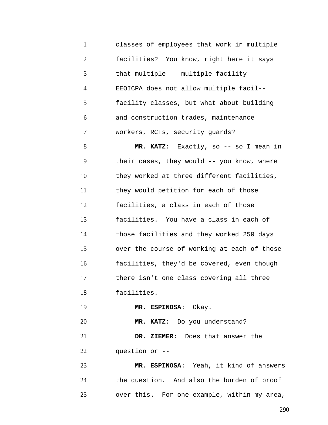1 2 3 4 5 6 7 classes of employees that work in multiple facilities? You know, right here it says that multiple -- multiple facility -- EEOICPA does not allow multiple facil- facility classes, but what about building and construction trades, maintenance workers, RCTs, security guards?

8 9 10 11 12 13 14 15 16 17 18 **MR. KATZ:** Exactly, so -- so I mean in their cases, they would -- you know, where they worked at three different facilities, they would petition for each of those facilities, a class in each of those facilities. You have a class in each of those facilities and they worked 250 days over the course of working at each of those facilities, they'd be covered, even though there isn't one class covering all three facilities.

19 **MR. ESPINOSA:** Okay.

20 **MR. KATZ:** Do you understand?

21 22 **DR. ZIEMER:** Does that answer the question or --

23 24 25 **MR. ESPINOSA:** Yeah, it kind of answers the question. And also the burden of proof over this. For one example, within my area,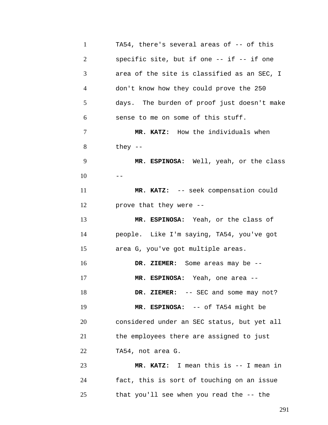| $\mathbf{1}$   | TA54, there's several areas of -- of this   |
|----------------|---------------------------------------------|
| $\overline{2}$ | specific site, but if one -- if -- if one   |
| 3              | area of the site is classified as an SEC, I |
| $\overline{4}$ | don't know how they could prove the 250     |
| 5              | days. The burden of proof just doesn't make |
| 6              | sense to me on some of this stuff.          |
| 7              | MR. KATZ: How the individuals when          |
| 8              | they $-$                                    |
| 9              | MR. ESPINOSA: Well, yeah, or the class      |
| 10             | $- -$                                       |
| 11             | MR. KATZ: -- seek compensation could        |
| 12             | prove that they were --                     |
| 13             | MR. ESPINOSA: Yeah, or the class of         |
| 14             | people. Like I'm saying, TA54, you've got   |
| 15             | area G, you've got multiple areas.          |
| 16             | DR. ZIEMER: Some areas may be --            |
| 17             | MR. ESPINOSA: Yeah, one area --             |
| 18             | DR. ZIEMER: -- SEC and some may not?        |
| 19             | MR. ESPINOSA: -- of TA54 might be           |
| 20             | considered under an SEC status, but yet all |
| 21             | the employees there are assigned to just    |
| 22             | TA54, not area G.                           |
| 23             | MR. KATZ: I mean this is -- I mean in       |
| 24             | fact, this is sort of touching on an issue  |
| 25             | that you'll see when you read the -- the    |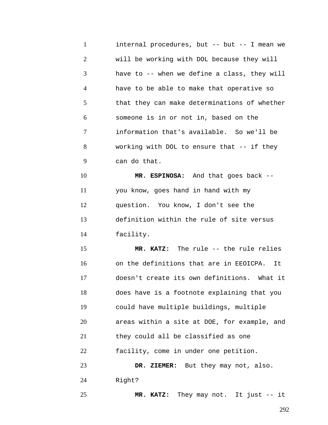1 2 3 4 5 6 7 8 9 10 internal procedures, but -- but -- I mean we will be working with DOL because they will have to -- when we define a class, they will have to be able to make that operative so that they can make determinations of whether someone is in or not in, based on the information that's available. So we'll be working with DOL to ensure that -- if they can do that. **MR. ESPINOSA:** And that goes back --

11 12 13 14 you know, goes hand in hand with my question. You know, I don't see the definition within the rule of site versus facility.

15 16 17 18 19 20 21 22 23 **MR. KATZ:** The rule -- the rule relies on the definitions that are in EEOICPA. It doesn't create its own definitions. What it does have is a footnote explaining that you could have multiple buildings, multiple areas within a site at DOE, for example, and they could all be classified as one facility, come in under one petition. **DR. ZIEMER:** But they may not, also.

24 Right?

25

**MR. KATZ:** They may not. It just -- it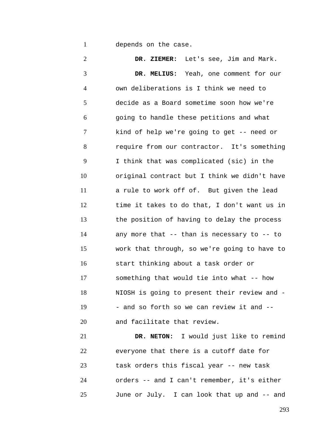1 depends on the case.

2 3 4 5 6 7 8 9 10 11 12 13 14 15 16 17 18 19 20 21 22 23 **DR. ZIEMER:** Let's see, Jim and Mark. **DR. MELIUS:** Yeah, one comment for our own deliberations is I think we need to decide as a Board sometime soon how we're going to handle these petitions and what kind of help we're going to get -- need or require from our contractor. It's something I think that was complicated (sic) in the original contract but I think we didn't have a rule to work off of. But given the lead time it takes to do that, I don't want us in the position of having to delay the process any more that -- than is necessary to -- to work that through, so we're going to have to start thinking about a task order or something that would tie into what -- how NIOSH is going to present their review and - - and so forth so we can review it and - and facilitate that review. **DR. NETON:** I would just like to remind everyone that there is a cutoff date for task orders this fiscal year -- new task

24 25 orders -- and I can't remember, it's either June or July. I can look that up and -- and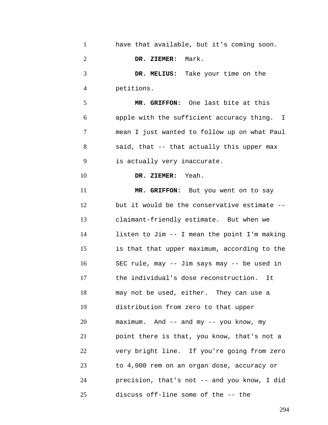| $\mathbf{1}$   | have that available, but it's coming soon.   |
|----------------|----------------------------------------------|
| $\overline{2}$ | DR. ZIEMER: Mark.                            |
| 3              | DR. MELIUS: Take your time on the            |
| 4              | petitions.                                   |
| 5              | MR. GRIFFON: One last bite at this           |
| 6              | apple with the sufficient accuracy thing. I  |
| 7              | mean I just wanted to follow up on what Paul |
| 8              | said, that -- that actually this upper max   |
| 9              | is actually very inaccurate.                 |
| 10             | DR. ZIEMER: Yeah.                            |
| 11             | MR. GRIFFON: But you went on to say          |
| 12             | but it would be the conservative estimate -- |
| 13             | claimant-friendly estimate. But when we      |
| 14             | listen to Jim -- I mean the point I'm making |
| 15             | is that that upper maximum, according to the |
| 16             | SEC rule, may -- Jim says may -- be used in  |
| 17             | the individual's dose reconstruction.<br>It  |
| 18             | may not be used, either. They can use a      |
| 19             | distribution from zero to that upper         |
| 20             | maximum. And -- and my -- you know, my       |
| 21             | point there is that, you know, that's not a  |
| 22             | very bright line. If you're going from zero  |
| 23             | to 4,000 rem on an organ dose, accuracy or   |
| 24             | precision, that's not -- and you know, I did |
| 25             | discuss off-line some of the -- the          |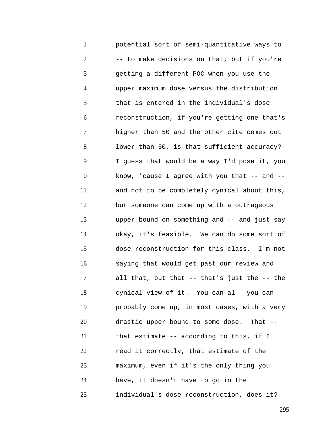1 2 3 4 5 6 7 8 9 10 11 12 13 14 15 16 17 18 19 20 21 22 23 24 25 potential sort of semi-quantitative ways to -- to make decisions on that, but if you're getting a different POC when you use the upper maximum dose versus the distribution that is entered in the individual's dose reconstruction, if you're getting one that's higher than 50 and the other cite comes out lower than 50, is that sufficient accuracy? I guess that would be a way I'd pose it, you know, 'cause I agree with you that  $--$  and  $-$ and not to be completely cynical about this, but someone can come up with a outrageous upper bound on something and -- and just say okay, it's feasible. We can do some sort of dose reconstruction for this class. I'm not saying that would get past our review and all that, but that -- that's just the -- the cynical view of it. You can al-- you can probably come up, in most cases, with a very drastic upper bound to some dose. That - that estimate -- according to this, if I read it correctly, that estimate of the maximum, even if it's the only thing you have, it doesn't have to go in the individual's dose reconstruction, does it?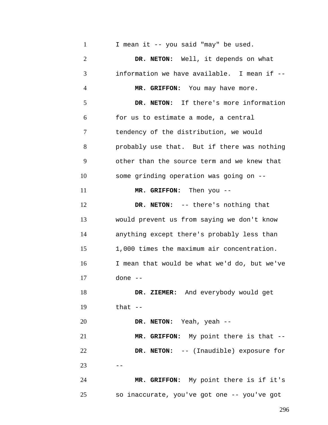1 2 3 4 5 6 7 8 9 10 11 12 13 14 15 16 17 18 19 20 21 22  $23 - -$ 24 25 I mean it -- you said "may" be used. **DR. NETON:** Well, it depends on what information we have available. I mean if -- **MR. GRIFFON:** You may have more. **DR. NETON:** If there's more information for us to estimate a mode, a central tendency of the distribution, we would probably use that. But if there was nothing other than the source term and we knew that some grinding operation was going on -- **MR. GRIFFON:** Then you -- **DR. NETON:** -- there's nothing that would prevent us from saying we don't know anything except there's probably less than 1,000 times the maximum air concentration. I mean that would be what we'd do, but we've done -- **DR. ZIEMER:** And everybody would get that  $--$ **DR. NETON:** Yeah, yeah -- **MR. GRIFFON:** My point there is that -- **DR. NETON:** -- (Inaudible) exposure for **MR. GRIFFON:** My point there is if it's so inaccurate, you've got one -- you've got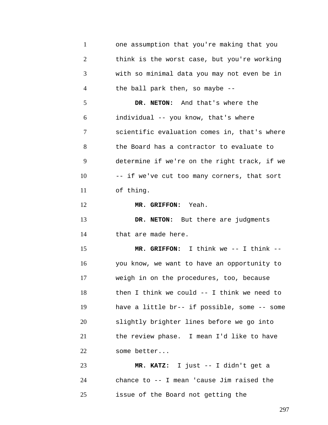1 2 3 4 5 6 7 8 9 10 11 12 13 14 15 16 17 18 19 20 21 22 23 24 25 one assumption that you're making that you think is the worst case, but you're working with so minimal data you may not even be in the ball park then, so maybe -- **DR. NETON:** And that's where the individual -- you know, that's where scientific evaluation comes in, that's where the Board has a contractor to evaluate to determine if we're on the right track, if we -- if we've cut too many corners, that sort of thing. **MR. GRIFFON:** Yeah. **DR. NETON:** But there are judgments that are made here. **MR. GRIFFON:** I think we -- I think - you know, we want to have an opportunity to weigh in on the procedures, too, because then I think we could -- I think we need to have a little br-- if possible, some -- some slightly brighter lines before we go into the review phase. I mean I'd like to have some better... **MR. KATZ:** I just -- I didn't get a chance to -- I mean 'cause Jim raised the issue of the Board not getting the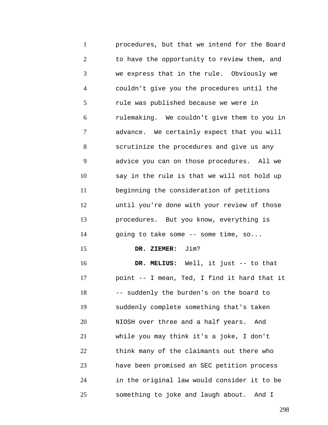1 2 3 4 5 6 7 8 9 10 11 12 13 14 15 16 17 18 19 20 21 22 23 24 25 procedures, but that we intend for the Board to have the opportunity to review them, and we express that in the rule. Obviously we couldn't give you the procedures until the rule was published because we were in rulemaking. We couldn't give them to you in advance. We certainly expect that you will scrutinize the procedures and give us any advice you can on those procedures. All we say in the rule is that we will not hold up beginning the consideration of petitions until you're done with your review of those procedures. But you know, everything is going to take some -- some time, so... **DR. ZIEMER:** Jim? **DR. MELIUS:** Well, it just -- to that point -- I mean, Ted, I find it hard that it -- suddenly the burden's on the board to suddenly complete something that's taken NIOSH over three and a half years. And while you may think it's a joke, I don't think many of the claimants out there who have been promised an SEC petition process in the original law would consider it to be something to joke and laugh about. And I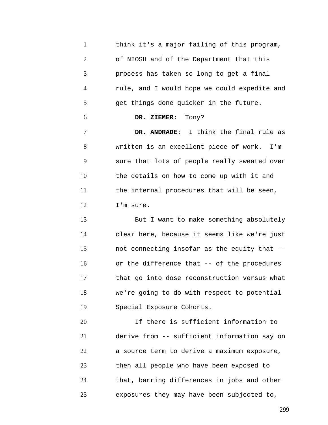| $\mathbf{1}$   | think it's a major failing of this program,  |
|----------------|----------------------------------------------|
| $\overline{2}$ | of NIOSH and of the Department that this     |
| 3              | process has taken so long to get a final     |
| $\overline{4}$ | rule, and I would hope we could expedite and |
| 5              | get things done quicker in the future.       |
| 6              | DR. ZIEMER: Tony?                            |
| $\tau$         | DR. ANDRADE: I think the final rule as       |
| 8              | written is an excellent piece of work. I'm   |
| 9              | sure that lots of people really sweated over |
| 10             | the details on how to come up with it and    |
| 11             | the internal procedures that will be seen,   |
| 12             | I'm sure.                                    |
| 13             | But I want to make something absolutely      |

14 15 16 17 18 19 clear here, because it seems like we're just not connecting insofar as the equity that - or the difference that -- of the procedures that go into dose reconstruction versus what we're going to do with respect to potential Special Exposure Cohorts.

20 21 22 23 24 25 If there is sufficient information to derive from -- sufficient information say on a source term to derive a maximum exposure, then all people who have been exposed to that, barring differences in jobs and other exposures they may have been subjected to,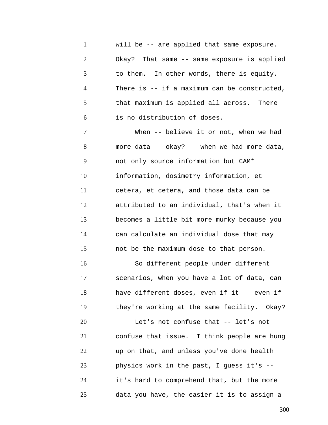1 2 3 4 5 6 will be -- are applied that same exposure. Okay? That same -- same exposure is applied to them. In other words, there is equity. There is -- if a maximum can be constructed, that maximum is applied all across. There is no distribution of doses.

7 8 9 10 11 12 13 14 15 16 17 18 19 20 21 22 23 24 25 When -- believe it or not, when we had more data -- okay? -- when we had more data, not only source information but CAM\* information, dosimetry information, et cetera, et cetera, and those data can be attributed to an individual, that's when it becomes a little bit more murky because you can calculate an individual dose that may not be the maximum dose to that person. So different people under different scenarios, when you have a lot of data, can have different doses, even if it -- even if they're working at the same facility. Okay? Let's not confuse that -- let's not confuse that issue. I think people are hung up on that, and unless you've done health physics work in the past, I guess it's - it's hard to comprehend that, but the more data you have, the easier it is to assign a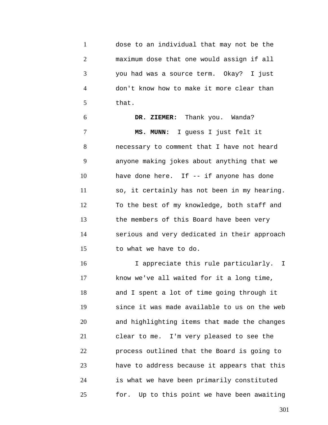1 2 3 4 5 dose to an individual that may not be the maximum dose that one would assign if all you had was a source term. Okay? I just don't know how to make it more clear than that.

6 7 8 9 10 11 12 13 14 15 **DR. ZIEMER:** Thank you. Wanda? **MS. MUNN:** I guess I just felt it necessary to comment that I have not heard anyone making jokes about anything that we have done here. If -- if anyone has done so, it certainly has not been in my hearing. To the best of my knowledge, both staff and the members of this Board have been very serious and very dedicated in their approach to what we have to do.

16 17 18 19 20 21 22 23 24 25 I appreciate this rule particularly. I know we've all waited for it a long time, and I spent a lot of time going through it since it was made available to us on the web and highlighting items that made the changes clear to me. I'm very pleased to see the process outlined that the Board is going to have to address because it appears that this is what we have been primarily constituted for. Up to this point we have been awaiting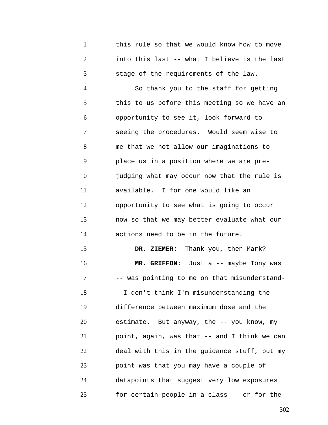1 2 3 this rule so that we would know how to move into this last -- what I believe is the last stage of the requirements of the law.

4 5 6 7 8 9 10 11 12 13 14 So thank you to the staff for getting this to us before this meeting so we have an opportunity to see it, look forward to seeing the procedures. Would seem wise to me that we not allow our imaginations to place us in a position where we are prejudging what may occur now that the rule is available. I for one would like an opportunity to see what is going to occur now so that we may better evaluate what our actions need to be in the future.

15 16 17 18 19 20 21 22 23 24 25 **DR. ZIEMER:** Thank you, then Mark? **MR. GRIFFON:** Just a -- maybe Tony was -- was pointing to me on that misunderstand- - I don't think I'm misunderstanding the difference between maximum dose and the estimate. But anyway, the -- you know, my point, again, was that -- and I think we can deal with this in the guidance stuff, but my point was that you may have a couple of datapoints that suggest very low exposures for certain people in a class -- or for the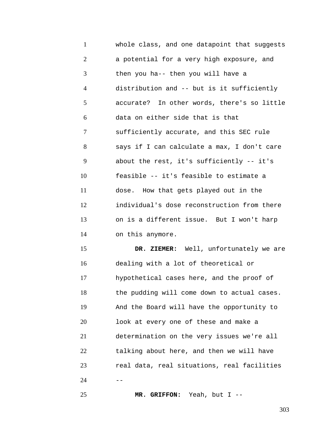1 2 3 4 5 6 7 8 9 10 11 12 13 14 whole class, and one datapoint that suggests a potential for a very high exposure, and then you ha-- then you will have a distribution and -- but is it sufficiently accurate? In other words, there's so little data on either side that is that sufficiently accurate, and this SEC rule says if I can calculate a max, I don't care about the rest, it's sufficiently -- it's feasible -- it's feasible to estimate a dose. How that gets played out in the individual's dose reconstruction from there on is a different issue. But I won't harp on this anymore.

15 16 17 18 19 20 21 22 23  $24$ **DR. ZIEMER:** Well, unfortunately we are dealing with a lot of theoretical or hypothetical cases here, and the proof of the pudding will come down to actual cases. And the Board will have the opportunity to look at every one of these and make a determination on the very issues we're all talking about here, and then we will have real data, real situations, real facilities

**MR. GRIFFON:** Yeah, but I --

25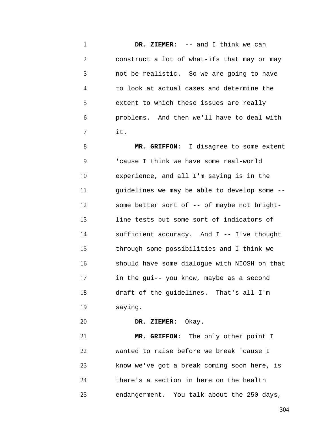1 2 3 4 5 6 7 **DR. ZIEMER:** -- and I think we can construct a lot of what-ifs that may or may not be realistic. So we are going to have to look at actual cases and determine the extent to which these issues are really problems. And then we'll have to deal with it.

8 9 10 11 12 13 14 15 16 17 18 19 **MR. GRIFFON:** I disagree to some extent 'cause I think we have some real-world experience, and all I'm saying is in the guidelines we may be able to develop some - some better sort of -- of maybe not brightline tests but some sort of indicators of sufficient accuracy. And I -- I've thought through some possibilities and I think we should have some dialogue with NIOSH on that in the gui-- you know, maybe as a second draft of the guidelines. That's all I'm saying.

20 **DR. ZIEMER:** Okay.

21 22 23 24 25 **MR. GRIFFON:** The only other point I wanted to raise before we break 'cause I know we've got a break coming soon here, is there's a section in here on the health endangerment. You talk about the 250 days,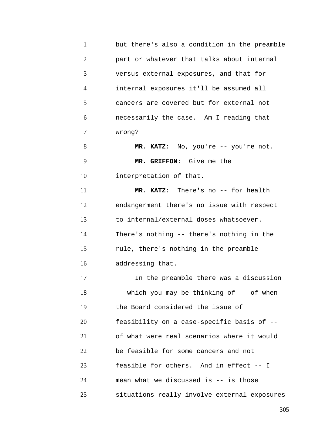| $\mathbf{1}$ | but there's also a condition in the preamble |
|--------------|----------------------------------------------|
| $\mathbf{2}$ | part or whatever that talks about internal   |
| 3            | versus external exposures, and that for      |
| 4            | internal exposures it'll be assumed all      |
| 5            | cancers are covered but for external not     |
| 6            | necessarily the case. Am I reading that      |
| 7            | wrong?                                       |
| 8            | MR. KATZ: No, you're -- you're not.          |
| 9            | MR. GRIFFON: Give me the                     |
| 10           | interpretation of that.                      |
| 11           | MR. KATZ: There's no -- for health           |
| 12           | endangerment there's no issue with respect   |
| 13           | to internal/external doses whatsoever.       |
| 14           | There's nothing -- there's nothing in the    |
| 15           | rule, there's nothing in the preamble        |
| 16           | addressing that.                             |
| 17           | In the preamble there was a discussion       |
| 18           | -- which you may be thinking of -- of when   |
| 19           | the Board considered the issue of            |
| 20           | feasibility on a case-specific basis of --   |
| 21           | of what were real scenarios where it would   |
| 22           | be feasible for some cancers and not         |
| 23           | feasible for others. And in effect -- I      |
| 24           | mean what we discussed is -- is those        |
| 25           | situations really involve external exposures |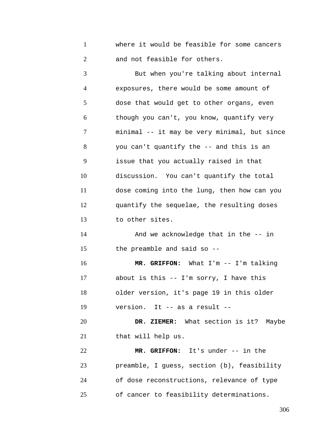1 2 where it would be feasible for some cancers and not feasible for others.

3 4 5 6 7 8 9 10 11 12 13 14 15 16 17 18 19 20 21 22 23 24 But when you're talking about internal exposures, there would be some amount of dose that would get to other organs, even though you can't, you know, quantify very minimal -- it may be very minimal, but since you can't quantify the -- and this is an issue that you actually raised in that discussion. You can't quantify the total dose coming into the lung, then how can you quantify the sequelae, the resulting doses to other sites. And we acknowledge that in the -- in the preamble and said so -- **MR. GRIFFON:** What I'm -- I'm talking about is this -- I'm sorry, I have this older version, it's page 19 in this older version. It -- as a result -- **DR. ZIEMER:** What section is it? Maybe that will help us. **MR. GRIFFON:** It's under -- in the preamble, I guess, section (b), feasibility of dose reconstructions, relevance of type

25 of cancer to feasibility determinations.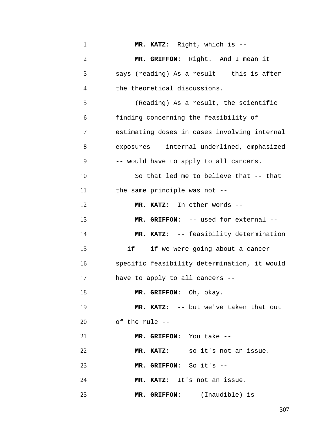| $\mathbf{1}$   | MR. KATZ: Right, which is --                 |
|----------------|----------------------------------------------|
| $\overline{2}$ | MR. GRIFFON: Right. And I mean it            |
| 3              | says (reading) As a result -- this is after  |
| $\overline{4}$ | the theoretical discussions.                 |
| 5              | (Reading) As a result, the scientific        |
| 6              | finding concerning the feasibility of        |
| 7              | estimating doses in cases involving internal |
| 8              | exposures -- internal underlined, emphasized |
| 9              | -- would have to apply to all cancers.       |
| 10             | So that led me to believe that -- that       |
| 11             | the same principle was not --                |
| 12             | MR. KATZ: In other words --                  |
| 13             | MR. GRIFFON: -- used for external --         |
| 14             | MR. KATZ: -- feasibility determination       |
| 15             | -- if -- if we were going about a cancer-    |
| 16             | specific feasibility determination, it would |
| 17             | have to apply to all cancers --              |
| 18             | MR. GRIFFON: Oh, okay.                       |
| 19             | MR. KATZ: -- but we've taken that out        |
| 20             | of the rule --                               |
| 21             | MR. GRIFFON: You take --                     |
| 22             | MR. KATZ: -- so it's not an issue.           |
| 23             | MR. GRIFFON: So it's --                      |
| 24             | MR. KATZ: It's not an issue.                 |
| 25             | MR. GRIFFON: -- (Inaudible) is               |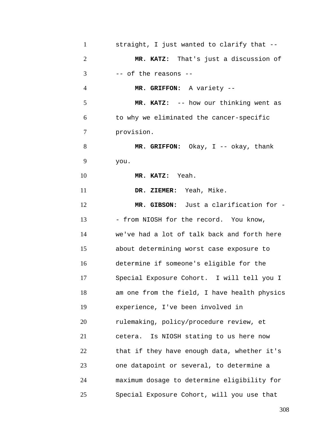| $\mathbf{1}$   | straight, I just wanted to clarify that --   |
|----------------|----------------------------------------------|
| $\overline{2}$ | MR. KATZ: That's just a discussion of        |
| 3              | -- of the reasons --                         |
| $\overline{4}$ | MR. GRIFFON: A variety --                    |
| 5              | MR. KATZ: -- how our thinking went as        |
| 6              | to why we eliminated the cancer-specific     |
| 7              | provision.                                   |
| 8              | MR. GRIFFON: Okay, I -- okay, thank          |
| 9              | you.                                         |
| 10             | MR. KATZ: Yeah.                              |
| 11             | DR. ZIEMER: Yeah, Mike.                      |
| 12             | MR. GIBSON: Just a clarification for -       |
| 13             | - from NIOSH for the record. You know,       |
| 14             | we've had a lot of talk back and forth here  |
| 15             | about determining worst case exposure to     |
| 16             | determine if someone's eligible for the      |
| 17             | Special Exposure Cohort. I will tell you I   |
| 18             | am one from the field, I have health physics |
| 19             | experience, I've been involved in            |
| 20             | rulemaking, policy/procedure review, et      |
| 21             | cetera. Is NIOSH stating to us here now      |
| 22             | that if they have enough data, whether it's  |
| 23             | one datapoint or several, to determine a     |
| 24             | maximum dosage to determine eligibility for  |
| 25             | Special Exposure Cohort, will you use that   |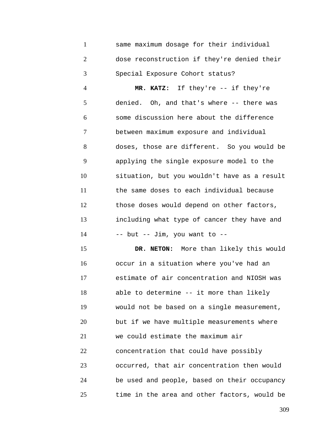1 2 3 same maximum dosage for their individual dose reconstruction if they're denied their Special Exposure Cohort status?

4 5 6 7 8 9 10 11 12 13 14 **MR. KATZ:** If they're -- if they're denied. Oh, and that's where -- there was some discussion here about the difference between maximum exposure and individual doses, those are different. So you would be applying the single exposure model to the situation, but you wouldn't have as a result the same doses to each individual because those doses would depend on other factors, including what type of cancer they have and  $--$  but  $--$  Jim, you want to  $--$ 

15 16 17 18 19 20 21 22 23 24 25 **DR. NETON:** More than likely this would occur in a situation where you've had an estimate of air concentration and NIOSH was able to determine -- it more than likely would not be based on a single measurement, but if we have multiple measurements where we could estimate the maximum air concentration that could have possibly occurred, that air concentration then would be used and people, based on their occupancy time in the area and other factors, would be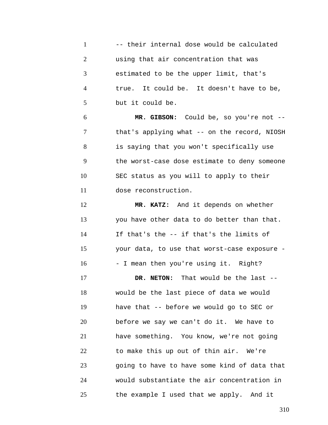|              | -- their internal dose would be calculated |
|--------------|--------------------------------------------|
| <sup>2</sup> | using that air concentration that was      |
| 3            | estimated to be the upper limit, that's    |
|              | true. It could be. It doesn't have to be,  |
|              | but it could be.                           |

6 7 8 9 10 11 **MR. GIBSON:** Could be, so you're not - that's applying what -- on the record, NIOSH is saying that you won't specifically use the worst-case dose estimate to deny someone SEC status as you will to apply to their dose reconstruction.

12 13 14 15 16 **MR. KATZ:** And it depends on whether you have other data to do better than that. If that's the -- if that's the limits of your data, to use that worst-case exposure - - I mean then you're using it. Right?

17 18 19 20 21 22 23 24 25 **DR. NETON:** That would be the last - would be the last piece of data we would have that -- before we would go to SEC or before we say we can't do it. We have to have something. You know, we're not going to make this up out of thin air. We're going to have to have some kind of data that would substantiate the air concentration in the example I used that we apply. And it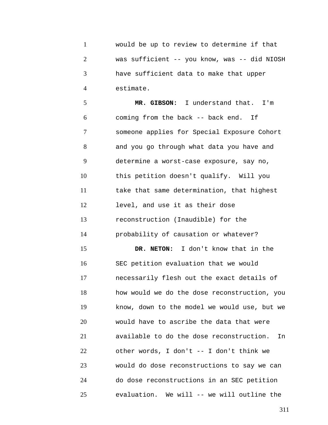1 2 3 4 would be up to review to determine if that was sufficient -- you know, was -- did NIOSH have sufficient data to make that upper estimate.

5 6 7 8 9 10 11 12 13 14 15 16 17 18 19 20 21 22 23 24 25 **MR. GIBSON:** I understand that. I'm coming from the back -- back end. If someone applies for Special Exposure Cohort and you go through what data you have and determine a worst-case exposure, say no, this petition doesn't qualify. Will you take that same determination, that highest level, and use it as their dose reconstruction (Inaudible) for the probability of causation or whatever? **DR. NETON:** I don't know that in the SEC petition evaluation that we would necessarily flesh out the exact details of how would we do the dose reconstruction, you know, down to the model we would use, but we would have to ascribe the data that were available to do the dose reconstruction. In other words, I don't -- I don't think we would do dose reconstructions to say we can do dose reconstructions in an SEC petition evaluation. We will -- we will outline the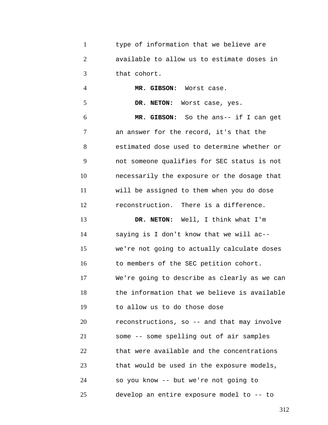1 2 3 type of information that we believe are available to allow us to estimate doses in that cohort.

4 5 6 7 8 9 10 11 12 13 14 15 16 17 18 19 20 21 22 23 24 25 **MR. GIBSON:** Worst case. **DR. NETON:** Worst case, yes. **MR. GIBSON:** So the ans-- if I can get an answer for the record, it's that the estimated dose used to determine whether or not someone qualifies for SEC status is not necessarily the exposure or the dosage that will be assigned to them when you do dose reconstruction. There is a difference. **DR. NETON:** Well, I think what I'm saying is I don't know that we will ac- we're not going to actually calculate doses to members of the SEC petition cohort. We're going to describe as clearly as we can the information that we believe is available to allow us to do those dose reconstructions, so -- and that may involve some -- some spelling out of air samples that were available and the concentrations that would be used in the exposure models, so you know -- but we're not going to develop an entire exposure model to -- to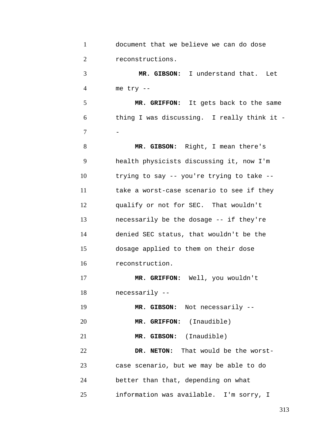| $\mathbf{1}$   | document that we believe we can do dose     |
|----------------|---------------------------------------------|
| $\overline{2}$ | reconstructions.                            |
| 3              | MR. GIBSON: I understand that. Let          |
| $\overline{4}$ | me try --                                   |
| 5              | MR. GRIFFON: It gets back to the same       |
| 6              | thing I was discussing. I really think it - |
| 7              |                                             |
| 8              | MR. GIBSON: Right, I mean there's           |
| 9              | health physicists discussing it, now I'm    |
| 10             | trying to say -- you're trying to take --   |
| 11             | take a worst-case scenario to see if they   |
| 12             | qualify or not for SEC. That wouldn't       |
| 13             | necessarily be the dosage -- if they're     |
| 14             | denied SEC status, that wouldn't be the     |
| 15             | dosage applied to them on their dose        |
| 16             | reconstruction.                             |
| 17             | MR. GRIFFON: Well, you wouldn't             |
| 18             | necessarily --                              |
| 19             | MR. GIBSON: Not necessarily --              |
| 20             | MR. GRIFFON: (Inaudible)                    |
| 21             | MR. GIBSON: (Inaudible)                     |
| 22             | DR. NETON: That would be the worst-         |
| 23             | case scenario, but we may be able to do     |
| 24             | better than that, depending on what         |
| 25             | information was available. I'm sorry, I     |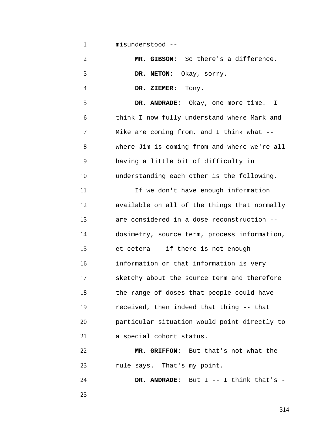1 misunderstood --

2 3 4 5 6 7 8 9 10 11 12 13 14 15 16 17 18 19 20 21 22 **MR. GIBSON:** So there's a difference. **DR. NETON:** Okay, sorry. **DR. ZIEMER:** Tony. **DR. ANDRADE:** Okay, one more time. I think I now fully understand where Mark and Mike are coming from, and I think what - where Jim is coming from and where we're all having a little bit of difficulty in understanding each other is the following. If we don't have enough information available on all of the things that normally are considered in a dose reconstruction - dosimetry, source term, process information, et cetera -- if there is not enough information or that information is very sketchy about the source term and therefore the range of doses that people could have received, then indeed that thing -- that particular situation would point directly to a special cohort status. **MR. GRIFFON:** But that's not what the

23 rule says. That's my point.

24 25 **DR. ANDRADE:** But I -- I think that's - -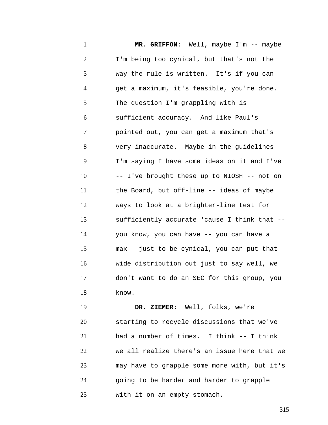1 2 3 4 5 6 7 8 9 10 11 12 13 14 15 16 17 18 **MR. GRIFFON:** Well, maybe I'm -- maybe I'm being too cynical, but that's not the way the rule is written. It's if you can get a maximum, it's feasible, you're done. The question I'm grappling with is sufficient accuracy. And like Paul's pointed out, you can get a maximum that's very inaccurate. Maybe in the guidelines -- I'm saying I have some ideas on it and I've -- I've brought these up to NIOSH -- not on the Board, but off-line -- ideas of maybe ways to look at a brighter-line test for sufficiently accurate 'cause I think that - you know, you can have -- you can have a max-- just to be cynical, you can put that wide distribution out just to say well, we don't want to do an SEC for this group, you know.

19 20 21 22 23 24 25 **DR. ZIEMER:** Well, folks, we're starting to recycle discussions that we've had a number of times. I think -- I think we all realize there's an issue here that we may have to grapple some more with, but it's going to be harder and harder to grapple with it on an empty stomach.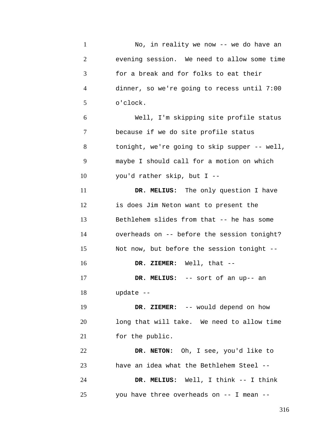| $\mathbf{1}$   | No, in reality we now -- we do have an       |
|----------------|----------------------------------------------|
| $\overline{2}$ | evening session. We need to allow some time  |
| 3              | for a break and for folks to eat their       |
| $\overline{4}$ | dinner, so we're going to recess until 7:00  |
| 5              | o'clock.                                     |
| 6              | Well, I'm skipping site profile status       |
| 7              | because if we do site profile status         |
| 8              | tonight, we're going to skip supper -- well, |
| 9              | maybe I should call for a motion on which    |
| 10             | you'd rather skip, but I --                  |
| 11             | DR. MELIUS: The only question I have         |
| 12             | is does Jim Neton want to present the        |
| 13             | Bethlehem slides from that -- he has some    |
| 14             | overheads on -- before the session tonight?  |
| 15             | Not now, but before the session tonight --   |
| 16             | DR. ZIEMER: Well, that --                    |
| 17             | DR. MELIUS: -- sort of an up-- an            |
| 18             | update --                                    |
| 19             | DR. ZIEMER: -- would depend on how           |
| 20             | long that will take. We need to allow time   |
| 21             | for the public.                              |
| 22             | DR. NETON: Oh, I see, you'd like to          |
| 23             | have an idea what the Bethlehem Steel --     |
| 24             | DR. MELIUS: Well, I think -- I think         |
| 25             | you have three overheads on -- I mean --     |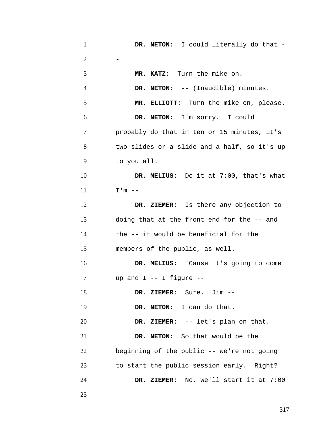| $\mathbf{1}$   | DR. NETON: I could literally do that -       |
|----------------|----------------------------------------------|
| $\overline{2}$ |                                              |
| 3              | MR. KATZ: Turn the mike on.                  |
| $\overline{4}$ | DR. NETON: -- (Inaudible) minutes.           |
| 5              | MR. ELLIOTT: Turn the mike on, please.       |
| 6              | DR. NETON: I'm sorry. I could                |
| 7              | probably do that in ten or 15 minutes, it's  |
| 8              | two slides or a slide and a half, so it's up |
| 9              | to you all.                                  |
| 10             | DR. MELIUS: Do it at 7:00, that's what       |
| 11             | $I'm$ --                                     |
| 12             | DR. ZIEMER: Is there any objection to        |
| 13             | doing that at the front end for the -- and   |
| 14             | the -- it would be beneficial for the        |
| 15             | members of the public, as well.              |
| 16             | DR. MELIUS: 'Cause it's going to come        |
| 17             | up and $I$ -- I figure --                    |
| 18             | DR. ZIEMER: Sure. Jim --                     |
| 19             | DR. NETON: I can do that.                    |
| 20             | DR. ZIEMER: -- let's plan on that.           |
| 21             | DR. NETON: So that would be the              |
| 22             | beginning of the public -- we're not going   |
| 23             | to start the public session early. Right?    |
| 24             | DR. ZIEMER: No, we'll start it at 7:00       |
| 25             |                                              |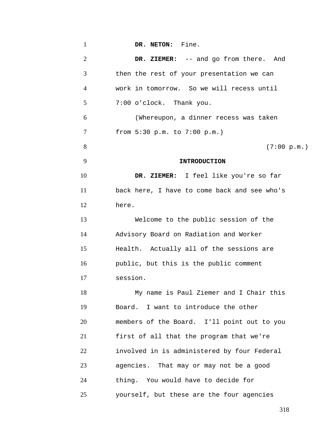| $\mathbf{1}$   | DR. NETON: Fine.                             |
|----------------|----------------------------------------------|
| $\overline{2}$ | DR. ZIEMER: -- and go from there. And        |
| 3              | then the rest of your presentation we can    |
| 4              | work in tomorrow. So we will recess until    |
| 5              | 7:00 o'clock. Thank you.                     |
| 6              | (Whereupon, a dinner recess was taken        |
| 7              | from 5:30 p.m. to 7:00 p.m.)                 |
| 8              | (7:00 p.m.)                                  |
| 9              | <b>INTRODUCTION</b>                          |
| 10             | DR. ZIEMER: I feel like you're so far        |
| 11             | back here, I have to come back and see who's |
| 12             | here.                                        |
| 13             | Welcome to the public session of the         |
| 14             | Advisory Board on Radiation and Worker       |
| 15             | Health. Actually all of the sessions are     |
| 16             | public, but this is the public comment       |
| 17             | session.                                     |
| 18             | My name is Paul Ziemer and I Chair this      |
| 19             | Board. I want to introduce the other         |
| 20             | members of the Board. I'll point out to you  |
| 21             | first of all that the program that we're     |
| 22             | involved in is administered by four Federal  |
| 23             | agencies. That may or may not be a good      |
| 24             | thing. You would have to decide for          |
| 25             | yourself, but these are the four agencies    |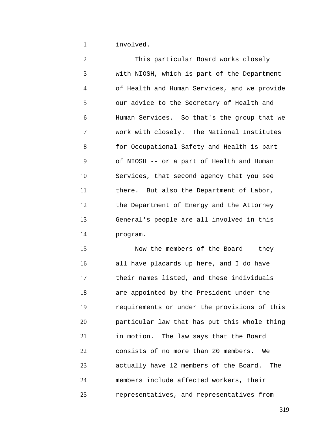1 involved.

2 3 4 5 6 7 8 9 10 11 12 13 14 15 This particular Board works closely with NIOSH, which is part of the Department of Health and Human Services, and we provide our advice to the Secretary of Health and Human Services. So that's the group that we work with closely. The National Institutes for Occupational Safety and Health is part of NIOSH -- or a part of Health and Human Services, that second agency that you see there. But also the Department of Labor, the Department of Energy and the Attorney General's people are all involved in this program.

16 17 18 19 20 21 22 23 24 25 Now the members of the Board -- they all have placards up here, and I do have their names listed, and these individuals are appointed by the President under the requirements or under the provisions of this particular law that has put this whole thing in motion. The law says that the Board consists of no more than 20 members. We actually have 12 members of the Board. The members include affected workers, their representatives, and representatives from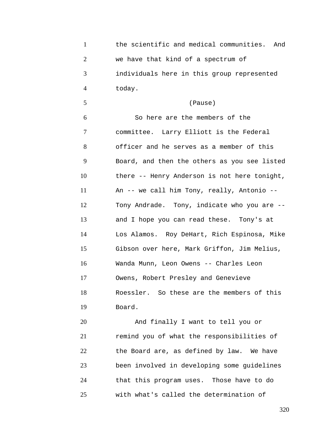| $\mathbf{1}$   | the scientific and medical communities. And  |
|----------------|----------------------------------------------|
| $\overline{2}$ | we have that kind of a spectrum of           |
| 3              | individuals here in this group represented   |
| $\overline{4}$ | today.                                       |
| 5              | (Pause)                                      |
| 6              | So here are the members of the               |
| 7              | committee. Larry Elliott is the Federal      |
| 8              | officer and he serves as a member of this    |
| 9              | Board, and then the others as you see listed |
| 10             | there -- Henry Anderson is not here tonight, |
| 11             | An -- we call him Tony, really, Antonio --   |
| 12             | Tony Andrade. Tony, indicate who you are --  |
| 13             | and I hope you can read these. Tony's at     |
| 14             | Los Alamos. Roy DeHart, Rich Espinosa, Mike  |
| 15             | Gibson over here, Mark Griffon, Jim Melius,  |
| 16             | Wanda Munn, Leon Owens -- Charles Leon       |
| 17             | Owens, Robert Presley and Genevieve          |
| 18             | Roessler. So these are the members of this   |
| 19             | Board.                                       |
| 20             | And finally I want to tell you or            |

21 22 23 24 25 remind you of what the responsibilities of the Board are, as defined by law. We have been involved in developing some guidelines that this program uses. Those have to do with what's called the determination of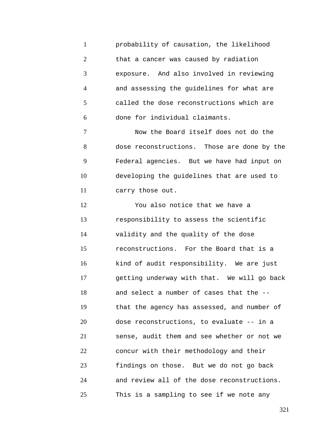1 2 3 4 5 6 probability of causation, the likelihood that a cancer was caused by radiation exposure. And also involved in reviewing and assessing the guidelines for what are called the dose reconstructions which are done for individual claimants.

7 8 9 10 11 Now the Board itself does not do the dose reconstructions. Those are done by the Federal agencies. But we have had input on developing the guidelines that are used to carry those out.

12 13 14 15 16 17 18 19 20 21 22 23 24 25 You also notice that we have a responsibility to assess the scientific validity and the quality of the dose reconstructions. For the Board that is a kind of audit responsibility. We are just getting underway with that. We will go back and select a number of cases that the - that the agency has assessed, and number of dose reconstructions, to evaluate -- in a sense, audit them and see whether or not we concur with their methodology and their findings on those. But we do not go back and review all of the dose reconstructions. This is a sampling to see if we note any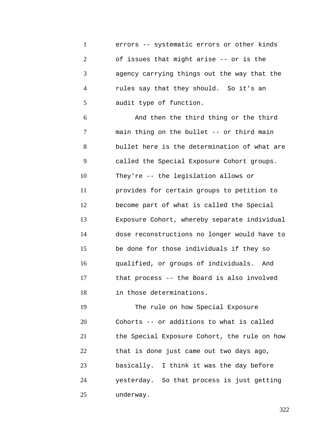1 2 3 4 5 errors -- systematic errors or other kinds of issues that might arise -- or is the agency carrying things out the way that the rules say that they should. So it's an audit type of function.

6 7 8 9 10 11 12 13 14 15 16 17 18 And then the third thing or the third main thing on the bullet -- or third main bullet here is the determination of what are called the Special Exposure Cohort groups. They're -- the legislation allows or provides for certain groups to petition to become part of what is called the Special Exposure Cohort, whereby separate individual dose reconstructions no longer would have to be done for those individuals if they so qualified, or groups of individuals. And that process -- the Board is also involved in those determinations.

19 20 21 22 23 24 25 The rule on how Special Exposure Cohorts -- or additions to what is called the Special Exposure Cohort, the rule on how that is done just came out two days ago, basically. I think it was the day before yesterday. So that process is just getting underway.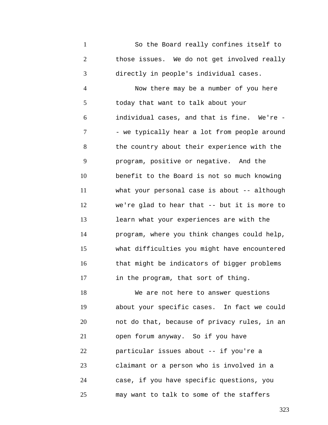1 2 3 So the Board really confines itself to those issues. We do not get involved really directly in people's individual cases.

4 5 6 7 8 9 10 11 12 13 14 15 16 17 Now there may be a number of you here today that want to talk about your individual cases, and that is fine. We're - - we typically hear a lot from people around the country about their experience with the program, positive or negative. And the benefit to the Board is not so much knowing what your personal case is about -- although we're glad to hear that -- but it is more to learn what your experiences are with the program, where you think changes could help, what difficulties you might have encountered that might be indicators of bigger problems in the program, that sort of thing.

18 19 20 21 22 23 24 25 We are not here to answer questions about your specific cases. In fact we could not do that, because of privacy rules, in an open forum anyway. So if you have particular issues about -- if you're a claimant or a person who is involved in a case, if you have specific questions, you may want to talk to some of the staffers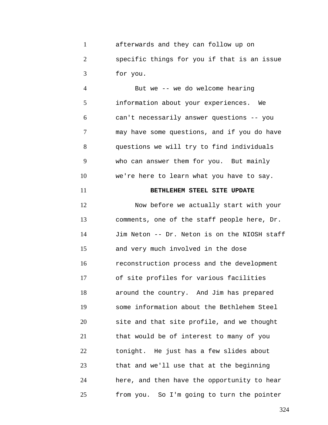1 2 3 afterwards and they can follow up on specific things for you if that is an issue for you.

4 5 6 7 8 9 10 But we -- we do welcome hearing information about your experiences. We can't necessarily answer questions -- you may have some questions, and if you do have questions we will try to find individuals who can answer them for you. But mainly we're here to learn what you have to say.

## **BETHLEHEM STEEL SITE UPDATE**

11

12 13 14 15 16 17 18 19 20 21 22 23 24 25 Now before we actually start with your comments, one of the staff people here, Dr. Jim Neton -- Dr. Neton is on the NIOSH staff and very much involved in the dose reconstruction process and the development of site profiles for various facilities around the country. And Jim has prepared some information about the Bethlehem Steel site and that site profile, and we thought that would be of interest to many of you tonight. He just has a few slides about that and we'll use that at the beginning here, and then have the opportunity to hear from you. So I'm going to turn the pointer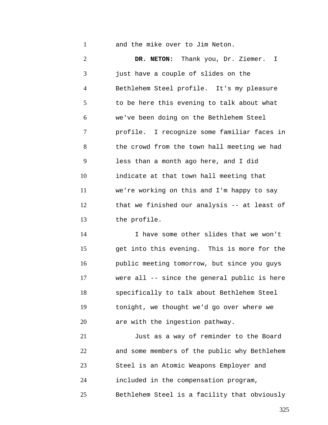1 and the mike over to Jim Neton.

2 3 4 5 6 7 8 9 10 11 12 13 **DR. NETON:** Thank you, Dr. Ziemer. I just have a couple of slides on the Bethlehem Steel profile. It's my pleasure to be here this evening to talk about what we've been doing on the Bethlehem Steel profile. I recognize some familiar faces in the crowd from the town hall meeting we had less than a month ago here, and I did indicate at that town hall meeting that we're working on this and I'm happy to say that we finished our analysis -- at least of the profile.

14 15 16 17 18 19 20 I have some other slides that we won't get into this evening. This is more for the public meeting tomorrow, but since you guys were all -- since the general public is here specifically to talk about Bethlehem Steel tonight, we thought we'd go over where we are with the ingestion pathway.

21 22 23 24 25 Just as a way of reminder to the Board and some members of the public why Bethlehem Steel is an Atomic Weapons Employer and included in the compensation program, Bethlehem Steel is a facility that obviously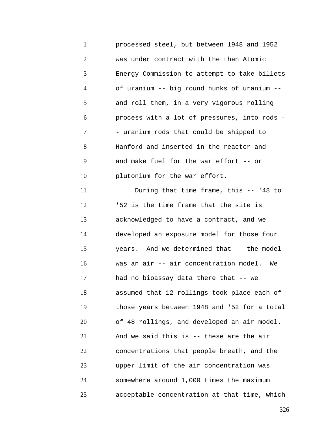1 2 3 4 5 6 7 8 9 10 11 12 13 14 15 16 17 18 19 20 21 22 23 24 25 processed steel, but between 1948 and 1952 was under contract with the then Atomic Energy Commission to attempt to take billets of uranium -- big round hunks of uranium - and roll them, in a very vigorous rolling process with a lot of pressures, into rods - - uranium rods that could be shipped to Hanford and inserted in the reactor and - and make fuel for the war effort -- or plutonium for the war effort. During that time frame, this -- '48 to '52 is the time frame that the site is acknowledged to have a contract, and we developed an exposure model for those four years. And we determined that -- the model was an air -- air concentration model. We had no bioassay data there that -- we assumed that 12 rollings took place each of those years between 1948 and '52 for a total of 48 rollings, and developed an air model. And we said this is -- these are the air concentrations that people breath, and the upper limit of the air concentration was somewhere around 1,000 times the maximum acceptable concentration at that time, which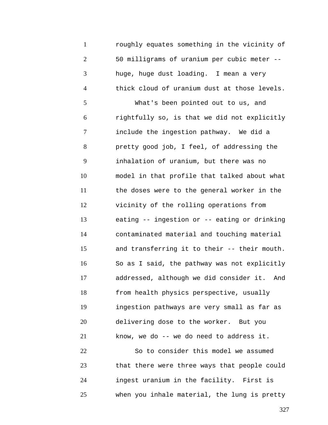1 2 3 4 5 6 7 8 9 10 11 12 13 14 15 16 17 18 19 20 21 22 23 24 25 roughly equates something in the vicinity of 50 milligrams of uranium per cubic meter - huge, huge dust loading. I mean a very thick cloud of uranium dust at those levels. What's been pointed out to us, and rightfully so, is that we did not explicitly include the ingestion pathway. We did a pretty good job, I feel, of addressing the inhalation of uranium, but there was no model in that profile that talked about what the doses were to the general worker in the vicinity of the rolling operations from eating -- ingestion or -- eating or drinking contaminated material and touching material and transferring it to their -- their mouth. So as I said, the pathway was not explicitly addressed, although we did consider it. And from health physics perspective, usually ingestion pathways are very small as far as delivering dose to the worker. But you know, we do -- we do need to address it. So to consider this model we assumed that there were three ways that people could ingest uranium in the facility. First is when you inhale material, the lung is pretty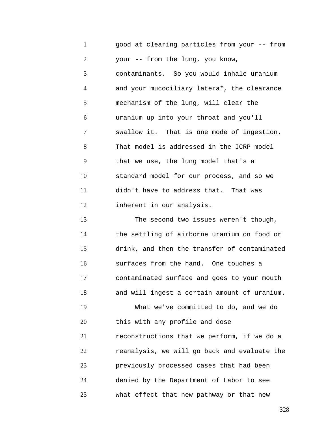1 2 3 4 5 6 7 8 9 10 11 12 13 14 15 16 17 18 19 20 21 22 23 24 25 good at clearing particles from your -- from your -- from the lung, you know, contaminants. So you would inhale uranium and your mucociliary latera\*, the clearance mechanism of the lung, will clear the uranium up into your throat and you'll swallow it. That is one mode of ingestion. That model is addressed in the ICRP model that we use, the lung model that's a standard model for our process, and so we didn't have to address that. That was inherent in our analysis. The second two issues weren't though, the settling of airborne uranium on food or drink, and then the transfer of contaminated surfaces from the hand. One touches a contaminated surface and goes to your mouth and will ingest a certain amount of uranium. What we've committed to do, and we do this with any profile and dose reconstructions that we perform, if we do a reanalysis, we will go back and evaluate the previously processed cases that had been denied by the Department of Labor to see what effect that new pathway or that new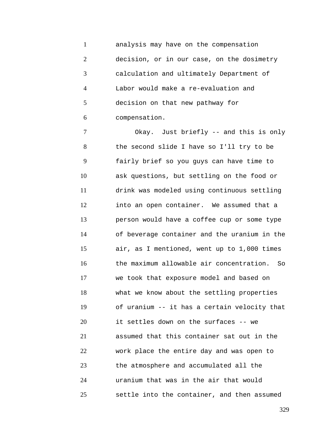1 2 3 4 5 6 analysis may have on the compensation decision, or in our case, on the dosimetry calculation and ultimately Department of Labor would make a re-evaluation and decision on that new pathway for compensation.

7 8 9 10 11 12 13 14 15 16 17 18 19 20 21 22 23 24 25 Okay. Just briefly -- and this is only the second slide I have so I'll try to be fairly brief so you guys can have time to ask questions, but settling on the food or drink was modeled using continuous settling into an open container. We assumed that a person would have a coffee cup or some type of beverage container and the uranium in the air, as I mentioned, went up to 1,000 times the maximum allowable air concentration. So we took that exposure model and based on what we know about the settling properties of uranium -- it has a certain velocity that it settles down on the surfaces -- we assumed that this container sat out in the work place the entire day and was open to the atmosphere and accumulated all the uranium that was in the air that would settle into the container, and then assumed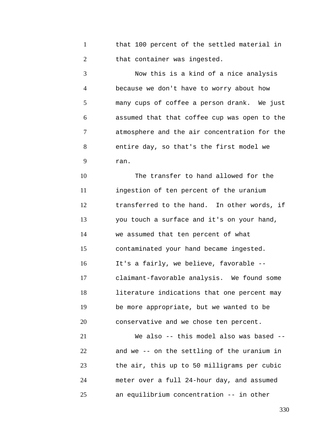1 2 that 100 percent of the settled material in that container was ingested.

3 4 5 6 7 8 9 Now this is a kind of a nice analysis because we don't have to worry about how many cups of coffee a person drank. We just assumed that that coffee cup was open to the atmosphere and the air concentration for the entire day, so that's the first model we ran.

10 11 12 13 14 15 16 17 18 19 20 The transfer to hand allowed for the ingestion of ten percent of the uranium transferred to the hand. In other words, if you touch a surface and it's on your hand, we assumed that ten percent of what contaminated your hand became ingested. It's a fairly, we believe, favorable - claimant-favorable analysis. We found some literature indications that one percent may be more appropriate, but we wanted to be conservative and we chose ten percent.

21 22 23 24 25 We also -- this model also was based -and we -- on the settling of the uranium in the air, this up to 50 milligrams per cubic meter over a full 24-hour day, and assumed an equilibrium concentration -- in other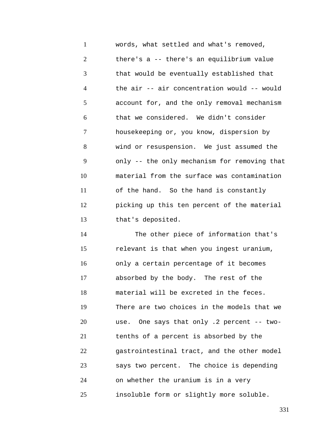1 2 3 4 5 6 7 8 9 10 11 12 13 words, what settled and what's removed, there's a -- there's an equilibrium value that would be eventually established that the air -- air concentration would -- would account for, and the only removal mechanism that we considered. We didn't consider housekeeping or, you know, dispersion by wind or resuspension. We just assumed the only -- the only mechanism for removing that material from the surface was contamination of the hand. So the hand is constantly picking up this ten percent of the material that's deposited.

14 15 16 17 18 19 20 21 22 23 24 25 The other piece of information that's relevant is that when you ingest uranium, only a certain percentage of it becomes absorbed by the body. The rest of the material will be excreted in the feces. There are two choices in the models that we use. One says that only .2 percent -- twotenths of a percent is absorbed by the gastrointestinal tract, and the other model says two percent. The choice is depending on whether the uranium is in a very insoluble form or slightly more soluble.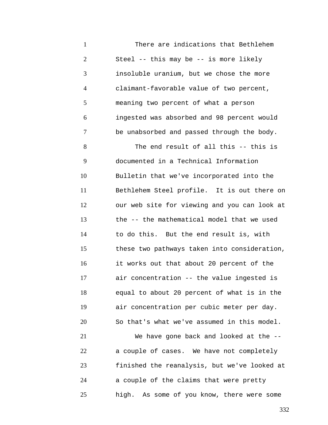1 2 3 4 5 6 7 8 9 10 11 12 13 14 15 16 17 18 19 20 21 22 23 24 25 There are indications that Bethlehem Steel -- this may be -- is more likely insoluble uranium, but we chose the more claimant-favorable value of two percent, meaning two percent of what a person ingested was absorbed and 98 percent would be unabsorbed and passed through the body. The end result of all this -- this is documented in a Technical Information Bulletin that we've incorporated into the Bethlehem Steel profile. It is out there on our web site for viewing and you can look at the -- the mathematical model that we used to do this. But the end result is, with these two pathways taken into consideration, it works out that about 20 percent of the air concentration -- the value ingested is equal to about 20 percent of what is in the air concentration per cubic meter per day. So that's what we've assumed in this model. We have gone back and looked at the -a couple of cases. We have not completely finished the reanalysis, but we've looked at a couple of the claims that were pretty high. As some of you know, there were some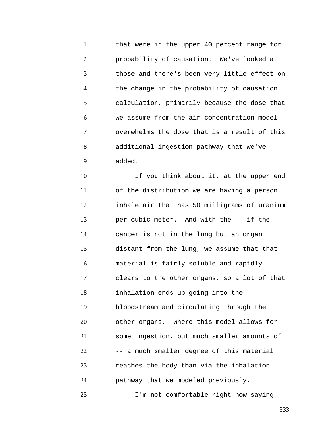1 2 3 4 5 6 7 8 9 that were in the upper 40 percent range for probability of causation. We've looked at those and there's been very little effect on the change in the probability of causation calculation, primarily because the dose that we assume from the air concentration model overwhelms the dose that is a result of this additional ingestion pathway that we've added.

10 11 12 13 14 15 16 17 18 19 20 21 22 23 24 If you think about it, at the upper end of the distribution we are having a person inhale air that has 50 milligrams of uranium per cubic meter. And with the -- if the cancer is not in the lung but an organ distant from the lung, we assume that that material is fairly soluble and rapidly clears to the other organs, so a lot of that inhalation ends up going into the bloodstream and circulating through the other organs. Where this model allows for some ingestion, but much smaller amounts of -- a much smaller degree of this material reaches the body than via the inhalation pathway that we modeled previously.

I'm not comfortable right now saying

25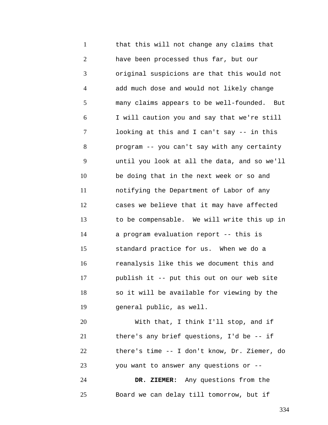1 2 3 4 5 6 7 8 9 10 11 12 13 14 15 16 17 18 19 20 21 22 23 that this will not change any claims that have been processed thus far, but our original suspicions are that this would not add much dose and would not likely change many claims appears to be well-founded. But I will caution you and say that we're still looking at this and I can't say -- in this program -- you can't say with any certainty until you look at all the data, and so we'll be doing that in the next week or so and notifying the Department of Labor of any cases we believe that it may have affected to be compensable. We will write this up in a program evaluation report -- this is standard practice for us. When we do a reanalysis like this we document this and publish it -- put this out on our web site so it will be available for viewing by the general public, as well. With that, I think I'll stop, and if there's any brief questions, I'd be -- if there's time -- I don't know, Dr. Ziemer, do you want to answer any questions or --

24 25 **DR. ZIEMER:** Any questions from the Board we can delay till tomorrow, but if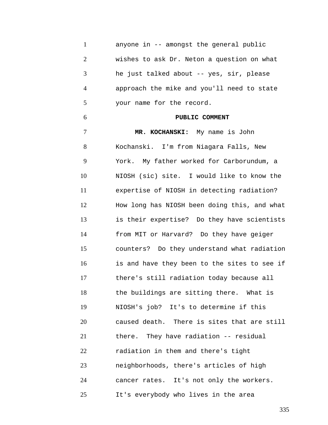1 2 3 4 5 6 7 8 9 10 11 12 13 14 15 16 17 18 19 20 21 22 23 24 25 anyone in -- amongst the general public wishes to ask Dr. Neton a question on what he just talked about -- yes, sir, please approach the mike and you'll need to state your name for the record. **PUBLIC COMMENT MR. KOCHANSKI:** My name is John Kochanski. I'm from Niagara Falls, New York. My father worked for Carborundum, a NIOSH (sic) site. I would like to know the expertise of NIOSH in detecting radiation? How long has NIOSH been doing this, and what is their expertise? Do they have scientists from MIT or Harvard? Do they have geiger counters? Do they understand what radiation is and have they been to the sites to see if there's still radiation today because all the buildings are sitting there. What is NIOSH's job? It's to determine if this caused death. There is sites that are still there. They have radiation -- residual radiation in them and there's tight neighborhoods, there's articles of high cancer rates. It's not only the workers. It's everybody who lives in the area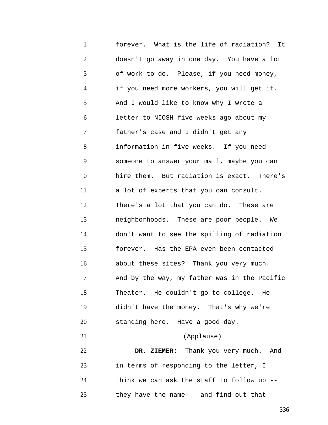1 2 3 4 5 6 7 8 9 10 11 12 13 14 15 16 17 18 19 20 21 22 23 24 25 forever. What is the life of radiation? It doesn't go away in one day. You have a lot of work to do. Please, if you need money, if you need more workers, you will get it. And I would like to know why I wrote a letter to NIOSH five weeks ago about my father's case and I didn't get any information in five weeks. If you need someone to answer your mail, maybe you can hire them. But radiation is exact. There's a lot of experts that you can consult. There's a lot that you can do. These are neighborhoods. These are poor people. We don't want to see the spilling of radiation forever. Has the EPA even been contacted about these sites? Thank you very much. And by the way, my father was in the Pacific Theater. He couldn't go to college. He didn't have the money. That's why we're standing here. Have a good day. (Applause) **DR. ZIEMER:** Thank you very much. And in terms of responding to the letter, I think we can ask the staff to follow up - they have the name -- and find out that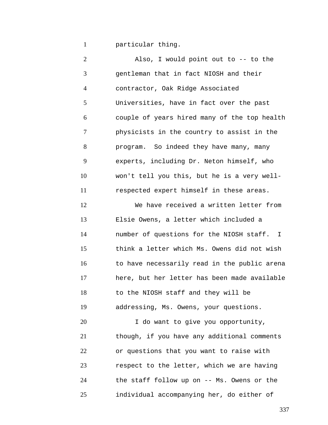1 particular thing.

2 3 4 5 6 7 8 9 10 11 12 13 14 15 16 17 18 19 20 21 22 23 24 25 Also, I would point out to -- to the gentleman that in fact NIOSH and their contractor, Oak Ridge Associated Universities, have in fact over the past couple of years hired many of the top health physicists in the country to assist in the program. So indeed they have many, many experts, including Dr. Neton himself, who won't tell you this, but he is a very wellrespected expert himself in these areas. We have received a written letter from Elsie Owens, a letter which included a number of questions for the NIOSH staff. I think a letter which Ms. Owens did not wish to have necessarily read in the public arena here, but her letter has been made available to the NIOSH staff and they will be addressing, Ms. Owens, your questions. I do want to give you opportunity, though, if you have any additional comments or questions that you want to raise with respect to the letter, which we are having the staff follow up on -- Ms. Owens or the individual accompanying her, do either of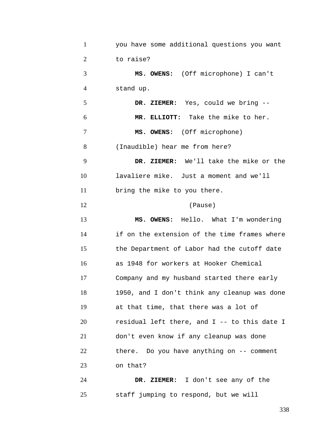| $\mathbf{1}$   | you have some additional questions you want  |
|----------------|----------------------------------------------|
| $\overline{2}$ | to raise?                                    |
| 3              | MS. OWENS: (Off microphone) I can't          |
| $\overline{4}$ | stand up.                                    |
| 5              | DR. ZIEMER: Yes, could we bring --           |
| 6              | MR. ELLIOTT: Take the mike to her.           |
| 7              | MS. OWENS: (Off microphone)                  |
| 8              | (Inaudible) hear me from here?               |
| 9              | DR. ZIEMER: We'll take the mike or the       |
| 10             | lavaliere mike. Just a moment and we'll      |
| 11             | bring the mike to you there.                 |
| 12             | (Pause)                                      |
| 13             | MS. OWENS: Hello. What I'm wondering         |
| 14             | if on the extension of the time frames where |
| 15             | the Department of Labor had the cutoff date  |
| 16             | as 1948 for workers at Hooker Chemical       |
| 17             | Company and my husband started there early   |
| 18             | 1950, and I don't think any cleanup was done |
| 19             | at that time, that there was a lot of        |
| 20             | residual left there, and I -- to this date I |
| 21             | don't even know if any cleanup was done      |
| 22             | there. Do you have anything on -- comment    |
| 23             | on that?                                     |
| 24             | DR. ZIEMER: I don't see any of the           |
| 25             | staff jumping to respond, but we will        |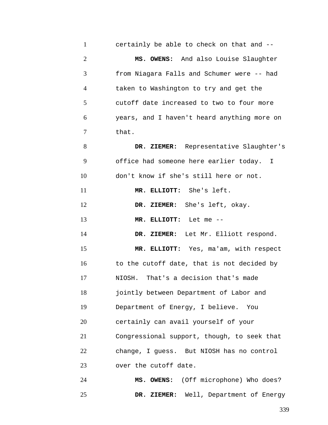| $\mathbf{1}$   | certainly be able to check on that and --   |
|----------------|---------------------------------------------|
| $\overline{2}$ | MS. OWENS: And also Louise Slaughter        |
| 3              | from Niagara Falls and Schumer were -- had  |
| $\overline{4}$ | taken to Washington to try and get the      |
| 5              | cutoff date increased to two to four more   |
| 6              | years, and I haven't heard anything more on |
| 7              | that.                                       |
| 8              | DR. ZIEMER: Representative Slaughter's      |
| 9              | office had someone here earlier today. I    |
| 10             | don't know if she's still here or not.      |
| 11             | MR. ELLIOTT: She's left.                    |
| 12             | DR. ZIEMER: She's left, okay.               |
| 13             | MR. ELLIOTT: Let me --                      |
| 14             | DR. ZIEMER: Let Mr. Elliott respond.        |
| 15             | MR. ELLIOTT: Yes, ma'am, with respect       |
| 16             | to the cutoff date, that is not decided by  |
| 17             | That's a decision that's made<br>NIOSH.     |
| 18             | jointly between Department of Labor and     |
| 19             | Department of Energy, I believe. You        |
| 20             | certainly can avail yourself of your        |
| 21             | Congressional support, though, to seek that |
| 22             | change, I guess. But NIOSH has no control   |
| 23             | over the cutoff date.                       |
| 24             | MS. OWENS: (Off microphone) Who does?       |
| 25             | DR. ZIEMER: Well, Department of Energy      |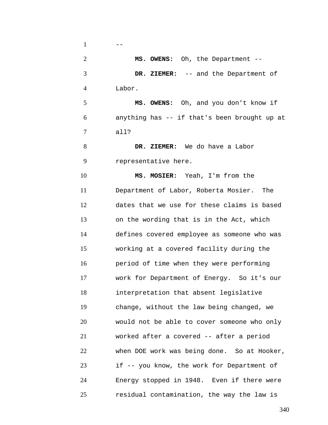$1 \qquad \qquad --$ 

2 3 4 **MS. OWENS:** Oh, the Department -- **DR. ZIEMER:** -- and the Department of Labor.

5 6 7 **MS. OWENS:** Oh, and you don't know if anything has -- if that's been brought up at all?

8 9 **DR. ZIEMER:** We do have a Labor representative here.

10 11 12 13 14 15 16 17 18 19 20 21 22 23 24 25 **MS. MOSIER:** Yeah, I'm from the Department of Labor, Roberta Mosier. The dates that we use for these claims is based on the wording that is in the Act, which defines covered employee as someone who was working at a covered facility during the period of time when they were performing work for Department of Energy. So it's our interpretation that absent legislative change, without the law being changed, we would not be able to cover someone who only worked after a covered -- after a period when DOE work was being done. So at Hooker, if -- you know, the work for Department of Energy stopped in 1948. Even if there were residual contamination, the way the law is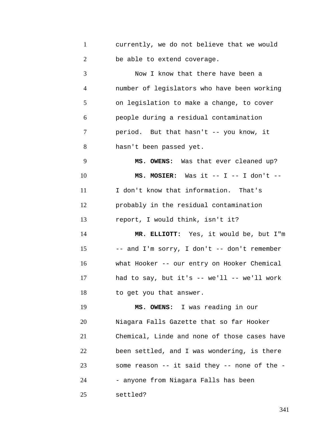1 2 currently, we do not believe that we would be able to extend coverage.

3 4 5 6 7 8 Now I know that there have been a number of legislators who have been working on legislation to make a change, to cover people during a residual contamination period. But that hasn't -- you know, it hasn't been passed yet.

9 10 11 12 13 **MS. OWENS:** Was that ever cleaned up? **MS. MOSIER:** Was it -- I -- I don't -- I don't know that information. That's probably in the residual contamination report, I would think, isn't it?

14 15 16 17 18 **MR. ELLIOTT:** Yes, it would be, but I"m -- and I'm sorry, I don't -- don't remember what Hooker -- our entry on Hooker Chemical had to say, but it's  $--$  we'll  $--$  we'll work to get you that answer.

19 20 21 22 23 24 **MS. OWENS:** I was reading in our Niagara Falls Gazette that so far Hooker Chemical, Linde and none of those cases have been settled, and I was wondering, is there some reason -- it said they -- none of the - - anyone from Niagara Falls has been

25 settled?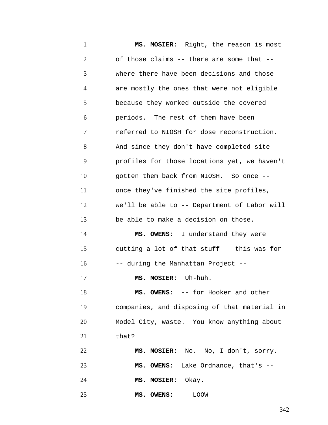1 2 3 4 5 6 7 8 9 10 11 12 13 14 15 16 17 18 19 20 21 22 23 24 25 **MS. MOSIER:** Right, the reason is most of those claims -- there are some that - where there have been decisions and those are mostly the ones that were not eligible because they worked outside the covered periods. The rest of them have been referred to NIOSH for dose reconstruction. And since they don't have completed site profiles for those locations yet, we haven't gotten them back from NIOSH. So once - once they've finished the site profiles, we'll be able to -- Department of Labor will be able to make a decision on those. **MS. OWENS:** I understand they were cutting a lot of that stuff -- this was for -- during the Manhattan Project -- **MS. MOSIER:** Uh-huh. **MS. OWENS:** -- for Hooker and other companies, and disposing of that material in Model City, waste. You know anything about that? **MS. MOSIER:** No. No, I don't, sorry. **MS. OWENS:** Lake Ordnance, that's -- **MS. MOSIER:** Okay. **MS. OWENS:** -- LOOW --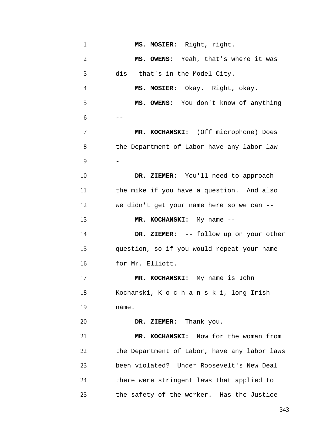| $\mathbf{1}$   | MS. MOSIER: Right, right.                    |
|----------------|----------------------------------------------|
| $\overline{2}$ | MS. OWENS: Yeah, that's where it was         |
| 3              | dis-- that's in the Model City.              |
| $\overline{4}$ | MS. MOSIER: Okay. Right, okay.               |
| 5              | MS. OWENS: You don't know of anything        |
| 6              |                                              |
| 7              | MR. KOCHANSKI: (Off microphone) Does         |
| 8              | the Department of Labor have any labor law - |
| 9              |                                              |
| 10             | DR. ZIEMER: You'll need to approach          |
| 11             | the mike if you have a question. And also    |
| 12             | we didn't get your name here so we can --    |
| 13             | MR. KOCHANSKI: My name --                    |
| 14             | DR. ZIEMER: -- follow up on your other       |
| 15             | question, so if you would repeat your name   |
| 16             | for Mr. Elliott.                             |
| 17             | MR. KOCHANSKI: My name is John               |
| 18             | Kochanski, K-o-c-h-a-n-s-k-i, long Irish     |
| 19             | name.                                        |
| 20             | DR. ZIEMER: Thank you.                       |
| 21             | MR. KOCHANSKI: Now for the woman from        |
| 22             | the Department of Labor, have any labor laws |
| 23             | been violated? Under Roosevelt's New Deal    |
| 24             | there were stringent laws that applied to    |
| 25             | the safety of the worker. Has the Justice    |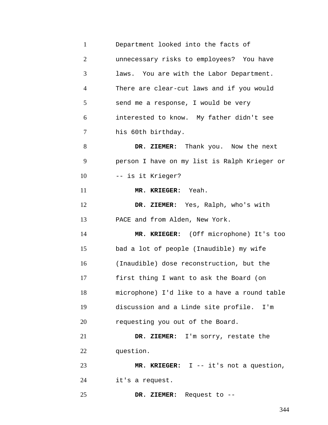| $\mathbf{1}$   | Department looked into the facts of          |
|----------------|----------------------------------------------|
| $\overline{2}$ | unnecessary risks to employees? You have     |
| 3              | laws. You are with the Labor Department.     |
| $\overline{4}$ | There are clear-cut laws and if you would    |
| 5              | send me a response, I would be very          |
| 6              | interested to know. My father didn't see     |
| 7              | his 60th birthday.                           |
| 8              | DR. ZIEMER: Thank you. Now the next          |
| 9              | person I have on my list is Ralph Krieger or |
| 10             | -- is it Krieger?                            |
| 11             | MR. KRIEGER: Yeah.                           |
| 12             | DR. ZIEMER: Yes, Ralph, who's with           |
| 13             | PACE and from Alden, New York.               |
| 14             | MR. KRIEGER: (Off microphone) It's too       |
| 15             | bad a lot of people (Inaudible) my wife      |
| 16             | (Inaudible) dose reconstruction, but the     |
| 17             | first thing I want to ask the Board (on      |
| 18             | microphone) I'd like to a have a round table |
| 19             | discussion and a Linde site profile. I'm     |
| 20             | requesting you out of the Board.             |
| 21             | DR. ZIEMER: I'm sorry, restate the           |
| 22             | question.                                    |
| 23             | MR. KRIEGER: I -- it's not a question,       |
| 24             | it's a request.                              |
| 25             | DR. ZIEMER: Request to --                    |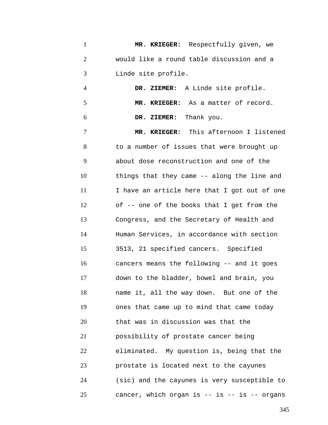1 2 3 **MR. KRIEGER:** Respectfully given, we would like a round table discussion and a Linde site profile.

4 5 6 **DR. ZIEMER:** A Linde site profile. **MR. KRIEGER:** As a matter of record. **DR. ZIEMER:** Thank you.

7 8 9 10 11 12 13 14 15 16 17 18 19 20 21 22 23 24 25 **MR. KRIEGER:** This afternoon I listened to a number of issues that were brought up about dose reconstruction and one of the things that they came -- along the line and I have an article here that I got out of one of -- one of the books that I get from the Congress, and the Secretary of Health and Human Services, in accordance with section 3513, 21 specified cancers. Specified cancers means the following -- and it goes down to the bladder, bowel and brain, you name it, all the way down. But one of the ones that came up to mind that came today that was in discussion was that the possibility of prostate cancer being eliminated. My question is, being that the prostate is located next to the cayunes (sic) and the cayunes is very susceptible to cancer, which organ is -- is -- is -- organs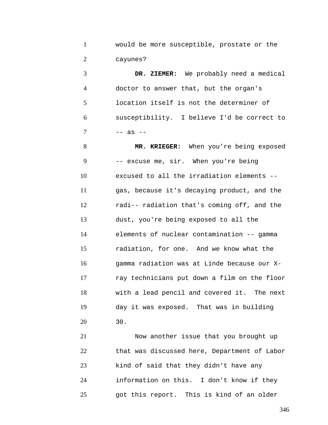1 2 would be more susceptible, prostate or the cayunes?

3 4 5 6 7 **DR. ZIEMER:** We probably need a medical doctor to answer that, but the organ's location itself is not the determiner of susceptibility. I believe I'd be correct to -- as --

8 9 10 11 12 13 14 15 16 17 18 19 20 **MR. KRIEGER:** When you're being exposed -- excuse me, sir. When you're being excused to all the irradiation elements - gas, because it's decaying product, and the radi-- radiation that's coming off, and the dust, you're being exposed to all the elements of nuclear contamination -- gamma radiation, for one. And we know what the gamma radiation was at Linde because our Xray technicians put down a film on the floor with a lead pencil and covered it. The next day it was exposed. That was in building 30.

21 22 23 24 25 Now another issue that you brought up that was discussed here, Department of Labor kind of said that they didn't have any information on this. I don't know if they got this report. This is kind of an older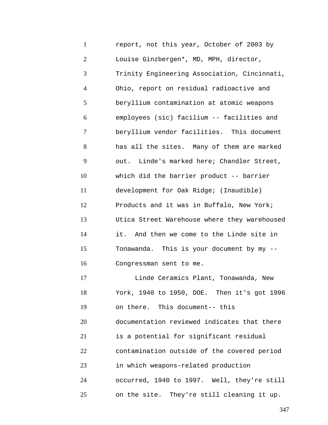1 2 3 4 5 6 7 8 9 10 11 12 13 14 15 16 17 18 19 20 21 22 23 24 25 report, not this year, October of 2003 by Louise Ginzbergen\*, MD, MPH, director, Trinity Engineering Association, Cincinnati, Ohio, report on residual radioactive and beryllium contamination at atomic weapons employees (sic) facilium -- facilities and beryllium vendor facilities. This document has all the sites. Many of them are marked out. Linde's marked here; Chandler Street, which did the barrier product -- barrier development for Oak Ridge; (Inaudible) Products and it was in Buffalo, New York; Utica Street Warehouse where they warehoused it. And then we come to the Linde site in Tonawanda. This is your document by my -- Congressman sent to me. Linde Ceramics Plant, Tonawanda, New York, 1940 to 1950, DOE. Then it's got 1996 on there. This document-- this documentation reviewed indicates that there is a potential for significant residual contamination outside of the covered period in which weapons-related production occurred, 1940 to 1997. Well, they're still on the site. They're still cleaning it up.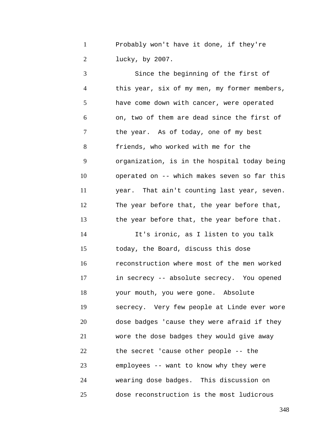1 2 Probably won't have it done, if they're lucky, by 2007.

3 4 5 6 7 8 9 10 11 12 13 14 15 16 17 18 19 20 21 22 23 24 25 Since the beginning of the first of this year, six of my men, my former members, have come down with cancer, were operated on, two of them are dead since the first of the year. As of today, one of my best friends, who worked with me for the organization, is in the hospital today being operated on -- which makes seven so far this year. That ain't counting last year, seven. The year before that, the year before that, the year before that, the year before that. It's ironic, as I listen to you talk today, the Board, discuss this dose reconstruction where most of the men worked in secrecy -- absolute secrecy. You opened your mouth, you were gone. Absolute secrecy. Very few people at Linde ever wore dose badges 'cause they were afraid if they wore the dose badges they would give away the secret 'cause other people -- the employees -- want to know why they were wearing dose badges. This discussion on dose reconstruction is the most ludicrous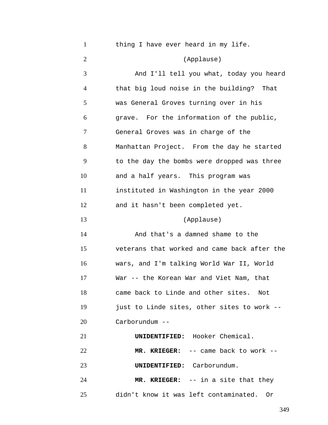| $\mathbf{1}$   | thing I have ever heard in my life.          |
|----------------|----------------------------------------------|
| $\overline{2}$ | (Applause)                                   |
| 3              | And I'll tell you what, today you heard      |
| 4              | that big loud noise in the building? That    |
| 5              | was General Groves turning over in his       |
| 6              | grave. For the information of the public,    |
| 7              | General Groves was in charge of the          |
| 8              | Manhattan Project. From the day he started   |
| 9              | to the day the bombs were dropped was three  |
| 10             | and a half years. This program was           |
| 11             | instituted in Washington in the year 2000    |
| 12             | and it hasn't been completed yet.            |
| 13             | (Applause)                                   |
| 14             | And that's a damned shame to the             |
| 15             | veterans that worked and came back after the |
| 16             | wars, and I'm talking World War II, World    |
| 17             | War -- the Korean War and Viet Nam, that     |
| 18             | came back to Linde and other sites. Not      |
| 19             | just to Linde sites, other sites to work --  |
| 20             | Carborundum --                               |
| 21             | <b>UNIDENTIFIED:</b> Hooker Chemical.        |
| 22             | MR. KRIEGER: -- came back to work --         |
| 23             | UNIDENTIFIED: Carborundum.                   |
| 24             | MR. KRIEGER: -- in a site that they          |
| 25             | didn't know it was left contaminated. Or     |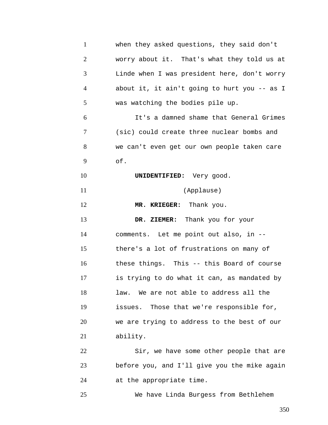1 2 3 4 5 6 7 8 9 10 11 12 13 14 15 16 17 18 19 20 21 22 23 24 when they asked questions, they said don't worry about it. That's what they told us at Linde when I was president here, don't worry about it, it ain't going to hurt you -- as I was watching the bodies pile up. It's a damned shame that General Grimes (sic) could create three nuclear bombs and we can't even get our own people taken care of. **UNIDENTIFIED:** Very good. (Applause) **MR. KRIEGER:** Thank you. **DR. ZIEMER:** Thank you for your comments. Let me point out also, in - there's a lot of frustrations on many of these things. This -- this Board of course is trying to do what it can, as mandated by law. We are not able to address all the issues. Those that we're responsible for, we are trying to address to the best of our ability. Sir, we have some other people that are before you, and I'll give you the mike again at the appropriate time.

We have Linda Burgess from Bethlehem

25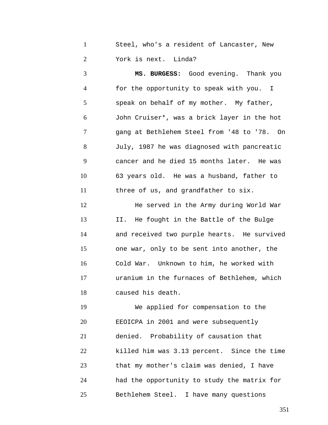1 2 Steel, who's a resident of Lancaster, New York is next. Linda?

3 4 5 6 7 8 9 10 11 **MS. BURGESS:** Good evening. Thank you for the opportunity to speak with you. I speak on behalf of my mother. My father, John Cruiser\*, was a brick layer in the hot gang at Bethlehem Steel from '48 to '78. On July, 1987 he was diagnosed with pancreatic cancer and he died 15 months later. He was 63 years old. He was a husband, father to three of us, and grandfather to six.

12 13 14 15 16 17 18 He served in the Army during World War II. He fought in the Battle of the Bulge and received two purple hearts. He survived one war, only to be sent into another, the Cold War. Unknown to him, he worked with uranium in the furnaces of Bethlehem, which caused his death.

19 20 21 22 23 24 25 We applied for compensation to the EEOICPA in 2001 and were subsequently denied. Probability of causation that killed him was 3.13 percent. Since the time that my mother's claim was denied, I have had the opportunity to study the matrix for Bethlehem Steel. I have many questions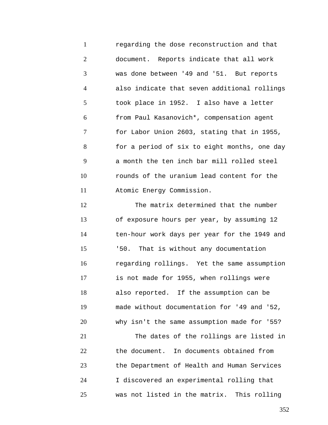1 2 3 4 5 6 7 8 9 10 11 regarding the dose reconstruction and that document. Reports indicate that all work was done between '49 and '51. But reports also indicate that seven additional rollings took place in 1952. I also have a letter from Paul Kasanovich\*, compensation agent for Labor Union 2603, stating that in 1955, for a period of six to eight months, one day a month the ten inch bar mill rolled steel rounds of the uranium lead content for the Atomic Energy Commission.

12 13 14 15 16 17 18 19 20 21 22 23 24 25 The matrix determined that the number of exposure hours per year, by assuming 12 ten-hour work days per year for the 1949 and '50. That is without any documentation regarding rollings. Yet the same assumption is not made for 1955, when rollings were also reported. If the assumption can be made without documentation for '49 and '52, why isn't the same assumption made for '55? The dates of the rollings are listed in the document. In documents obtained from the Department of Health and Human Services I discovered an experimental rolling that was not listed in the matrix. This rolling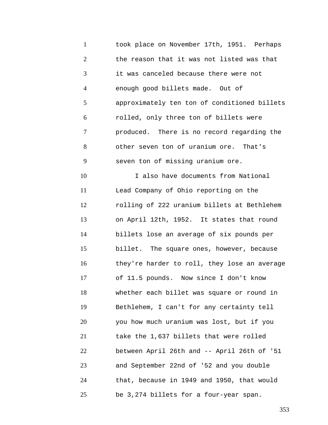1 2 3 4 5 6 7 8 9 10 11 12 13 14 15 16 17 18 19 20 21 22 23 24 25 took place on November 17th, 1951. Perhaps the reason that it was not listed was that it was canceled because there were not enough good billets made. Out of approximately ten ton of conditioned billets rolled, only three ton of billets were produced. There is no record regarding the other seven ton of uranium ore. That's seven ton of missing uranium ore. I also have documents from National Lead Company of Ohio reporting on the rolling of 222 uranium billets at Bethlehem on April 12th, 1952. It states that round billets lose an average of six pounds per billet. The square ones, however, because they're harder to roll, they lose an average of 11.5 pounds. Now since I don't know whether each billet was square or round in Bethlehem, I can't for any certainty tell you how much uranium was lost, but if you take the 1,637 billets that were rolled between April 26th and -- April 26th of '51 and September 22nd of '52 and you double that, because in 1949 and 1950, that would be 3,274 billets for a four-year span.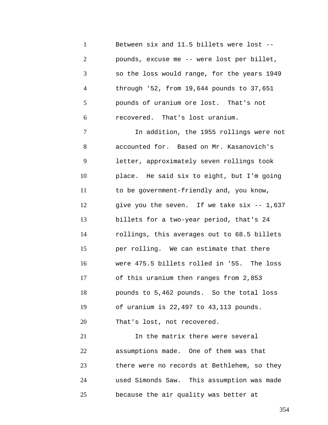1 2 3 4 5 6 Between six and 11.5 billets were lost - pounds, excuse me -- were lost per billet, so the loss would range, for the years 1949 through '52, from 19,644 pounds to 37,651 pounds of uranium ore lost. That's not recovered. That's lost uranium.

7 8 9 10 11 12 13 14 15 16 17 18 19 20 In addition, the 1955 rollings were not accounted for. Based on Mr. Kasanovich's letter, approximately seven rollings took place. He said six to eight, but I'm going to be government-friendly and, you know, give you the seven. If we take six -- 1,637 billets for a two-year period, that's 24 rollings, this averages out to 68.5 billets per rolling. We can estimate that there were 475.5 billets rolled in '55. The loss of this uranium then ranges from 2,853 pounds to 5,462 pounds. So the total loss of uranium is 22,497 to 43,113 pounds. That's lost, not recovered.

21 22 23 24 25 In the matrix there were several assumptions made. One of them was that there were no records at Bethlehem, so they used Simonds Saw. This assumption was made because the air quality was better at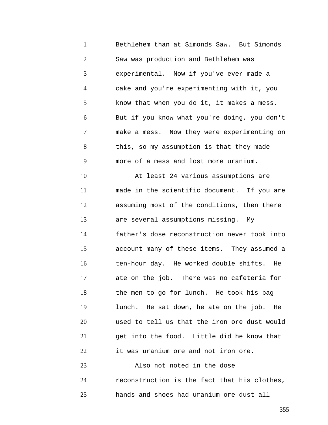1 2 3 4 5 6 7 8 9 10 11 12 13 14 15 16 17 18 19 20 21 22 Bethlehem than at Simonds Saw. But Simonds Saw was production and Bethlehem was experimental. Now if you've ever made a cake and you're experimenting with it, you know that when you do it, it makes a mess. But if you know what you're doing, you don't make a mess. Now they were experimenting on this, so my assumption is that they made more of a mess and lost more uranium. At least 24 various assumptions are made in the scientific document. If you are assuming most of the conditions, then there are several assumptions missing. My father's dose reconstruction never took into account many of these items. They assumed a ten-hour day. He worked double shifts. He ate on the job. There was no cafeteria for the men to go for lunch. He took his bag lunch. He sat down, he ate on the job. He used to tell us that the iron ore dust would get into the food. Little did he know that it was uranium ore and not iron ore.

23 24 25 Also not noted in the dose reconstruction is the fact that his clothes, hands and shoes had uranium ore dust all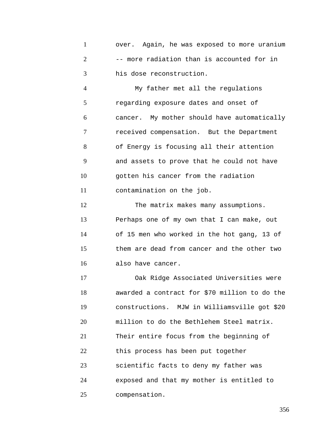1 2 3 over. Again, he was exposed to more uranium -- more radiation than is accounted for in his dose reconstruction.

4 5 6 7 8 9 10 11 My father met all the regulations regarding exposure dates and onset of cancer. My mother should have automatically received compensation. But the Department of Energy is focusing all their attention and assets to prove that he could not have gotten his cancer from the radiation contamination on the job.

12 13 14 15 16 The matrix makes many assumptions. Perhaps one of my own that I can make, out of 15 men who worked in the hot gang, 13 of them are dead from cancer and the other two also have cancer.

17 18 19 20 21 22 23 24 25 Oak Ridge Associated Universities were awarded a contract for \$70 million to do the constructions. MJW in Williamsville got \$20 million to do the Bethlehem Steel matrix. Their entire focus from the beginning of this process has been put together scientific facts to deny my father was exposed and that my mother is entitled to compensation.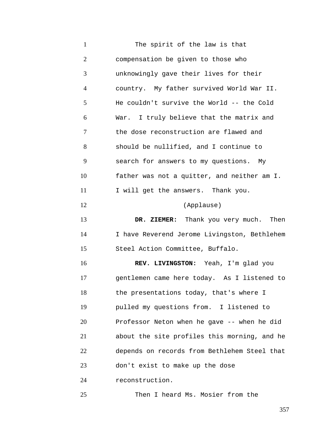1 2 3 4 5 6 7 8 9 10 11 12 13 14 15 16 17 18 19 20 21 22 23 24 The spirit of the law is that compensation be given to those who unknowingly gave their lives for their country. My father survived World War II. He couldn't survive the World -- the Cold War. I truly believe that the matrix and the dose reconstruction are flawed and should be nullified, and I continue to search for answers to my questions. My father was not a quitter, and neither am I. I will get the answers. Thank you. (Applause) **DR. ZIEMER:** Thank you very much. Then I have Reverend Jerome Livingston, Bethlehem Steel Action Committee, Buffalo. **REV. LIVINGSTON:** Yeah, I'm glad you gentlemen came here today. As I listened to the presentations today, that's where I pulled my questions from. I listened to Professor Neton when he gave -- when he did about the site profiles this morning, and he depends on records from Bethlehem Steel that don't exist to make up the dose reconstruction.

Then I heard Ms. Mosier from the

25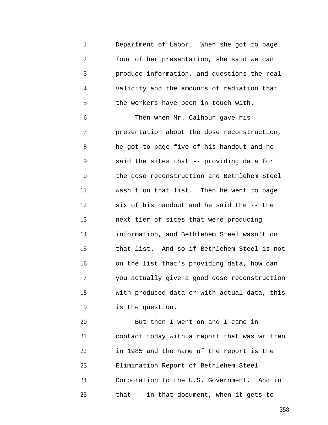1 2 3 4 5 Department of Labor. When she got to page four of her presentation, she said we can produce information, and questions the real validity and the amounts of radiation that the workers have been in touch with.

6 7 8 9 10 11 12 13 14 15 16 17 18 19 Then when Mr. Calhoun gave his presentation about the dose reconstruction, he got to page five of his handout and he said the sites that -- providing data for the dose reconstruction and Bethlehem Steel wasn't on that list. Then he went to page six of his handout and he said the -- the next tier of sites that were producing information, and Bethlehem Steel wasn't on that list. And so if Bethlehem Steel is not on the list that's providing data, how can you actually give a good dose reconstruction with produced data or with actual data, this is the question.

20 21 22 23 24 25 But then I went on and I came in contact today with a report that was written in 1985 and the name of the report is the Elimination Report of Bethlehem Steel Corporation to the U.S. Government. And in that -- in that document, when it gets to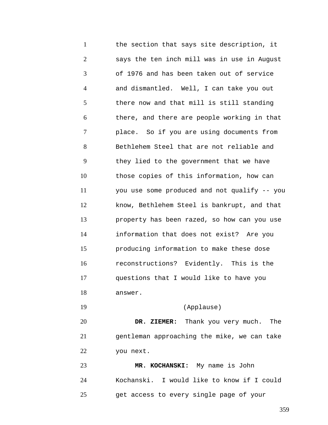1 2 3 4 5 6 7 8 9 10 11 12 13 14 15 16 17 18 19 20 21 22 the section that says site description, it says the ten inch mill was in use in August of 1976 and has been taken out of service and dismantled. Well, I can take you out there now and that mill is still standing there, and there are people working in that place. So if you are using documents from Bethlehem Steel that are not reliable and they lied to the government that we have those copies of this information, how can you use some produced and not qualify -- you know, Bethlehem Steel is bankrupt, and that property has been razed, so how can you use information that does not exist? Are you producing information to make these dose reconstructions? Evidently. This is the questions that I would like to have you answer. (Applause) **DR. ZIEMER:** Thank you very much. The gentleman approaching the mike, we can take you next.

23 24 25 **MR. KOCHANSKI:** My name is John Kochanski. I would like to know if I could get access to every single page of your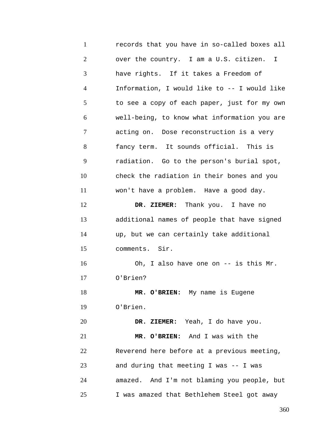1 2 3 4 5 6 7 8 9 10 11 12 13 14 15 16 17 18 19 20 21 22 23 24 25 records that you have in so-called boxes all over the country. I am a U.S. citizen. I have rights. If it takes a Freedom of Information, I would like to -- I would like to see a copy of each paper, just for my own well-being, to know what information you are acting on. Dose reconstruction is a very fancy term. It sounds official. This is radiation. Go to the person's burial spot, check the radiation in their bones and you won't have a problem. Have a good day. **DR. ZIEMER:** Thank you. I have no additional names of people that have signed up, but we can certainly take additional comments. Sir. Oh, I also have one on -- is this Mr. O'Brien? **MR. O'BRIEN:** My name is Eugene O'Brien. **DR. ZIEMER:** Yeah, I do have you. **MR. O'BRIEN:** And I was with the Reverend here before at a previous meeting, and during that meeting I was -- I was amazed. And I'm not blaming you people, but I was amazed that Bethlehem Steel got away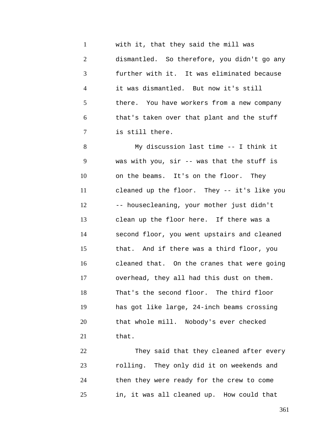1 2 3 4 5 6 7 with it, that they said the mill was dismantled. So therefore, you didn't go any further with it. It was eliminated because it was dismantled. But now it's still there. You have workers from a new company that's taken over that plant and the stuff is still there.

8 9 10 11 12 13 14 15 16 17 18 19 20 21 My discussion last time -- I think it was with you, sir -- was that the stuff is on the beams. It's on the floor. They cleaned up the floor. They -- it's like you -- housecleaning, your mother just didn't clean up the floor here. If there was a second floor, you went upstairs and cleaned that. And if there was a third floor, you cleaned that. On the cranes that were going overhead, they all had this dust on them. That's the second floor. The third floor has got like large, 24-inch beams crossing that whole mill. Nobody's ever checked that.

22 23 24 25 They said that they cleaned after every rolling. They only did it on weekends and then they were ready for the crew to come in, it was all cleaned up. How could that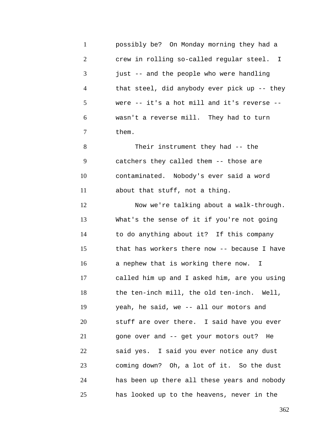1 2 3 4 5 6 7 8 9 10 11 12 13 14 15 16 17 18 19 20 21 22 23 24 25 possibly be? On Monday morning they had a crew in rolling so-called regular steel. I just -- and the people who were handling that steel, did anybody ever pick up -- they were -- it's a hot mill and it's reverse - wasn't a reverse mill. They had to turn them. Their instrument they had -- the catchers they called them -- those are contaminated. Nobody's ever said a word about that stuff, not a thing. Now we're talking about a walk-through. What's the sense of it if you're not going to do anything about it? If this company that has workers there now -- because I have a nephew that is working there now. I called him up and I asked him, are you using the ten-inch mill, the old ten-inch. Well, yeah, he said, we -- all our motors and stuff are over there. I said have you ever gone over and -- get your motors out? He said yes. I said you ever notice any dust coming down? Oh, a lot of it. So the dust has been up there all these years and nobody has looked up to the heavens, never in the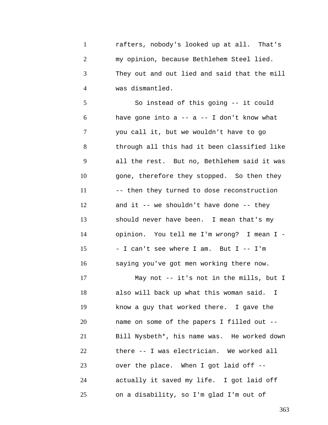1 2 3 4 rafters, nobody's looked up at all. That's my opinion, because Bethlehem Steel lied. They out and out lied and said that the mill was dismantled.

5 6 7 8 9 10 11 12 13 14 15 16 So instead of this going -- it could have gone into  $a$  --  $a$  -- I don't know what you call it, but we wouldn't have to go through all this had it been classified like all the rest. But no, Bethlehem said it was gone, therefore they stopped. So then they -- then they turned to dose reconstruction and it  $-$  we shouldn't have done  $-$  they should never have been. I mean that's my opinion. You tell me I'm wrong? I mean I - - I can't see where I am. But I -- I'm saying you've got men working there now.

17 18 19 20 21 22 23 24 25 May not -- it's not in the mills, but I also will back up what this woman said. I know a guy that worked there. I gave the name on some of the papers I filled out -- Bill Nysbeth\*, his name was. He worked down there -- I was electrician. We worked all over the place. When I got laid off - actually it saved my life. I got laid off on a disability, so I'm glad I'm out of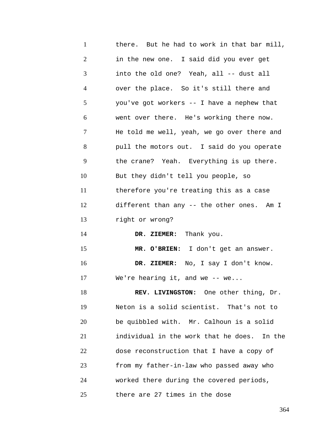1 2 3 4 5 6 7 8 9 10 11 12 13 14 15 16 17 18 19 20 21 22 23 24 25 there. But he had to work in that bar mill, in the new one. I said did you ever get into the old one? Yeah, all -- dust all over the place. So it's still there and you've got workers -- I have a nephew that went over there. He's working there now. He told me well, yeah, we go over there and pull the motors out. I said do you operate the crane? Yeah. Everything is up there. But they didn't tell you people, so therefore you're treating this as a case different than any -- the other ones. Am I right or wrong? **DR. ZIEMER:** Thank you. **MR. O'BRIEN:** I don't get an answer. **DR. ZIEMER:** No, I say I don't know. We're hearing it, and we  $--$  we... **REV. LIVINGSTON:** One other thing, Dr. Neton is a solid scientist. That's not to be quibbled with. Mr. Calhoun is a solid individual in the work that he does. In the dose reconstruction that I have a copy of from my father-in-law who passed away who worked there during the covered periods, there are 27 times in the dose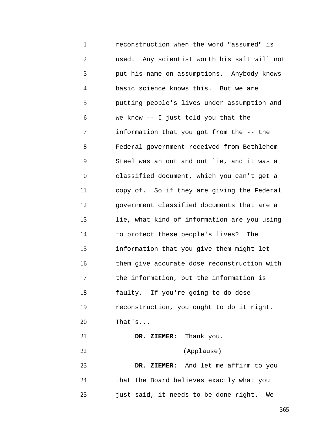1 2 3 4 5 6 7 8 9 10 11 12 13 14 15 16 17 18 19 20 21 22 23 24 25 reconstruction when the word "assumed" is used. Any scientist worth his salt will not put his name on assumptions. Anybody knows basic science knows this. But we are putting people's lives under assumption and we know -- I just told you that the information that you got from the -- the Federal government received from Bethlehem Steel was an out and out lie, and it was a classified document, which you can't get a copy of. So if they are giving the Federal government classified documents that are a lie, what kind of information are you using to protect these people's lives? The information that you give them might let them give accurate dose reconstruction with the information, but the information is faulty. If you're going to do dose reconstruction, you ought to do it right. That's... **DR. ZIEMER:** Thank you. (Applause) **DR. ZIEMER:** And let me affirm to you that the Board believes exactly what you just said, it needs to be done right. We --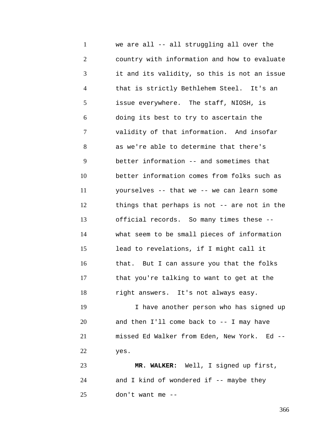1 2 3 4 5 6 7 8 9 10 11 12 13 14 15 16 17 18 19 20 21 22 23 24 we are all -- all struggling all over the country with information and how to evaluate it and its validity, so this is not an issue that is strictly Bethlehem Steel. It's an issue everywhere. The staff, NIOSH, is doing its best to try to ascertain the validity of that information. And insofar as we're able to determine that there's better information -- and sometimes that better information comes from folks such as yourselves -- that we -- we can learn some things that perhaps is not -- are not in the official records. So many times these - what seem to be small pieces of information lead to revelations, if I might call it that. But I can assure you that the folks that you're talking to want to get at the right answers. It's not always easy. I have another person who has signed up and then I'll come back to -- I may have missed Ed Walker from Eden, New York. Ed - yes. **MR. WALKER:** Well, I signed up first, and I kind of wondered if  $--$  maybe they

25 don't want me --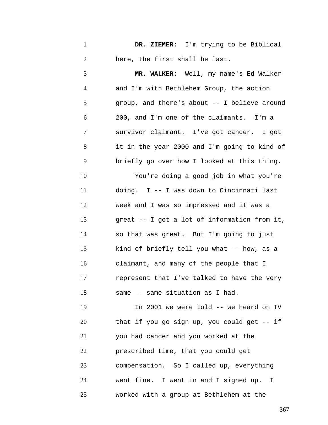1 2 **DR. ZIEMER:** I'm trying to be Biblical here, the first shall be last.

3 4 5 6 7 8 9 10 11 12 13 14 15 16 17 18 19 20 21 22 23 24 **MR. WALKER:** Well, my name's Ed Walker and I'm with Bethlehem Group, the action group, and there's about -- I believe around 200, and I'm one of the claimants. I'm a survivor claimant. I've got cancer. I got it in the year 2000 and I'm going to kind of briefly go over how I looked at this thing. You're doing a good job in what you're doing. I -- I was down to Cincinnati last week and I was so impressed and it was a great -- I got a lot of information from it, so that was great. But I'm going to just kind of briefly tell you what -- how, as a claimant, and many of the people that I represent that I've talked to have the very same -- same situation as I had. In 2001 we were told -- we heard on TV that if you go sign up, you could get -- if you had cancer and you worked at the prescribed time, that you could get compensation. So I called up, everything went fine. I went in and I signed up. I

25 worked with a group at Bethlehem at the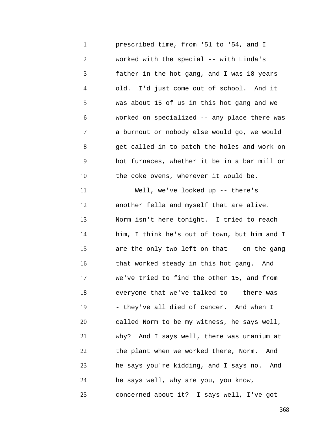1 2 3 4 5 6 7 8 9 10 11 12 13 14 15 16 17 18 19 20 21 22 23 24 prescribed time, from '51 to '54, and I worked with the special -- with Linda's father in the hot gang, and I was 18 years old. I'd just come out of school. And it was about 15 of us in this hot gang and we worked on specialized -- any place there was a burnout or nobody else would go, we would get called in to patch the holes and work on hot furnaces, whether it be in a bar mill or the coke ovens, wherever it would be. Well, we've looked up -- there's another fella and myself that are alive. Norm isn't here tonight. I tried to reach him, I think he's out of town, but him and I are the only two left on that -- on the gang that worked steady in this hot gang. And we've tried to find the other 15, and from everyone that we've talked to -- there was -- they've all died of cancer. And when I called Norm to be my witness, he says well, why? And I says well, there was uranium at the plant when we worked there, Norm. And he says you're kidding, and I says no. And he says well, why are you, you know,

concerned about it? I says well, I've got

25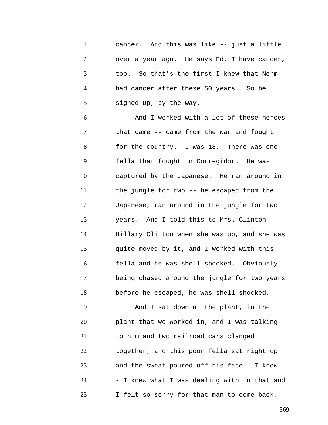1 2 3 4 5 cancer. And this was like -- just a little over a year ago. He says Ed, I have cancer, too. So that's the first I knew that Norm had cancer after these 50 years. So he signed up, by the way.

6 7 8 9 10 11 12 13 14 15 16 17 18 And I worked with a lot of these heroes that came -- came from the war and fought for the country. I was 18. There was one fella that fought in Corregidor. He was captured by the Japanese. He ran around in the jungle for two -- he escaped from the Japanese, ran around in the jungle for two years. And I told this to Mrs. Clinton -- Hillary Clinton when she was up, and she was quite moved by it, and I worked with this fella and he was shell-shocked. Obviously being chased around the jungle for two years before he escaped, he was shell-shocked.

19 20 21 22 23 24 25 And I sat down at the plant, in the plant that we worked in, and I was talking to him and two railroad cars clanged together, and this poor fella sat right up and the sweat poured off his face. I knew - - I knew what I was dealing with in that and I felt so sorry for that man to come back,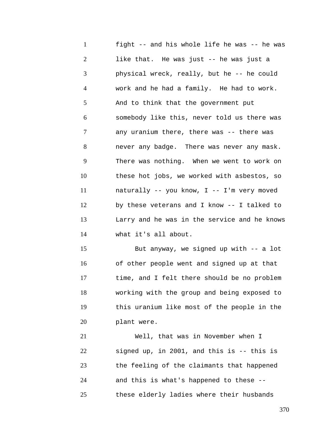1 2 3 4 5 6 7 8 9 10 11 12 13 14 fight -- and his whole life he was -- he was like that. He was just -- he was just a physical wreck, really, but he -- he could work and he had a family. He had to work. And to think that the government put somebody like this, never told us there was any uranium there, there was -- there was never any badge. There was never any mask. There was nothing. When we went to work on these hot jobs, we worked with asbestos, so naturally -- you know, I -- I'm very moved by these veterans and I know -- I talked to Larry and he was in the service and he knows what it's all about.

15 16 17 18 19 20 But anyway, we signed up with -- a lot of other people went and signed up at that time, and I felt there should be no problem working with the group and being exposed to this uranium like most of the people in the plant were.

21 22 23 24 25 Well, that was in November when I signed up, in 2001, and this is -- this is the feeling of the claimants that happened and this is what's happened to these - these elderly ladies where their husbands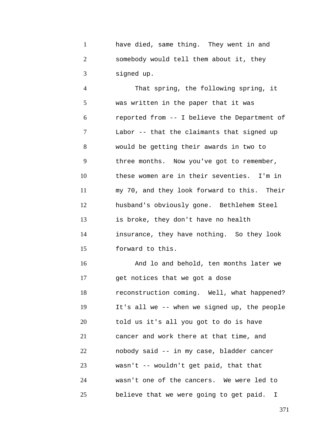1 2 3 have died, same thing. They went in and somebody would tell them about it, they signed up.

4 5 6 7 8 9 10 11 12 13 14 15 That spring, the following spring, it was written in the paper that it was reported from -- I believe the Department of Labor -- that the claimants that signed up would be getting their awards in two to three months. Now you've got to remember, these women are in their seventies. I'm in my 70, and they look forward to this. Their husband's obviously gone. Bethlehem Steel is broke, they don't have no health insurance, they have nothing. So they look forward to this.

16 17 18 19 20 21 22 23 24 25 And lo and behold, ten months later we get notices that we got a dose reconstruction coming. Well, what happened? It's all we -- when we signed up, the people told us it's all you got to do is have cancer and work there at that time, and nobody said -- in my case, bladder cancer wasn't -- wouldn't get paid, that that wasn't one of the cancers. We were led to believe that we were going to get paid. I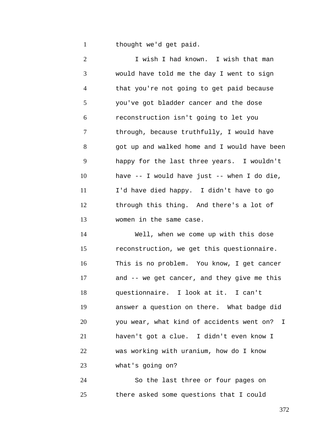1 thought we'd get paid.

2 3 4 5 6 7 8 9 10 11 12 13 I wish I had known. I wish that man would have told me the day I went to sign that you're not going to get paid because you've got bladder cancer and the dose reconstruction isn't going to let you through, because truthfully, I would have got up and walked home and I would have been happy for the last three years. I wouldn't have -- I would have just -- when I do die, I'd have died happy. I didn't have to go through this thing. And there's a lot of women in the same case.

14 15 16 17 18 19 20 21 22 23 Well, when we come up with this dose reconstruction, we get this questionnaire. This is no problem. You know, I get cancer and -- we get cancer, and they give me this questionnaire. I look at it. I can't answer a question on there. What badge did you wear, what kind of accidents went on? I haven't got a clue. I didn't even know I was working with uranium, how do I know what's going on?

24 25 So the last three or four pages on there asked some questions that I could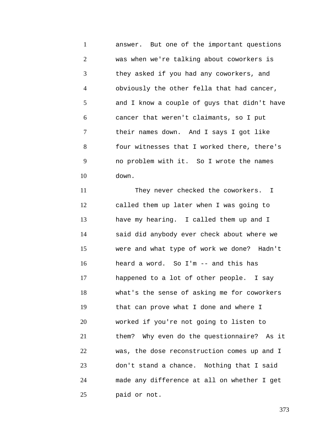1 2 3 4 5 6 7 8 9 10 answer. But one of the important questions was when we're talking about coworkers is they asked if you had any coworkers, and obviously the other fella that had cancer, and I know a couple of guys that didn't have cancer that weren't claimants, so I put their names down. And I says I got like four witnesses that I worked there, there's no problem with it. So I wrote the names down.

11 12 13 14 15 16 17 18 19 20 21 22 23 24 25 They never checked the coworkers. I called them up later when I was going to have my hearing. I called them up and I said did anybody ever check about where we were and what type of work we done? Hadn't heard a word. So I'm -- and this has happened to a lot of other people. I say what's the sense of asking me for coworkers that can prove what I done and where I worked if you're not going to listen to them? Why even do the questionnaire? As it was, the dose reconstruction comes up and I don't stand a chance. Nothing that I said made any difference at all on whether I get paid or not.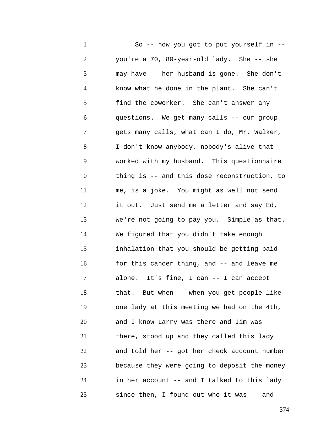1 2 3 4 5 6 7 8 9 10 11 12 13 14 15 16 17 18 19 20 21 22 23 24 25 So -- now you got to put yourself in - you're a 70, 80-year-old lady. She -- she may have -- her husband is gone. She don't know what he done in the plant. She can't find the coworker. She can't answer any questions. We get many calls -- our group gets many calls, what can I do, Mr. Walker, I don't know anybody, nobody's alive that worked with my husband. This questionnaire thing is -- and this dose reconstruction, to me, is a joke. You might as well not send it out. Just send me a letter and say Ed, we're not going to pay you. Simple as that. We figured that you didn't take enough inhalation that you should be getting paid for this cancer thing, and -- and leave me alone. It's fine, I can -- I can accept that. But when -- when you get people like one lady at this meeting we had on the 4th, and I know Larry was there and Jim was there, stood up and they called this lady and told her -- got her check account number because they were going to deposit the money in her account -- and I talked to this lady since then, I found out who it was -- and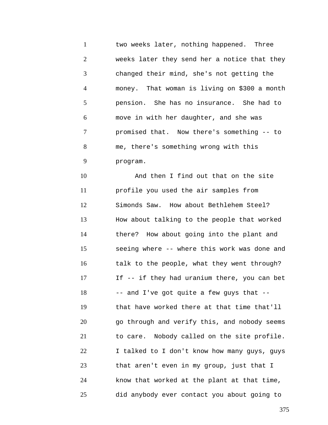1 2 3 4 5 6 7 8 9 two weeks later, nothing happened. Three weeks later they send her a notice that they changed their mind, she's not getting the money. That woman is living on \$300 a month pension. She has no insurance. She had to move in with her daughter, and she was promised that. Now there's something -- to me, there's something wrong with this program.

10 11 12 13 14 15 16 17 18 19 20 21 22 23 24 25 And then I find out that on the site profile you used the air samples from Simonds Saw. How about Bethlehem Steel? How about talking to the people that worked there? How about going into the plant and seeing where -- where this work was done and talk to the people, what they went through? If -- if they had uranium there, you can bet -- and I've got quite a few guys that - that have worked there at that time that'll go through and verify this, and nobody seems to care. Nobody called on the site profile. I talked to I don't know how many guys, guys that aren't even in my group, just that I know that worked at the plant at that time, did anybody ever contact you about going to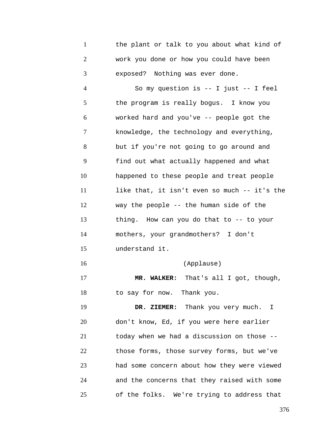1 2 3 the plant or talk to you about what kind of work you done or how you could have been exposed? Nothing was ever done.

4 5 6 7 8 9 10 11 12 13 14 15 16 17 18 19 20 21 22 23 24 So my question is -- I just -- I feel the program is really bogus. I know you worked hard and you've -- people got the knowledge, the technology and everything, but if you're not going to go around and find out what actually happened and what happened to these people and treat people like that, it isn't even so much -- it's the way the people -- the human side of the thing. How can you do that to -- to your mothers, your grandmothers? I don't understand it. (Applause) **MR. WALKER:** That's all I got, though, to say for now. Thank you. **DR. ZIEMER:** Thank you very much. I don't know, Ed, if you were here earlier today when we had a discussion on those - those forms, those survey forms, but we've had some concern about how they were viewed and the concerns that they raised with some

25 of the folks. We're trying to address that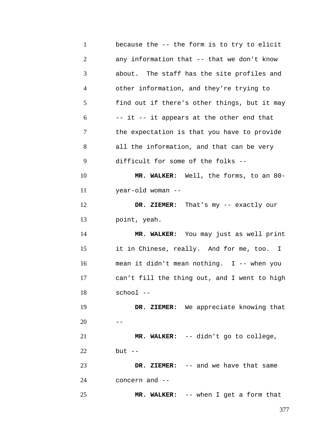| $\mathbf{1}$   | because the -- the form is to try to elicit  |
|----------------|----------------------------------------------|
| $\overline{2}$ | any information that -- that we don't know   |
| 3              | about. The staff has the site profiles and   |
| 4              | other information, and they're trying to     |
| 5              | find out if there's other things, but it may |
| 6              | -- it -- it appears at the other end that    |
| 7              | the expectation is that you have to provide  |
| 8              | all the information, and that can be very    |
| 9              | difficult for some of the folks --           |
| 10             | MR. WALKER: Well, the forms, to an 80-       |
| 11             | year-old woman --                            |
| 12             | DR. ZIEMER: That's my -- exactly our         |
| 13             | point, yeah.                                 |
| 14             | MR. WALKER: You may just as well print       |
| 15             | it in Chinese, really. And for me, too. I    |
| 16             | mean it didn't mean nothing. I -- when you   |
| 17             | can't fill the thing out, and I went to high |
| 18             | school --                                    |
| 19             | DR. ZIEMER: We appreciate knowing that       |
| 20             |                                              |
| 21             | MR. WALKER: -- didn't go to college,         |
| 22             | $but --$                                     |
| 23             | DR. ZIEMER: -- and we have that same         |
| 24             | concern and --                               |
| 25             | MR. WALKER: -- when I get a form that        |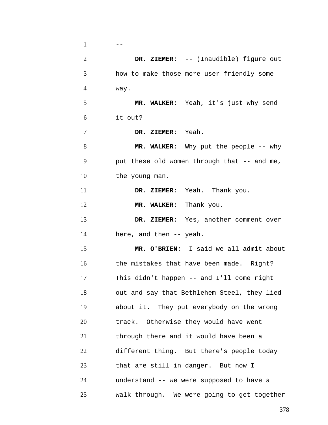| $\mathbf{1}$   |                                             |
|----------------|---------------------------------------------|
| $\overline{2}$ | DR. ZIEMER: -- (Inaudible) figure out       |
| 3              | how to make those more user-friendly some   |
| 4              | way.                                        |
| 5              | MR. WALKER: Yeah, it's just why send        |
| 6              | it out?                                     |
| 7              | DR. ZIEMER: Yeah.                           |
| 8              | MR. WALKER: Why put the people -- why       |
| 9              | put these old women through that -- and me, |
| 10             | the young man.                              |
| 11             | DR. ZIEMER: Yeah. Thank you.                |
| 12             | MR. WALKER: Thank you.                      |
| 13             | DR. ZIEMER: Yes, another comment over       |
| 14             | here, and then -- yeah.                     |
| 15             | MR. O'BRIEN: I said we all admit about      |
| 16             | the mistakes that have been made. Right?    |
| 17             | This didn't happen -- and I'll come right   |
| 18             | out and say that Bethlehem Steel, they lied |
| 19             | about it. They put everybody on the wrong   |
| 20             | track. Otherwise they would have went       |
| 21             | through there and it would have been a      |
| 22             | different thing. But there's people today   |
| 23             | that are still in danger. But now I         |
| 24             | understand -- we were supposed to have a    |
| 25             | walk-through. We were going to get together |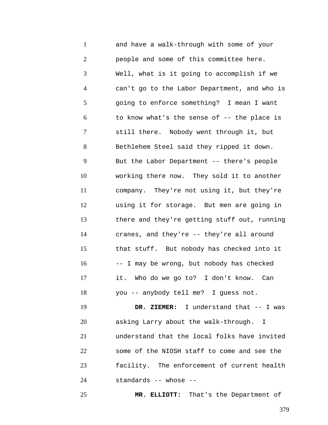1 2 3 4 5 6 7 8 9 10 11 12 13 14 15 16 17 18 19 20 21 22 23 and have a walk-through with some of your people and some of this committee here. Well, what is it going to accomplish if we can't go to the Labor Department, and who is going to enforce something? I mean I want to know what's the sense of -- the place is still there. Nobody went through it, but Bethlehem Steel said they ripped it down. But the Labor Department -- there's people working there now. They sold it to another company. They're not using it, but they're using it for storage. But men are going in there and they're getting stuff out, running cranes, and they're -- they're all around that stuff. But nobody has checked into it -- I may be wrong, but nobody has checked it. Who do we go to? I don't know. Can you -- anybody tell me? I guess not. **DR. ZIEMER:** I understand that -- I was asking Larry about the walk-through. I understand that the local folks have invited some of the NIOSH staff to come and see the facility. The enforcement of current health

24 standards -- whose --

25

**MR. ELLIOTT:** That's the Department of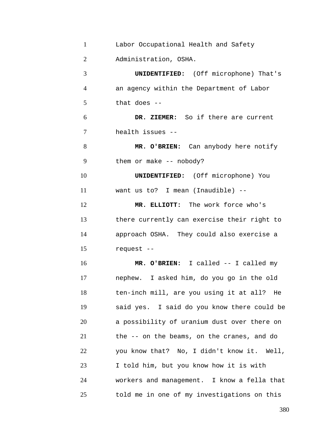| $\mathbf{1}$   | Labor Occupational Health and Safety         |
|----------------|----------------------------------------------|
| $\overline{2}$ | Administration, OSHA.                        |
| 3              | <b>UNIDENTIFIED:</b> (Off microphone) That's |
| $\overline{4}$ | an agency within the Department of Labor     |
| 5              | that does $-$                                |
| 6              | DR. ZIEMER: So if there are current          |
| 7              | health issues --                             |
| 8              | MR. O'BRIEN: Can anybody here notify         |
| 9              | them or make $--$ nobody?                    |
| 10             | <b>UNIDENTIFIED:</b> (Off microphone) You    |
| 11             | want us to? I mean (Inaudible) --            |
| 12             | MR. ELLIOTT: The work force who's            |
| 13             | there currently can exercise their right to  |
| 14             | approach OSHA. They could also exercise a    |
| 15             | request --                                   |
| 16             | MR. O'BRIEN: I called -- I called my         |
| 17             | nephew. I asked him, do you go in the old    |
| 18             | ten-inch mill, are you using it at all? He   |
| 19             | said yes. I said do you know there could be  |
| 20             | a possibility of uranium dust over there on  |
| 21             | the -- on the beams, on the cranes, and do   |
| 22             | you know that? No, I didn't know it. Well,   |
| 23             | I told him, but you know how it is with      |
| 24             | workers and management. I know a fella that  |
| 25             | told me in one of my investigations on this  |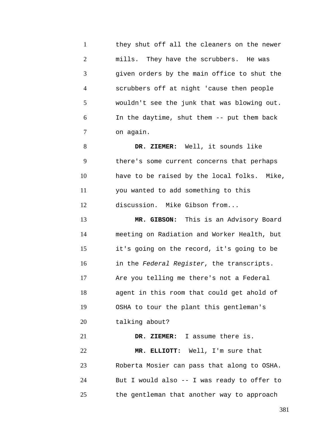1 2 3 4 5 6 7 they shut off all the cleaners on the newer mills. They have the scrubbers. He was given orders by the main office to shut the scrubbers off at night 'cause then people wouldn't see the junk that was blowing out. In the daytime, shut them -- put them back on again.

8 9 10 11 12 **DR. ZIEMER:** Well, it sounds like there's some current concerns that perhaps have to be raised by the local folks. Mike, you wanted to add something to this discussion. Mike Gibson from...

13 14 15 16 17 18 19 20 21 22 **MR. GIBSON:** This is an Advisory Board meeting on Radiation and Worker Health, but it's going on the record, it's going to be in the *Federal Register*, the transcripts. Are you telling me there's not a Federal agent in this room that could get ahold of OSHA to tour the plant this gentleman's talking about? **DR. ZIEMER:** I assume there is. **MR. ELLIOTT:** Well, I'm sure that

23 24 25 Roberta Mosier can pass that along to OSHA. But I would also -- I was ready to offer to the gentleman that another way to approach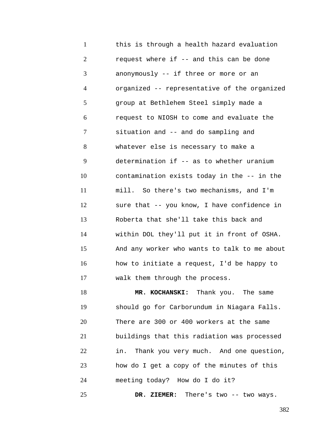1 2 3 4 5 6 7 8 9 10 11 12 13 14 15 16 17 this is through a health hazard evaluation request where if -- and this can be done anonymously -- if three or more or an organized -- representative of the organized group at Bethlehem Steel simply made a request to NIOSH to come and evaluate the situation and -- and do sampling and whatever else is necessary to make a determination if -- as to whether uranium contamination exists today in the -- in the mill. So there's two mechanisms, and I'm sure that -- you know, I have confidence in Roberta that she'll take this back and within DOL they'll put it in front of OSHA. And any worker who wants to talk to me about how to initiate a request, I'd be happy to walk them through the process.

18 19 20 21 22 23 24 **MR. KOCHANSKI:** Thank you. The same should go for Carborundum in Niagara Falls. There are 300 or 400 workers at the same buildings that this radiation was processed in. Thank you very much. And one question, how do I get a copy of the minutes of this meeting today? How do I do it?

**DR. ZIEMER:** There's two -- two ways.

25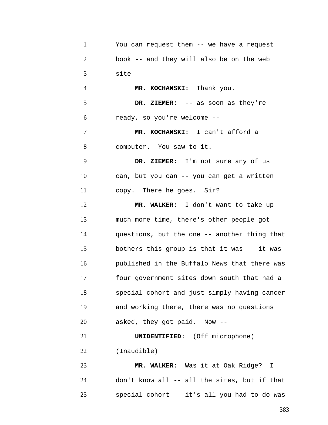| $\mathbf{1}$   | You can request them -- we have a request    |
|----------------|----------------------------------------------|
| $\overline{2}$ | book -- and they will also be on the web     |
| 3              | $site -$                                     |
| 4              | MR. KOCHANSKI: Thank you.                    |
| 5              | DR. ZIEMER: -- as soon as they're            |
| 6              | ready, so you're welcome --                  |
| 7              | MR. KOCHANSKI: I can't afford a              |
| 8              | computer. You saw to it.                     |
| 9              | DR. ZIEMER: I'm not sure any of us           |
| 10             | can, but you can -- you can get a written    |
| 11             | copy. There he goes. Sir?                    |
| 12             | MR. WALKER: I don't want to take up          |
| 13             | much more time, there's other people got     |
| 14             | questions, but the one -- another thing that |
| 15             | bothers this group is that it was -- it was  |
| 16             | published in the Buffalo News that there was |
| 17             | four government sites down south that had a  |
| 18             | special cohort and just simply having cancer |
| 19             | and working there, there was no questions    |
| 20             | asked, they got paid. Now --                 |
| 21             | <b>UNIDENTIFIED:</b> (Off microphone)        |
| 22             | (Inaudible)                                  |
| 23             | MR. WALKER: Was it at Oak Ridge? I           |
| 24             | don't know all -- all the sites, but if that |

special cohort -- it's all you had to do was

25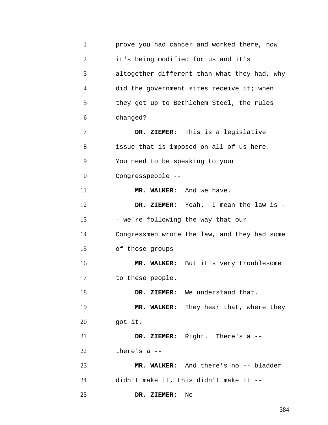| $\mathbf{1}$   | prove you had cancer and worked there, now   |
|----------------|----------------------------------------------|
| $\overline{2}$ | it's being modified for us and it's          |
| 3              | altogether different than what they had, why |
| 4              | did the government sites receive it; when    |
| 5              | they got up to Bethlehem Steel, the rules    |
| 6              | changed?                                     |
| 7              | DR. ZIEMER: This is a legislative            |
| 8              | issue that is imposed on all of us here.     |
| 9              | You need to be speaking to your              |
| 10             | Congresspeople --                            |
| 11             | MR. WALKER: And we have.                     |
| 12             | DR. ZIEMER: Yeah. I mean the law is -        |
| 13             | - we're following the way that our           |
| 14             | Congressmen wrote the law, and they had some |
| 15             | of those groups --                           |
| 16             | MR. WALKER: But it's very troublesome        |
| 17             | to these people.                             |
| 18             | DR. ZIEMER: We understand that.              |
| 19             | MR. WALKER: They hear that, where they       |
| 20             | got it.                                      |
| 21             | DR. ZIEMER: Right. There's a --              |
| 22             | there's $a$ --                               |
| 23             | MR. WALKER: And there's no -- bladder        |
| 24             | didn't make it, this didn't make it --       |
| 25             | $No$ --<br>DR. ZIEMER:                       |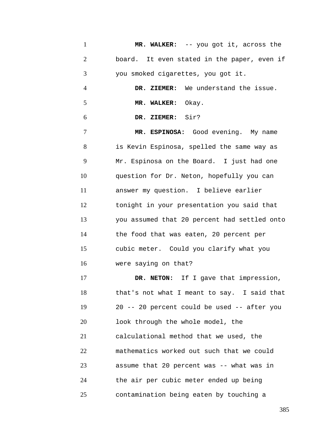1 2 3 4 5 6 7 8 9 10 11 12 13 14 15 16 17 18 19 20 **MR. WALKER:** -- you got it, across the board. It even stated in the paper, even if you smoked cigarettes, you got it. **DR. ZIEMER:** We understand the issue. **MR. WALKER:** Okay. **DR. ZIEMER:** Sir? **MR. ESPINOSA:** Good evening. My name is Kevin Espinosa, spelled the same way as Mr. Espinosa on the Board. I just had one question for Dr. Neton, hopefully you can answer my question. I believe earlier tonight in your presentation you said that you assumed that 20 percent had settled onto the food that was eaten, 20 percent per cubic meter. Could you clarify what you were saying on that? **DR. NETON:** If I gave that impression, that's not what I meant to say. I said that 20 -- 20 percent could be used -- after you look through the whole model, the

21 22 23 24 25 calculational method that we used, the mathematics worked out such that we could assume that 20 percent was -- what was in the air per cubic meter ended up being contamination being eaten by touching a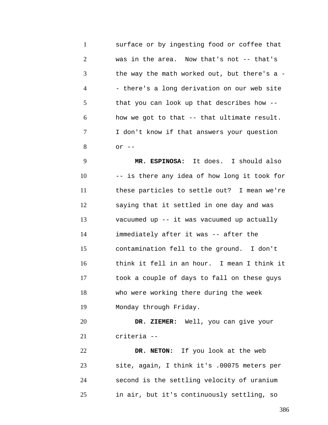1 2 3 4 5 6 7 8 surface or by ingesting food or coffee that was in the area. Now that's not -- that's the way the math worked out, but there's a - - there's a long derivation on our web site that you can look up that describes how - how we got to that -- that ultimate result. I don't know if that answers your question  $or$   $--$ 

9 10 11 12 13 14 15 16 17 18 19 **MR. ESPINOSA:** It does. I should also -- is there any idea of how long it took for these particles to settle out? I mean we're saying that it settled in one day and was vacuumed up -- it was vacuumed up actually immediately after it was -- after the contamination fell to the ground. I don't think it fell in an hour. I mean I think it took a couple of days to fall on these guys who were working there during the week Monday through Friday.

20 21 **DR. ZIEMER:** Well, you can give your criteria --

22 23 24 25 **DR. NETON:** If you look at the web site, again, I think it's .00075 meters per second is the settling velocity of uranium in air, but it's continuously settling, so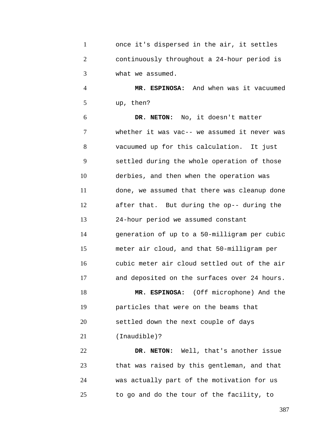| once it's dispersed in the air, it settles  |
|---------------------------------------------|
| continuously throughout a 24-hour period is |
| what we assumed.                            |

4 5 **MR. ESPINOSA:** And when was it vacuumed up, then?

6 7 8 9 10 11 12 13 14 15 16 17 18 19 **DR. NETON:** No, it doesn't matter whether it was vac-- we assumed it never was vacuumed up for this calculation. It just settled during the whole operation of those derbies, and then when the operation was done, we assumed that there was cleanup done after that. But during the op-- during the 24-hour period we assumed constant generation of up to a 50-milligram per cubic meter air cloud, and that 50-milligram per cubic meter air cloud settled out of the air and deposited on the surfaces over 24 hours. **MR. ESPINOSA:** (Off microphone) And the particles that were on the beams that

20 settled down the next couple of days

21 (Inaudible)?

22 23 24 25 **DR. NETON:** Well, that's another issue that was raised by this gentleman, and that was actually part of the motivation for us to go and do the tour of the facility, to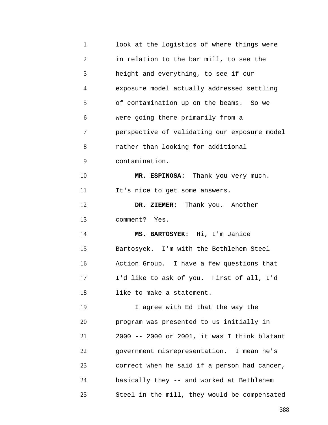| $\mathbf{1}$   | look at the logistics of where things were   |
|----------------|----------------------------------------------|
| $\overline{2}$ | in relation to the bar mill, to see the      |
| 3              | height and everything, to see if our         |
| $\overline{4}$ | exposure model actually addressed settling   |
| 5              | of contamination up on the beams. So we      |
| 6              | were going there primarily from a            |
| 7              | perspective of validating our exposure model |
| 8              | rather than looking for additional           |
| 9              | contamination.                               |
| 10             | MR. ESPINOSA: Thank you very much.           |
| 11             | It's nice to get some answers.               |
| 12             | DR. ZIEMER: Thank you. Another               |
| 13             | comment? Yes.                                |
| 14             | MS. BARTOSYEK: Hi, I'm Janice                |
| 15             | Bartosyek. I'm with the Bethlehem Steel      |
| 16             | Action Group. I have a few questions that    |
| 17             | I'd like to ask of you. First of all, I'd    |
| 18             | like to make a statement.                    |
| 19             | I agree with Ed that the way the             |
| 20             | program was presented to us initially in     |
| 21             | 2000 -- 2000 or 2001, it was I think blatant |
| 22             | government misrepresentation. I mean he's    |
| 23             | correct when he said if a person had cancer, |
| 24             | basically they -- and worked at Bethlehem    |
| 25             | Steel in the mill, they would be compensated |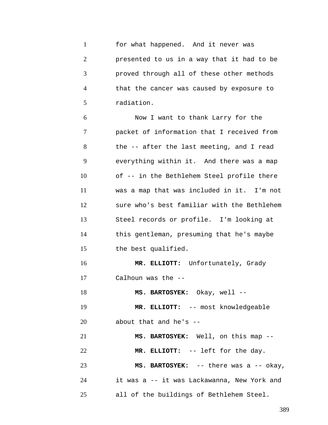1 2 3 4 5 for what happened. And it never was presented to us in a way that it had to be proved through all of these other methods that the cancer was caused by exposure to radiation.

6 7 8 9 10 11 12 13 14 15 Now I want to thank Larry for the packet of information that I received from the -- after the last meeting, and I read everything within it. And there was a map of -- in the Bethlehem Steel profile there was a map that was included in it. I'm not sure who's best familiar with the Bethlehem Steel records or profile. I'm looking at this gentleman, presuming that he's maybe the best qualified.

16 17 **MR. ELLIOTT:** Unfortunately, Grady Calhoun was the --

18 **MS. BARTOSYEK:** Okay, well --

19 **MR. ELLIOTT:** -- most knowledgeable

20 about that and he's --

21 **MS. BARTOSYEK:** Well, on this map --

22 23 24 25 **MR. ELLIOTT:** -- left for the day. **MS. BARTOSYEK:** -- there was a -- okay, it was a -- it was Lackawanna, New York and all of the buildings of Bethlehem Steel.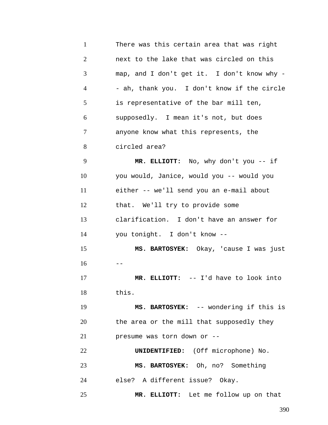1 2 3 4 5 6 7 8 9 10 11 12 13 14 15  $16 - -$ 17 18 19 20 21 22 23 24 25 There was this certain area that was right next to the lake that was circled on this map, and I don't get it. I don't know why - - ah, thank you. I don't know if the circle is representative of the bar mill ten, supposedly. I mean it's not, but does anyone know what this represents, the circled area? **MR. ELLIOTT:** No, why don't you -- if you would, Janice, would you -- would you either -- we'll send you an e-mail about that. We'll try to provide some clarification. I don't have an answer for you tonight. I don't know -- **MS. BARTOSYEK:** Okay, 'cause I was just **MR. ELLIOTT:** -- I'd have to look into this. **MS. BARTOSYEK:** -- wondering if this is the area or the mill that supposedly they presume was torn down or -- **UNIDENTIFIED:** (Off microphone) No. **MS. BARTOSYEK:** Oh, no? Something else? A different issue? Okay. **MR. ELLIOTT:** Let me follow up on that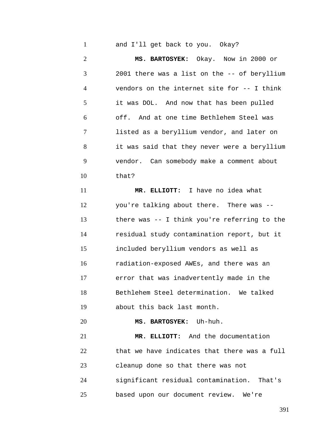1 and I'll get back to you. Okay?

2 3 4 5 6 7 8 9 10 11 12 13 14 15 16 17 18 19 20 21 **MS. BARTOSYEK:** Okay. Now in 2000 or 2001 there was a list on the -- of beryllium vendors on the internet site for -- I think it was DOL. And now that has been pulled off. And at one time Bethlehem Steel was listed as a beryllium vendor, and later on it was said that they never were a beryllium vendor. Can somebody make a comment about that? **MR. ELLIOTT:** I have no idea what you're talking about there. There was - there was -- I think you're referring to the residual study contamination report, but it included beryllium vendors as well as radiation-exposed AWEs, and there was an error that was inadvertently made in the Bethlehem Steel determination. We talked about this back last month. **MS. BARTOSYEK:** Uh-huh.

22 23 24 **MR. ELLIOTT:** And the documentation that we have indicates that there was a full cleanup done so that there was not significant residual contamination. That's

25 based upon our document review. We're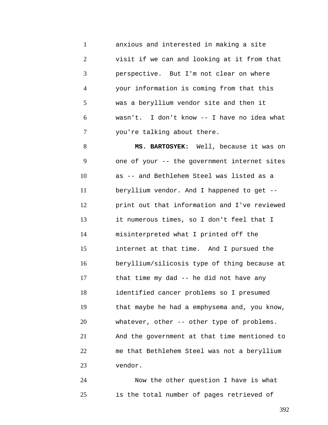1 2 3 4 5 6 7 anxious and interested in making a site visit if we can and looking at it from that perspective. But I'm not clear on where your information is coming from that this was a beryllium vendor site and then it wasn't. I don't know -- I have no idea what you're talking about there.

8 9 10 11 12 13 14 15 16 17 18 19 20 21 22 23 **MS. BARTOSYEK:** Well, because it was on one of your -- the government internet sites as -- and Bethlehem Steel was listed as a beryllium vendor. And I happened to get - print out that information and I've reviewed it numerous times, so I don't feel that I misinterpreted what I printed off the internet at that time. And I pursued the beryllium/silicosis type of thing because at that time my dad -- he did not have any identified cancer problems so I presumed that maybe he had a emphysema and, you know, whatever, other -- other type of problems. And the government at that time mentioned to me that Bethlehem Steel was not a beryllium vendor.

24 25 Now the other question I have is what is the total number of pages retrieved of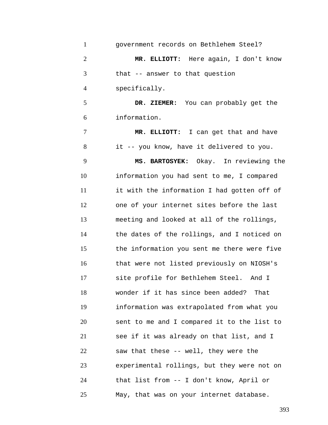| $\mathbf{1}$   | government records on Bethlehem Steel?      |
|----------------|---------------------------------------------|
| $\overline{2}$ | MR. ELLIOTT: Here again, I don't know       |
| 3              | that -- answer to that question             |
| 4              | specifically.                               |
| 5              | DR. ZIEMER: You can probably get the        |
| 6              | information.                                |
| 7              | MR. ELLIOTT: I can get that and have        |
| 8              | it -- you know, have it delivered to you.   |
| 9              | MS. BARTOSYEK: Okay. In reviewing the       |
| 10             | information you had sent to me, I compared  |
| 11             | it with the information I had gotten off of |
| 12             | one of your internet sites before the last  |
| 13             | meeting and looked at all of the rollings,  |
| 14             | the dates of the rollings, and I noticed on |
| 15             | the information you sent me there were five |
| 16             | that were not listed previously on NIOSH's  |
| 17             | site profile for Bethlehem Steel. And I     |
| 18             | wonder if it has since been added? That     |
| 19             | information was extrapolated from what you  |
| 20             | sent to me and I compared it to the list to |
| 21             | see if it was already on that list, and I   |
| 22             | saw that these -- well, they were the       |
| 23             | experimental rollings, but they were not on |
| 24             | that list from -- I don't know, April or    |
| 25             | May, that was on your internet database.    |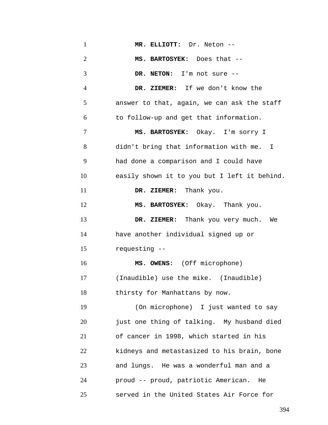| $\mathbf{1}$   | MR. ELLIOTT: Dr. Neton --                    |
|----------------|----------------------------------------------|
| $\overline{2}$ | MS. BARTOSYEK: Does that --                  |
| 3              | DR. NETON: I'm not sure --                   |
| $\overline{4}$ | DR. ZIEMER: If we don't know the             |
| 5              | answer to that, again, we can ask the staff  |
| 6              | to follow-up and get that information.       |
| 7              | MS. BARTOSYEK: Okay. I'm sorry I             |
| 8              | didn't bring that information with me. I     |
| 9              | had done a comparison and I could have       |
| 10             | easily shown it to you but I left it behind. |
| 11             | DR. ZIEMER: Thank you.                       |
| 12             | MS. BARTOSYEK: Okay. Thank you.              |
| 13             | DR. ZIEMER: Thank you very much.<br>We       |
| 14             | have another individual signed up or         |
| 15             | requesting --                                |
| 16             | MS. OWENS: (Off microphone)                  |
| 17             | (Inaudible) use the mike. (Inaudible)        |
| 18             | thirsty for Manhattans by now.               |
| 19             | (On microphone) I just wanted to say         |
| 20             | just one thing of talking. My husband died   |
| 21             | of cancer in 1998, which started in his      |
| 22             | kidneys and metastasized to his brain, bone  |
| 23             | and lungs. He was a wonderful man and a      |
| 24             | proud -- proud, patriotic American. He       |
| 25             | served in the United States Air Force for    |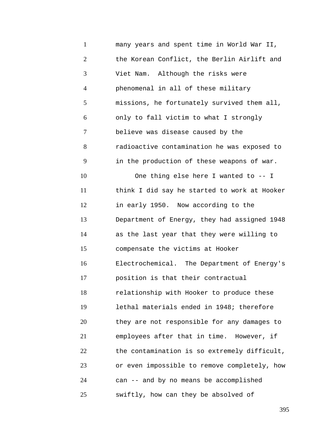1 2 3 4 5 6 7 8 9 10 11 12 13 14 15 16 17 18 19 20 21 22 23 24 25 many years and spent time in World War II, the Korean Conflict, the Berlin Airlift and Viet Nam. Although the risks were phenomenal in all of these military missions, he fortunately survived them all, only to fall victim to what I strongly believe was disease caused by the radioactive contamination he was exposed to in the production of these weapons of war. One thing else here I wanted to -- I think I did say he started to work at Hooker in early 1950. Now according to the Department of Energy, they had assigned 1948 as the last year that they were willing to compensate the victims at Hooker Electrochemical. The Department of Energy's position is that their contractual relationship with Hooker to produce these lethal materials ended in 1948; therefore they are not responsible for any damages to employees after that in time. However, if the contamination is so extremely difficult, or even impossible to remove completely, how can -- and by no means be accomplished swiftly, how can they be absolved of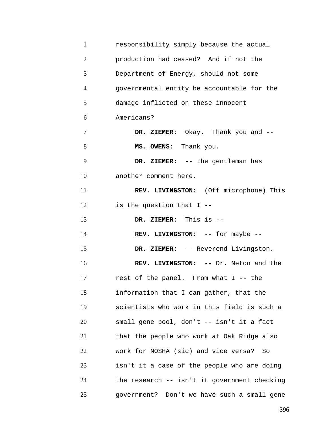| $\mathbf{1}$   | responsibility simply because the actual     |
|----------------|----------------------------------------------|
| $\overline{2}$ | production had ceased? And if not the        |
| 3              | Department of Energy, should not some        |
| $\overline{4}$ | governmental entity be accountable for the   |
| 5              | damage inflicted on these innocent           |
| 6              | Americans?                                   |
| 7              | DR. ZIEMER: Okay. Thank you and --           |
| 8              | MS. OWENS: Thank you.                        |
| 9              | DR. ZIEMER: -- the gentleman has             |
| 10             | another comment here.                        |
| 11             | REV. LIVINGSTON: (Off microphone) This       |
| 12             | is the question that $I$ --                  |
| 13             | DR. ZIEMER: This is --                       |
| 14             | REV. LIVINGSTON: -- for maybe --             |
| 15             | DR. ZIEMER: -- Reverend Livingston.          |
| 16             | REV. LIVINGSTON: -- Dr. Neton and the        |
| 17             | rest of the panel. From what I -- the        |
| 18             | information that I can gather, that the      |
| 19             | scientists who work in this field is such a  |
| 20             | small gene pool, don't -- isn't it a fact    |
| 21             | that the people who work at Oak Ridge also   |
| 22             | work for NOSHA (sic) and vice versa? So      |
| 23             | isn't it a case of the people who are doing  |
| 24             | the research -- isn't it government checking |
| 25             | government? Don't we have such a small gene  |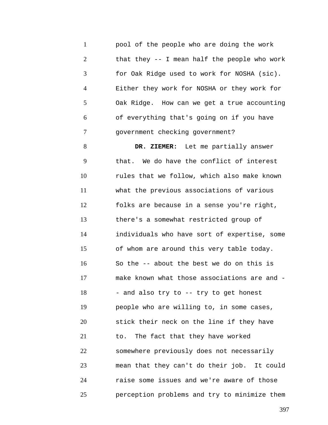1 2 3 4 5 6 7 pool of the people who are doing the work that they -- I mean half the people who work for Oak Ridge used to work for NOSHA (sic). Either they work for NOSHA or they work for Oak Ridge. How can we get a true accounting of everything that's going on if you have government checking government?

8 9 10 11 12 13 14 15 16 17 18 19 20 21 22 23 24 25 **DR. ZIEMER:** Let me partially answer that. We do have the conflict of interest rules that we follow, which also make known what the previous associations of various folks are because in a sense you're right, there's a somewhat restricted group of individuals who have sort of expertise, some of whom are around this very table today. So the -- about the best we do on this is make known what those associations are and - - and also try to -- try to get honest people who are willing to, in some cases, stick their neck on the line if they have to. The fact that they have worked somewhere previously does not necessarily mean that they can't do their job. It could raise some issues and we're aware of those perception problems and try to minimize them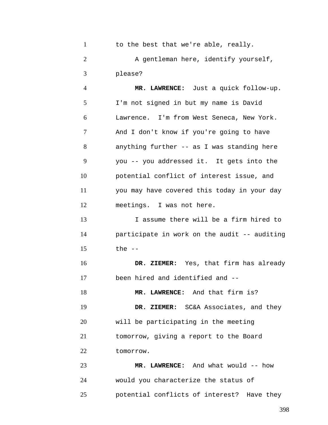| $\mathbf{1}$   | to the best that we're able, really.         |
|----------------|----------------------------------------------|
| $\overline{2}$ | A gentleman here, identify yourself,         |
| 3              | please?                                      |
| $\overline{4}$ | MR. LAWRENCE: Just a quick follow-up.        |
| 5              | I'm not signed in but my name is David       |
| 6              | Lawrence. I'm from West Seneca, New York.    |
| 7              | And I don't know if you're going to have     |
| 8              | anything further -- as I was standing here   |
| 9              | you -- you addressed it. It gets into the    |
| 10             | potential conflict of interest issue, and    |
| 11             | you may have covered this today in your day  |
| 12             | meetings. I was not here.                    |
| 13             | I assume there will be a firm hired to       |
| 14             | participate in work on the audit -- auditing |
| 15             | the $-$                                      |
| 16             | DR. ZIEMER: Yes, that firm has already       |
| 17             | been hired and identified and --             |
| 18             | MR. LAWRENCE: And that firm is?              |
| 19             | DR. ZIEMER: SC&A Associates, and they        |
| 20             | will be participating in the meeting         |
| 21             | tomorrow, giving a report to the Board       |
| 22             | tomorrow.                                    |
| 23             | MR. LAWRENCE: And what would -- how          |
| 24             | would you characterize the status of         |

25 potential conflicts of interest? Have they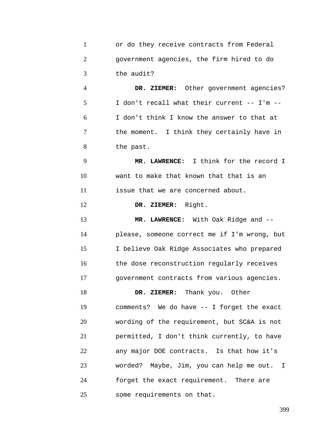|               | or do they receive contracts from Federal |
|---------------|-------------------------------------------|
|               | government agencies, the firm hired to do |
| $\mathcal{R}$ | the audit?                                |

4 5 6 7 8 **DR. ZIEMER:** Other government agencies? I don't recall what their current -- I'm -- I don't think I know the answer to that at the moment. I think they certainly have in the past.

9 10 11 **MR. LAWRENCE:** I think for the record I want to make that known that that is an issue that we are concerned about.

12 **DR. ZIEMER:** Right.

13 14 15 16 17 **MR. LAWRENCE:** With Oak Ridge and - please, someone correct me if I'm wrong, but I believe Oak Ridge Associates who prepared the dose reconstruction regularly receives government contracts from various agencies.

18 19 20 21 22 23 24 25 **DR. ZIEMER:** Thank you. Other comments? We do have -- I forget the exact wording of the requirement, but SC&A is not permitted, I don't think currently, to have any major DOE contracts. Is that how it's worded? Maybe, Jim, you can help me out. I forget the exact requirement. There are some requirements on that.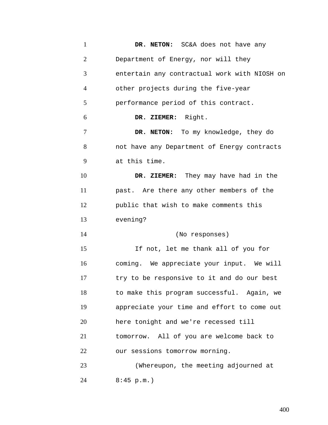1 2 3 4 5 6 7 8 9 10 11 12 13 14 15 16 17 18 19 20 21 22 23 24 **DR. NETON:** SC&A does not have any Department of Energy, nor will they entertain any contractual work with NIOSH on other projects during the five-year performance period of this contract. **DR. ZIEMER:** Right. **DR. NETON:** To my knowledge, they do not have any Department of Energy contracts at this time. **DR. ZIEMER:** They may have had in the past. Are there any other members of the public that wish to make comments this evening? (No responses) If not, let me thank all of you for coming. We appreciate your input. We will try to be responsive to it and do our best to make this program successful. Again, we appreciate your time and effort to come out here tonight and we're recessed till tomorrow. All of you are welcome back to our sessions tomorrow morning. (Whereupon, the meeting adjourned at 8:45 p.m.)